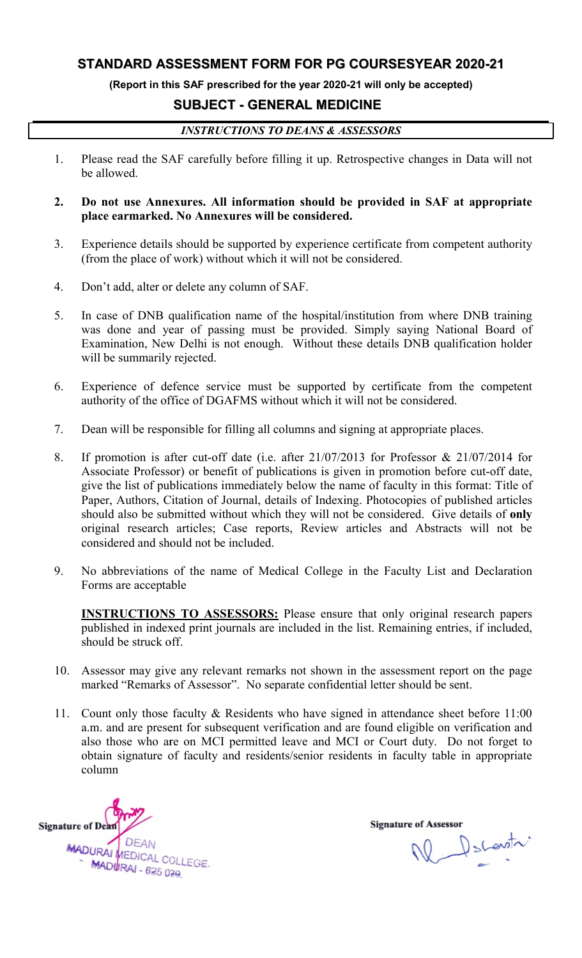#### STANDARD AS SSESSMENT FORM FOR PG

(Report in this SAF prescribed for the year 2020-21 will only be accepted)

#### SUBJECT - GENERAL MEDICINE

#### *INSTRUCTIONS TO DEANS & ASSESSORS*

- 1. Please read the SAF carefully before filling it up. Retrospective changes in Data will not Retrospective changes be allowed.
- 2. Do not use Annexures. All information should be provided in SAF at appropriate Do not use Annexures. All information should be<br>place earmarked. No Annexures will be considered.
- 3. Experience details should be supported by experience certificate from competent authority (from the place of work) without which it will not be considered.
- 4. Don't add, alter or delete any column of SAF. of SAF.
- 5. In case of DNB qualification name of the hospital/institution from where DNB training was done and year of passing must be provided. Simply saying National Board of In case of DNB qualification name of the hospital/institution from where DNB training was done and year of passing must be provided. Simply saying National Board of Examination, New Delhi is not enough. Without these detai will be summarily rejected.
- will be summarily rejected.<br>
6. Experience of defence service must be supported by certificate from the competent authority of the office of DGAFMS without which it will not be considered. is not enough. Without these details DNB qualification holder<br>l.<br>ervice must be supported by certificate from the competent<br>DGAFMS without which it will not be considered.<br>or filling all columns and signing at appropriate
- 7. Dean will be responsible for filling all columns and signing at appropriate places.
- 8. If promotion is after cut-off date (i.e. after  $21/07/2013$  for Professor &  $21/07/2014$  for Associate Professor) or benefit of publications is given in promotion before cut-off date, give the list of publications immediately below the name of faculty in this format: Title of Paper, Authors, Citation of Journal, details should also be submitted without which they will not be considered. Give details of only original research articles; Case reports, Review articles and Abstracts will not be considered and should not be included. of DGAFMS without which it will<br>ble for filling all columns and signir<br>cut-off date (i.e. after 21/07/2013 e Professor) or benefit of publications is given in promotion before cut-off date, list of publications immediately below the name of faculty in this format: Title of uthors, Citation of Journal, details of Indexing. Photo should also be submitted without which they will not be considered. Give details of **only** original research articles; Case reports, Review articles and Abstracts will not be considered and should not be included. **FORM FOR PG COURSESYEAR 2020-21**<br>ood for the yoar 2020-21 will only be accepted)<br>**GENERAL MEDICINE**<br>**CONSTIGENTS ASSESSORS**<br>TO DEANS **&** ASSESSORS<br>Toward The provided in SAF at appropriate<br>swill be considered.<br>Note filli be supported by experience certificate from competent authority<br>thout which it will not be considered.<br>In the considered.<br>In the name of the hospital/institution from where DNB training<br>assing must be provided. Simply sayi
- 9. No abbreviations of the name of Medical College in the Faculty List and Declaration Forms are acceptable

**INSTRUCTIONS TO ASSESSORS:** Please ensure that only original research papers published in indexed print journals are included in the list. Remaining entries, if included, should be struck off. should be struck off.

- 10. Assessor may give any relevant remarks not shown in the assessment report on the page Assessor may give any relevant remarks not shown in the assessment report marked "Remarks of Assessor". No separate confidential letter should be sent.
- 11. Count only those faculty & Residents who have signed in attendance sheet before 11:00 a.m. and are present for subsequent verification and are found eligible on verification and Count only those faculty & Residents who have signed in attendance sheet before 11:00 a.m. and are present for subsequent verification and are found eligible on verification and also those who are on MCI permitted leave an obtain signature of faculty and residents/senior residents in faculty table in appropriate column

**Signature of Dean** MADURAL DEAN<br>MADURAL COLLEGE **DEAN** MADURAI - 625 029

N Decentr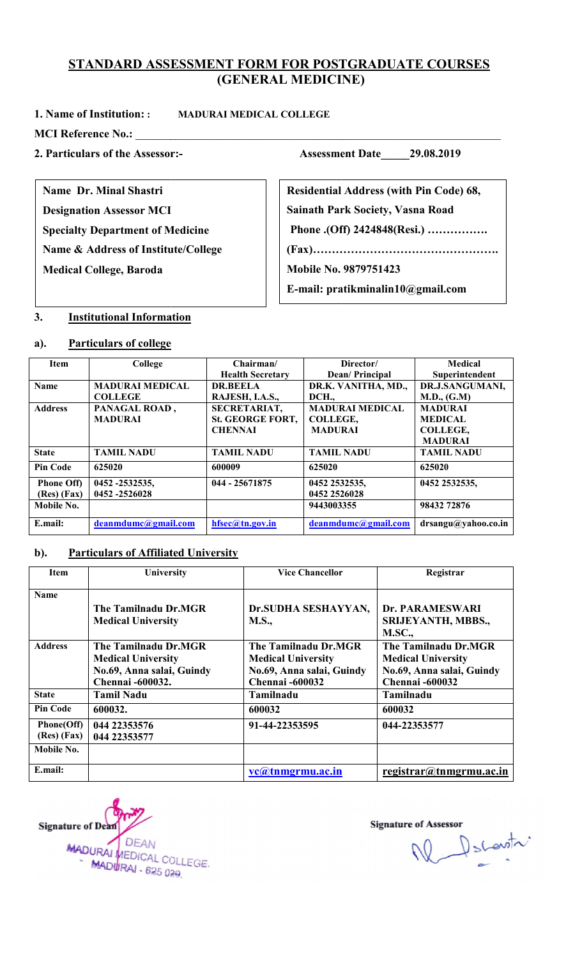# <u>STANDARD ASSESSMENT FORM FOR POSTGRADUATE COURSES</u><br>(GENERAL MEDICINE)

#### 1. Name of Institution: :

MADURAI MEDICAL COLLEGE

MCI Reference No.: \_\_\_\_\_\_\_\_\_\_\_\_\_\_\_\_\_\_\_\_\_\_\_\_\_\_\_\_\_\_\_\_\_\_\_\_\_\_\_\_\_\_\_\_\_\_\_\_\_\_\_\_\_\_\_\_\_\_\_\_\_\_\_\_

#### 2. Particulars of the Assessor:

Name Dr. Minal Shastri

Designation Assessor MCI Specialty Department of Medicine

Name & Address of Institute/College

Medical College, Baroda

Assessor:- Assessment Date 29.08.2019

astri<br>
r MCI<br>
nt of Medicine<br>
Institute/College (Fax)........ Sainath Park Society, Vasna Road Residential Address (with Pin Code) 68,

Phone .(Off) 2424848(Resi.) …………….

(Fax)………………………………………….

Mobile No. 9879751423

E-mail: pratikminalin10@gmail.com

#### 3. Institutional Information

#### a). Particulars of college

| <b>Item</b>       | College                | Chairman/               | Director/              | Medical             |
|-------------------|------------------------|-------------------------|------------------------|---------------------|
|                   |                        | <b>Health Secretary</b> | Dean/Principal         | Superintendent      |
| <b>Name</b>       | <b>MADURAI MEDICAL</b> | <b>DR.BEELA</b>         | DR.K. VANITHA, MD.,    | DR.J.SANGUMANI,     |
|                   | <b>COLLEGE</b>         | RAJESH, I.A.S.,         | DCH.                   | M.D., (G.M)         |
| <b>Address</b>    | PANAGAL ROAD,          | <b>SECRETARIAT,</b>     | <b>MADURAI MEDICAL</b> | <b>MADURAI</b>      |
|                   | <b>MADURAI</b>         | <b>St. GEORGE FORT,</b> | COLLEGE,               | <b>MEDICAL</b>      |
|                   |                        | <b>CHENNAI</b>          | <b>MADURAI</b>         | COLLEGE,            |
|                   |                        |                         |                        | <b>MADURAI</b>      |
| <b>State</b>      | <b>TAMIL NADU</b>      | <b>TAMIL NADU</b>       | <b>TAMIL NADU</b>      | <b>TAMIL NADU</b>   |
| <b>Pin Code</b>   | 625020                 | 600009                  | 625020                 | 625020              |
| <b>Phone Off)</b> | 0452 -2532535,         | 044 - 25671875          | 0452 2532535,          | 0452 2532535.       |
| $(Res)$ $(Fax)$   | 0452 -2526028          |                         | 0452 2526028           |                     |
| Mobile No.        |                        |                         | 9443003355             | 98432 72876         |
| E.mail:           | deanmdumc@gmail.com    | $h$ fsec $@$ tn.gov.in  | deanmdumc@gmail.com    | drsangu@yahoo.co.in |

#### b). Particulars of Affiliated University

| <b>Item</b>               | University                                                                                                | <b>Vice Chancellor</b>                                                                                   | Registrar                                                                                                |
|---------------------------|-----------------------------------------------------------------------------------------------------------|----------------------------------------------------------------------------------------------------------|----------------------------------------------------------------------------------------------------------|
| <b>Name</b>               | The Tamilnadu Dr.MGR<br><b>Medical University</b>                                                         | Dr.SUDHA SESHAYYAN,<br><b>M.S.,</b>                                                                      | Dr. PARAMESWARI<br>SRIJEYANTH, MBBS.,<br><b>M.SC.,</b>                                                   |
| <b>Address</b>            | The Tamilnadu Dr.MGR<br><b>Medical University</b><br>No.69, Anna salai, Guindy<br><b>Chennai</b> -600032. | The Tamilnadu Dr.MGR<br><b>Medical University</b><br>No.69, Anna salai, Guindy<br><b>Chennai -600032</b> | The Tamilnadu Dr.MGR<br><b>Medical University</b><br>No.69, Anna salai, Guindy<br><b>Chennai -600032</b> |
| <b>State</b>              | <b>Tamil Nadu</b>                                                                                         | Tamilnadu                                                                                                | Tamilnadu                                                                                                |
| <b>Pin Code</b>           | 600032.                                                                                                   | 600032                                                                                                   | 600032                                                                                                   |
| Phone(Off)<br>(Res) (Fax) | 044 22353576<br>044 22353577                                                                              | 91-44-22353595                                                                                           | 044-22353577                                                                                             |
| Mobile No.                |                                                                                                           |                                                                                                          |                                                                                                          |
| E.mail:                   |                                                                                                           | vc@tnmgrmu.ac.in                                                                                         | $region(2)$ registrar@tnmgrmu.ac.in                                                                      |

**Signature of Dean** MADURAL DEAN<br>MADURAL COLLEGE. **DEAN** MADURAI - 625 029

W Dscovitr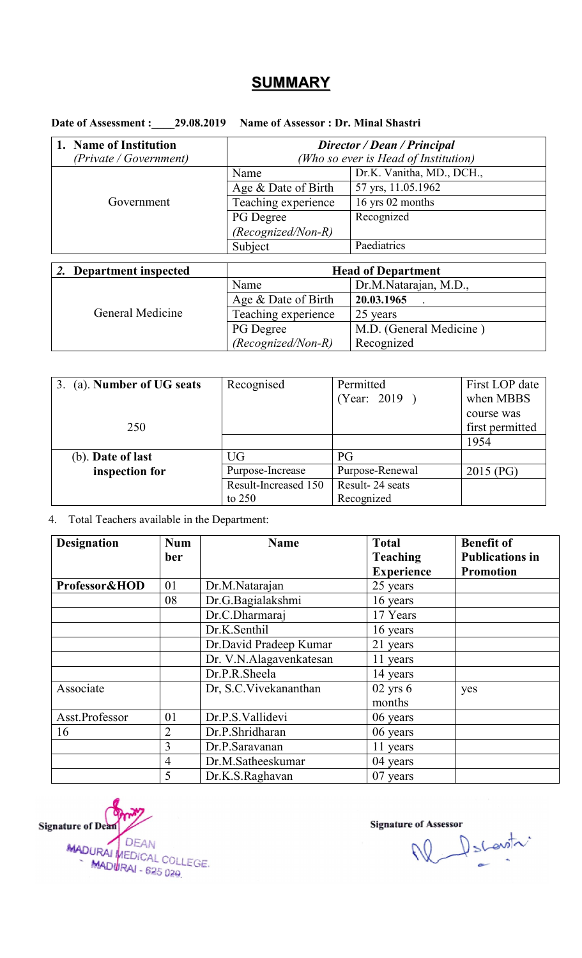## **SUMMARY**

Date of Assessment : 29.08.2019 Name of Assessor : Dr. Minal Shastri

| 1. Name of Institution  | Director / Dean / Principal          |                           |  |
|-------------------------|--------------------------------------|---------------------------|--|
| (Private / Government)  | (Who so ever is Head of Institution) |                           |  |
|                         | Name                                 | Dr.K. Vanitha, MD., DCH., |  |
|                         | Age & Date of Birth                  | 57 yrs, 11.05.1962        |  |
| Government              | Teaching experience                  | 16 yrs 02 months          |  |
|                         | PG Degree                            | Recognized                |  |
|                         | $(Recognized/Non-R)$                 |                           |  |
|                         | Subject                              | Paediatrics               |  |
|                         |                                      |                           |  |
| 2. Department inspected | <b>Head of Department</b>            |                           |  |
|                         | Name                                 | Dr.M.Natarajan, M.D.,     |  |
|                         | Age & Date of Birth                  | 20.03.1965                |  |
| General Medicine        | Teaching experience                  | 25 years                  |  |

PG Degree

*(Recognized/Non-R)*

| 3. (a). Number of UG seats | Recognised           | Permitted       | First LOP date  |
|----------------------------|----------------------|-----------------|-----------------|
|                            |                      | (Year: 2019)    | when MBBS       |
|                            |                      |                 | course was      |
| 250                        |                      |                 | first permitted |
|                            |                      |                 | 1954            |
| (b). Date of last          | <b>UG</b>            | PG              |                 |
| inspection for             | Purpose-Increase     | Purpose-Renewal | 2015 (PG)       |
|                            | Result-Increased 150 | Result-24 seats |                 |
|                            | to $250$             | Recognized      |                 |

#### 4. Total Teachers available in the Department:

| <b>Designation</b> | <b>Num</b>     | <b>Name</b>             | <b>Total</b>      | <b>Benefit of</b>      |
|--------------------|----------------|-------------------------|-------------------|------------------------|
|                    | ber            |                         | <b>Teaching</b>   | <b>Publications in</b> |
|                    |                |                         | <b>Experience</b> | <b>Promotion</b>       |
| Professor&HOD      | 01             | Dr.M.Natarajan          | 25 years          |                        |
|                    | 08             | Dr.G.Bagialakshmi       | 16 years          |                        |
|                    |                | Dr.C.Dharmaraj          | 17 Years          |                        |
|                    |                | Dr.K.Senthil            | 16 years          |                        |
|                    |                | Dr.David Pradeep Kumar  | 21 years          |                        |
|                    |                | Dr. V.N.Alagavenkatesan | 11 years          |                        |
|                    |                | Dr.P.R.Sheela           | 14 years          |                        |
| Associate          |                | Dr, S.C. Vivekananthan  | $02$ yrs $6$      | yes                    |
|                    |                |                         | months            |                        |
| Asst.Professor     | 01             | Dr.P.S.Vallidevi        | 06 years          |                        |
| 16                 | $\overline{2}$ | Dr.P.Shridharan         | 06 years          |                        |
|                    | 3              | Dr.P.Saravanan          | 11 years          |                        |
|                    | $\overline{4}$ | Dr.M.Satheeskumar       | 04 years          |                        |
|                    | 5              | Dr.K.S.Raghavan         | 07 years          |                        |

Signature of Dean MADURAL DEAN<br>MADURAL MEDICAL COLLEGE.<br>MADURAL - 625.020 MADURAI - 625 029

**Signature of Assessor** 

M.D. (General Medicine )

Recognized

W Dscovitr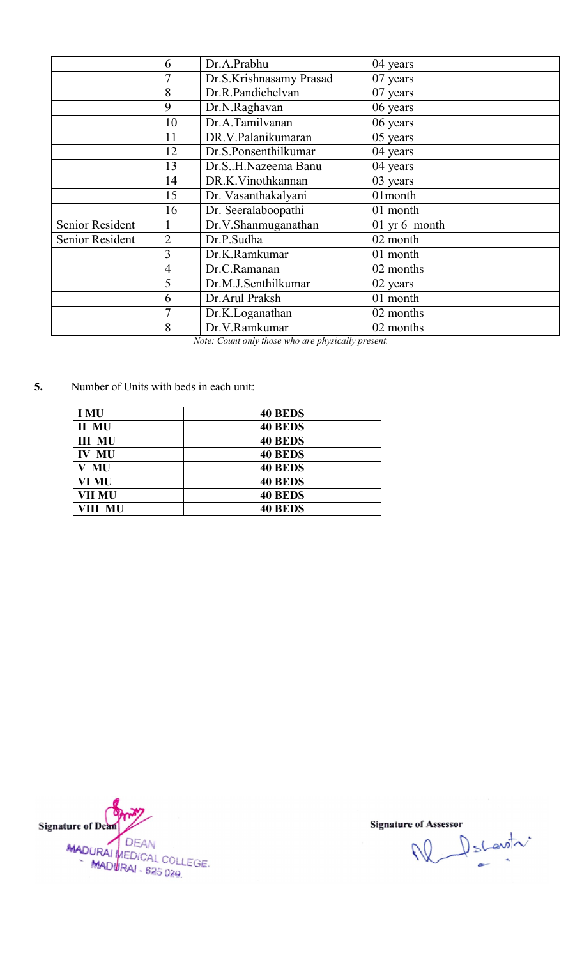|                 | 6              | Dr.A.Prabhu             | 04 years      |
|-----------------|----------------|-------------------------|---------------|
|                 |                | Dr.S.Krishnasamy Prasad | 07 years      |
|                 | 8              | Dr.R.Pandichelvan       | 07 years      |
|                 | 9              | Dr.N.Raghavan           | 06 years      |
|                 | 10             | Dr.A.Tamilvanan         | 06 years      |
|                 | 11             | DR.V.Palanikumaran      | 05 years      |
|                 | 12             | Dr.S.Ponsenthilkumar    | 04 years      |
|                 | 13             | Dr.SH.Nazeema Banu      | 04 years      |
|                 | 14             | DR.K.Vinothkannan       | 03 years      |
|                 | 15             | Dr. Vasanthakalyani     | 01month       |
|                 | 16             | Dr. Seeralaboopathi     | 01 month      |
| Senior Resident |                | Dr.V.Shanmuganathan     | 01 yr 6 month |
| Senior Resident | $\overline{2}$ | Dr.P.Sudha              | 02 month      |
|                 | 3              | Dr.K.Ramkumar           | 01 month      |
|                 | 4              | Dr.C.Ramanan            | 02 months     |
|                 | 5              | Dr.M.J.Senthilkumar     | 02 years      |
|                 | 6              | Dr.Arul Praksh          | 01 month      |
|                 |                | Dr.K.Loganathan         | 02 months     |
|                 | 8              | Dr.V.Ramkumar           | 02 months     |
|                 |                |                         |               |

*Note: Count only those who are physically present.*

5. Number of Units with beds in each unit:

| <b>I MU</b>   | <b>40 BEDS</b> |
|---------------|----------------|
| II MU         | <b>40 BEDS</b> |
| <b>III MU</b> | <b>40 BEDS</b> |
| <b>IV MU</b>  | <b>40 BEDS</b> |
| MU            | <b>40 BEDS</b> |
| VI MU         | <b>40 BEDS</b> |
| <b>VII MU</b> | <b>40 BEDS</b> |
| VIII MU       | <b>40 BEDS</b> |

Signature of Dean MADURAI DEAN<br>MADURAI MEDICAL COLLEGE.<br>MADURAI - 625 029.

e of Assessor<br>
Number of Shewith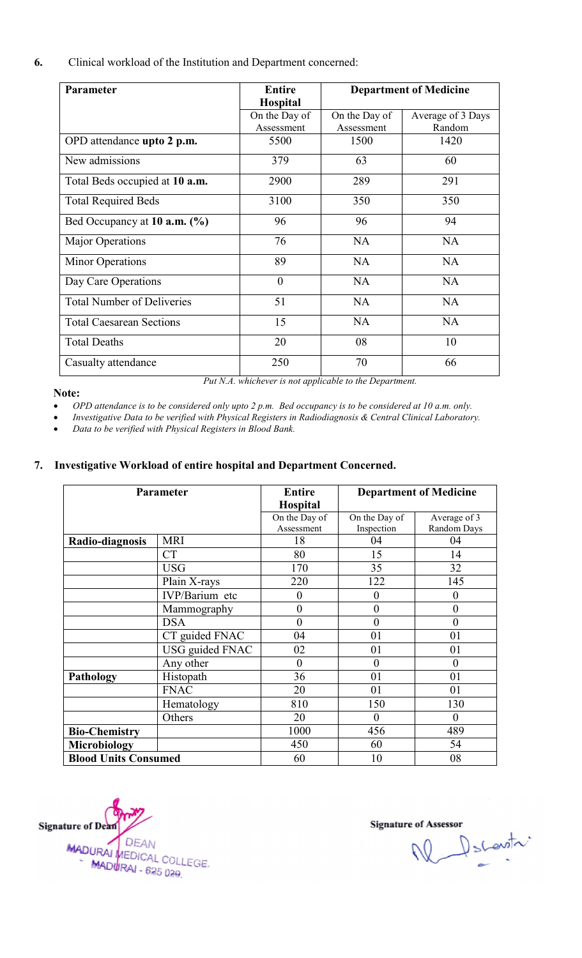6. Clinical workload of the Institution and Department concerned:

| Parameter                          | <b>Entire</b>   | <b>Department of Medicine</b> |                   |
|------------------------------------|-----------------|-------------------------------|-------------------|
|                                    | <b>Hospital</b> |                               |                   |
|                                    | On the Day of   | On the Day of                 | Average of 3 Days |
|                                    | Assessment      | Assessment                    | Random            |
| OPD attendance upto 2 p.m.         | 5500            | 1500                          | 1420              |
| New admissions                     | 379             | 63                            | 60                |
| Total Beds occupied at 10 a.m.     | 2900            | 289                           | 291               |
| <b>Total Required Beds</b>         | 3100            | 350                           | 350               |
| Bed Occupancy at $10$ a.m. $(\% )$ | 96              | 96                            | 94                |
| <b>Major Operations</b>            | 76              | <b>NA</b>                     | <b>NA</b>         |
| <b>Minor Operations</b>            | 89              | <b>NA</b>                     | <b>NA</b>         |
| Day Care Operations                | $\mathbf{0}$    | <b>NA</b>                     | <b>NA</b>         |
| <b>Total Number of Deliveries</b>  | 51              | <b>NA</b>                     | <b>NA</b>         |
| <b>Total Caesarean Sections</b>    | 15              | <b>NA</b>                     | <b>NA</b>         |
| <b>Total Deaths</b>                | 20              | 08                            | 10                |
| Casualty attendance                | 250             | 70                            | 66                |

#### Note:

Put *N.A.* whichever is not applicable to the Department.

*OPD attendance is to be considered only upto 2 p.m. Bed occupancy is to be considered at 10 a.m. only.*

 *Investigative Data to be verified with Physical Registers in Radiodiagnosis & Central Clinical Laboratory. be considered only upto 2 p.m. Bed occupancy is to be considered at 10 a.m. only.*<br>be verified with Physical Registers in Radiodiagnosis & Central Clinical Laboratory.<br>th Physical Registers in Blood Bank.

*Data to be verified with Physical Registers in Blood Bank.* 

#### 7. Investigative Workload of entire hospital and Department Concerned.

|                             | Parameter              | <b>Entire</b>    |                  | <b>Department of Medicine</b> |
|-----------------------------|------------------------|------------------|------------------|-------------------------------|
|                             |                        | <b>Hospital</b>  |                  |                               |
|                             |                        | On the Day of    | On the Day of    | Average of 3                  |
|                             |                        | Assessment       | Inspection       | Random Days                   |
| Radio-diagnosis             | <b>MRI</b>             | 18               | 04               | 04                            |
|                             | <b>CT</b>              | 80               | 15               | 14                            |
|                             | <b>USG</b>             | 170              | 35               | 32                            |
|                             | Plain X-rays           | 220              | 122              | 145                           |
|                             | IVP/Barium etc         | $\theta$         | $\overline{0}$   | $\overline{0}$                |
|                             | Mammography            | $\boldsymbol{0}$ | $\boldsymbol{0}$ | $\boldsymbol{0}$              |
|                             | <b>DSA</b>             | $\theta$         | $\overline{0}$   | $\overline{0}$                |
|                             | CT guided FNAC         | 04               | 01               | 01                            |
|                             | <b>USG</b> guided FNAC | 02               | 01               | 01                            |
|                             | Any other              | $\theta$         | $\overline{0}$   | $\theta$                      |
| <b>Pathology</b>            | Histopath              | 36               | 01               | 01                            |
|                             | <b>FNAC</b>            | 20               | 01               | 01                            |
|                             | Hematology             | 810              | 150              | 130                           |
|                             | Others                 | 20               | $\overline{0}$   | $\theta$                      |
| <b>Bio-Chemistry</b>        |                        | 1000             | 456              | 489                           |
| <b>Microbiology</b>         |                        | 450              | 60               | 54                            |
| <b>Blood Units Consumed</b> |                        | 60               | 10               | 08                            |



W Dscovitr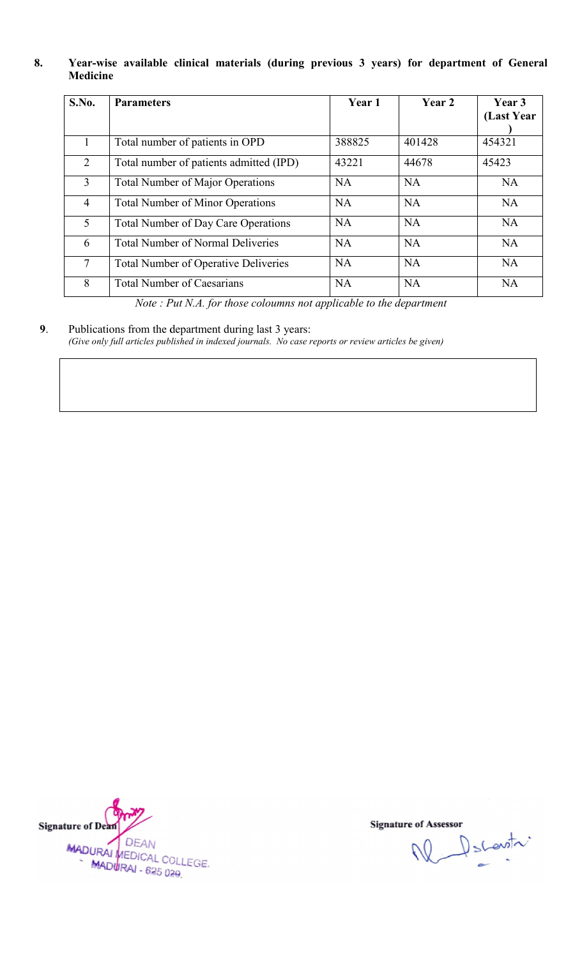## 8. Year-wise available clinical materials (during previous 3 years) for department of General<br>Medicine<br>
S.No. Parameters | Year 1 Year 2 Year 3 Medicine

| S.No.          | <b>Parameters</b>                                                                                                                                             | Year 1    | Year 2    | Year 3<br>(Last Year |
|----------------|---------------------------------------------------------------------------------------------------------------------------------------------------------------|-----------|-----------|----------------------|
| 1              | Total number of patients in OPD                                                                                                                               | 388825    | 401428    | 454321               |
| $\overline{2}$ | Total number of patients admitted (IPD)                                                                                                                       | 43221     | 44678     | 45423                |
| $\overline{3}$ | <b>Total Number of Major Operations</b>                                                                                                                       | <b>NA</b> | <b>NA</b> | NA                   |
| $\overline{4}$ | <b>Total Number of Minor Operations</b>                                                                                                                       | <b>NA</b> | <b>NA</b> | <b>NA</b>            |
| 5              | <b>Total Number of Day Care Operations</b>                                                                                                                    | <b>NA</b> | <b>NA</b> | <b>NA</b>            |
| 6              | <b>Total Number of Normal Deliveries</b>                                                                                                                      | <b>NA</b> | <b>NA</b> | <b>NA</b>            |
| $\overline{7}$ | <b>Total Number of Operative Deliveries</b>                                                                                                                   | <b>NA</b> | <b>NA</b> | <b>NA</b>            |
| 8              | <b>Total Number of Caesarians</b>                                                                                                                             | <b>NA</b> | <b>NA</b> | <b>NA</b>            |
|                | Note: Put N.A. for those coloumns not applicable to the department                                                                                            |           |           |                      |
|                | Publications from the department during last 3 years:<br>(Give only full articles published in indexed journals. No case reports or review articles be given) |           |           |                      |

9. Publications from the department during last 3 years: (Give only full articles published in indexed journals. No case reports or review articles be given)



M Sconstr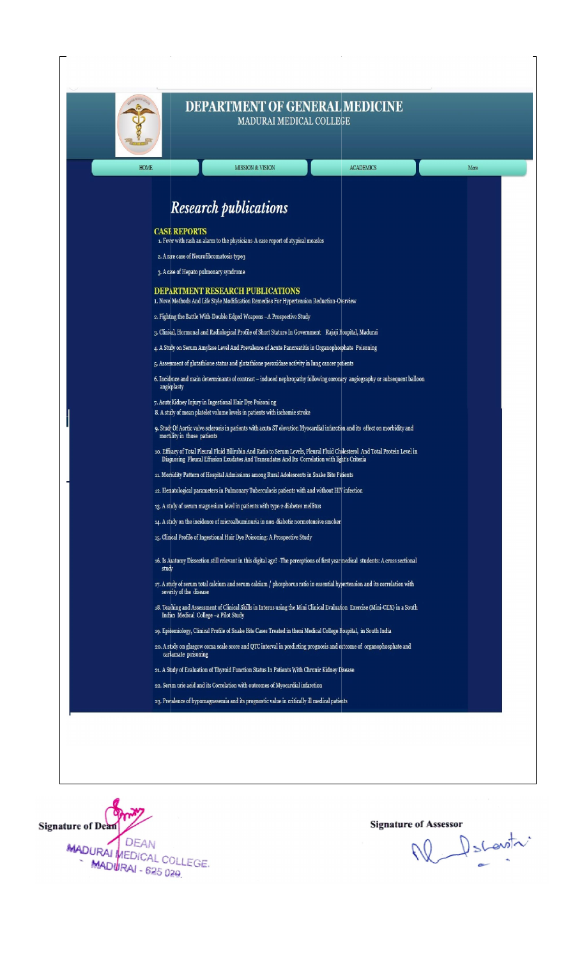

#### DEPARTMENT OF GENERAL MEDICINE MADURAI MEDICAL COLLEGE

| <b>Research publications</b>                                                                                                                                                                                                    |
|---------------------------------------------------------------------------------------------------------------------------------------------------------------------------------------------------------------------------------|
| <b>CASE REPORTS</b><br>1. Fever with rash an alarm to the physicians-A case report of atypical measles                                                                                                                          |
| 2. A rare case of Neurofibromatosis type3                                                                                                                                                                                       |
| 3. A case of Hepato pulmonary syndrome                                                                                                                                                                                          |
| <b>DEPARTMENT RESEARCH PUBLICATIONS</b>                                                                                                                                                                                         |
| 1. Novel Methods And Life Style Modification Remedies For Hypertension Reduction-Overview                                                                                                                                       |
| 2. Fighting the Battle With-Double Edged Weapons - A Prospective Study                                                                                                                                                          |
| 3. Clinical, Hormonal and Radiological Profile of Short Stature In Government Rajaji Hospital, Madurai                                                                                                                          |
| 4. A Study on Serum Amylase Level And Prevalence of Acute Pancreatitis in Organophosphate Poisoning                                                                                                                             |
| 5. Assessment of glutathione status and glutathione peroxidase activity in lung cancer patients                                                                                                                                 |
| 6. Incidence and main determinants of contrast - induced nephropathy following coronary angiography or subsequent balloon<br>angioplasty                                                                                        |
| 7. Acute Kidney Injury in Ingestional Hair Dye Poisoni ng                                                                                                                                                                       |
| 8. A study of mean platelet volume levels in patients with ischemic stroke                                                                                                                                                      |
| 9. Study Of Aortic valve sclerosis in patients with acute ST elevation Myocardial infarction and its effect on morbidity and<br>mortality in those patients                                                                     |
| 10. Efficacy of Total Pleural Fluid Bilirubin And Ratio to Serum Levels, Pleural Fluid Cholesterol And Total Protein Level in<br>Diagnosing Pleural Effusion Exudates And Transudates And Its Correlation with light's Criteria |
| 11. Morbidity Pattern of Hospital Admissions among Rural Adolescents in Snake Bite Patients                                                                                                                                     |
| 12. Hematological parameters in Pulmonary Tuberculosis patients with and without HIV infection                                                                                                                                  |
| 13. A study of serum magnesium level in patients with type 2 diabetes mellitus                                                                                                                                                  |
| 14. A study on the incidence of microalbuminuria in non-diabetic normotensive smoker                                                                                                                                            |
| 15. Clinical Profile of Ingestional Hair Dye Poisoning: A Prospective Study                                                                                                                                                     |
| 16. Is Anatomy Dissection still relevant in this digital age? -The perceptions of first year medical students: A cross sectional<br>study                                                                                       |
| 17. A study of serum total calcium and serum calcium / phosphorus ratio in essential hypertension and its correlation with<br>severity of the disease                                                                           |
| 18. Teaching and Assessment of Clinical Skills in Interns using the Mini Clinical Evaluation Exercise (Mini-CEX) in a South<br>Indian Medical College -a Pilot Study                                                            |
| 19. Epidemiology, Clinical Profile of Snake Bite Cases Treated in theni Medical College Hospital, in South India                                                                                                                |
| 20. A study on glasgow coma scale score and QTC interval in predicting prognosis and outcome of organophosphate and<br>carbamate poisoning                                                                                      |
| 21. A Study of Evaluation of Thyroid Function Status In Patients With Chronic Kidney Disease                                                                                                                                    |
| 22. Serum uric acid and its Correlation with outcomes of Myocardial infarction                                                                                                                                                  |
| 23. Prevalence of hypomagnesemia and its prognostic value in critically ill medical patients                                                                                                                                    |



Ne Decentri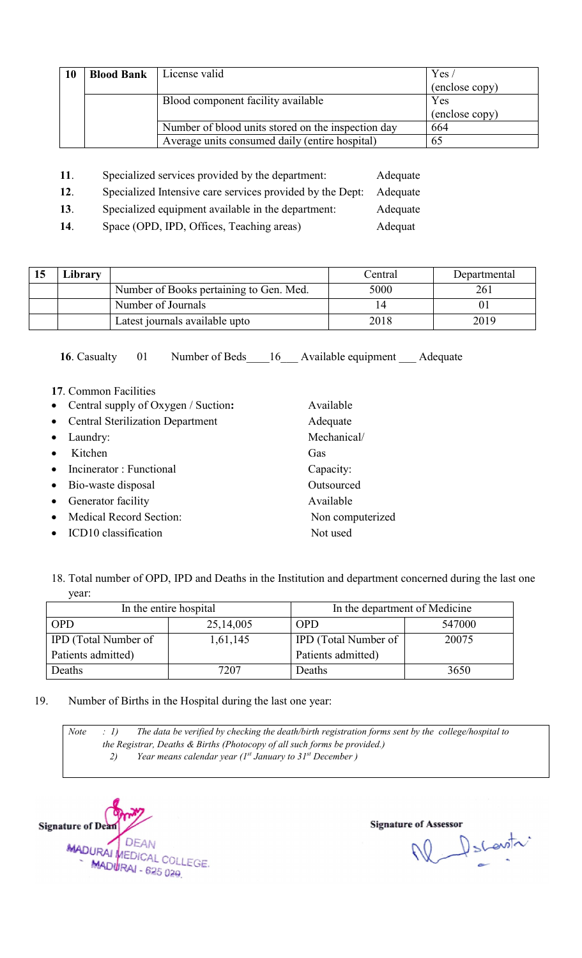| <b>10</b> | <b>Blood Bank</b> | License valid                                                         |                | Yes/         |
|-----------|-------------------|-----------------------------------------------------------------------|----------------|--------------|
|           |                   |                                                                       | (enclose copy) |              |
|           |                   | Blood component facility available                                    | Yes            |              |
|           |                   |                                                                       | (enclose copy) |              |
|           |                   | Number of blood units stored on the inspection day                    |                | 664          |
|           |                   | Average units consumed daily (entire hospital)                        |                | 65           |
|           |                   |                                                                       |                |              |
| 11.       |                   | Specialized services provided by the department:                      | Adequate       |              |
| 12.       |                   | Specialized Intensive care services provided by the Dept:<br>Adequate |                |              |
| 13.       |                   | Specialized equipment available in the department:<br>Adequate        |                |              |
| 14.       |                   | Space (OPD, IPD, Offices, Teaching areas)<br>Adequat                  |                |              |
|           |                   |                                                                       |                |              |
|           |                   |                                                                       |                |              |
| Library   |                   |                                                                       | Central        | Departmental |
|           |                   | Number of Books pertaining to Gen. Med.                               | 5000           | 261          |
|           |                   | Number of Journals                                                    | 14             | 01           |
|           |                   | Latest journals available upto                                        | 2018           | 2019         |

- 11. Specialized services provided by the department: 11. Specialized services provided by the department:<br>
12. Specialized Intensive care services provided by the Dept 13. Specialized equipment available in the department: Adequate Adequate Adequate
- 14. Space (OPD, IPD, Offices, Teaching areas)

| 15 | ∟ibrary |                                         | Central | Departmental |
|----|---------|-----------------------------------------|---------|--------------|
|    |         | Number of Books pertaining to Gen. Med. | 5000    | 261          |
|    |         | Number of Journals                      |         |              |
|    |         | Latest journals available upto          | 2018    | 2019         |

Available Adequate Mechanical/

**Outsourced** Available

Not used

Non computerized

Gas

16. Casualty 01 Number of Beds 16 Available equipment Adequate

- 17. Common Facilities
- Central supply of Oxygen / Suction
- Central Sterilization Department
- Laundry:
- Kitchen
- Incinerator : Functional Capacity:
- Bio-waste disposal
- Generator facility
- Medical Record Section:
- ICD10 classification
- 18. Total number of OPD, IPD and Deaths in the Institution and department concerned during the last one year:

|                             | In the entire hospital | In the department of Medicine |        |  |
|-----------------------------|------------------------|-------------------------------|--------|--|
| <b>OPD</b>                  | 25,14,005              | <b>OPD</b>                    | 547000 |  |
| <b>IPD</b> (Total Number of | 1,61,145               | <b>IPD</b> (Total Number of   | 20075  |  |
| Patients admitted)          |                        | Patients admitted)            |        |  |
| Deaths                      | 7207                   | Deaths                        | 3650   |  |

19. Number of Births in the Hospital during the last one year:

*Note : 1) The data be verified by checking the death/birth registration forms sent by the college/hospital to the Registrar, Deaths & Births (Photocopy of all such forms be provided.) 2) Year means calendar year (1 The data be verified by checking the death/birth registration forms sent Registrar, Deaths & Births (Photocopy of all such forms be provided.)*<br>Pear *means calendar year (1<sup>st</sup> January to 31<sup>st</sup> December )* 



N Decentr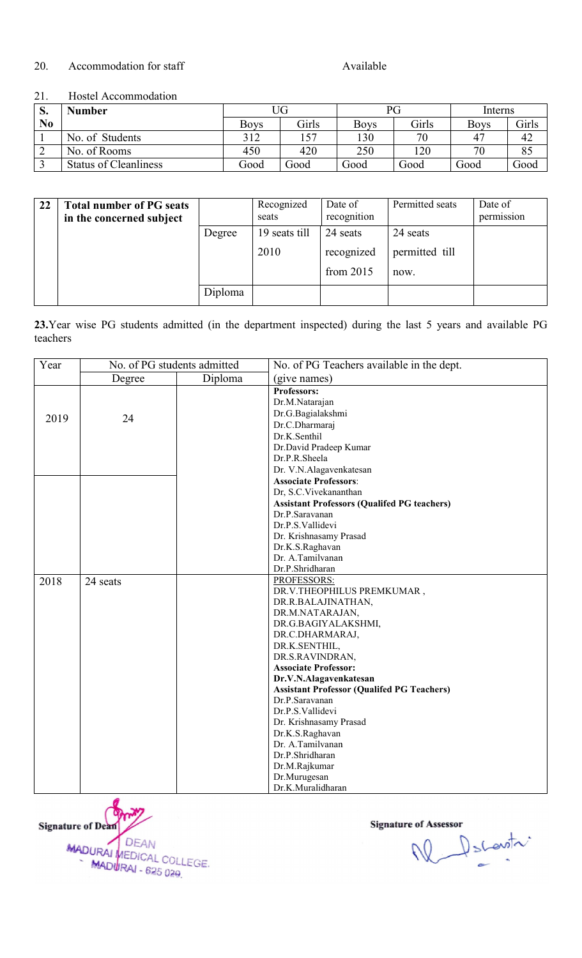#### 20. Accommodation for staff

Available

#### 21. Hostel Accommodation

| S.             | Number                       | JG          |              | РG   |       | Interns        |              |
|----------------|------------------------------|-------------|--------------|------|-------|----------------|--------------|
| N <sub>0</sub> |                              | <b>Boys</b> | <b>Girls</b> | Boys | Girls | <b>Boys</b>    | <b>Girls</b> |
|                | No. of Students              | 312         | 157          | 130  | 70    | 4 <sup>7</sup> | 42           |
| -              | No. of Rooms                 | 450         | 420          | 250  | 120   |                | 85           |
|                | <b>Status of Cleanliness</b> | Good        | Good         | Good | Good  | Good           | Good         |

| 22 | <b>Total number of PG seats</b><br>in the concerned subject |         | Recognized<br>seats | Date of<br>recognition | Permitted seats | Date of<br>permission |
|----|-------------------------------------------------------------|---------|---------------------|------------------------|-----------------|-----------------------|
|    |                                                             | Degree  | 19 seats till       | 24 seats               | 24 seats        |                       |
|    |                                                             |         | 2010                | recognized             | permitted till  |                       |
|    |                                                             |         |                     | from $2015$            | now.            |                       |
|    |                                                             | Diploma |                     |                        |                 |                       |

| N <sub>0</sub>   |                                                                                                                                          |         |         | <b>Boys</b> | Girls                                                                                                                                                                                                                                                                                                                                                               | <b>Boys</b>                                       | Girls                                              |      | <b>Boys</b>           | Girls |
|------------------|------------------------------------------------------------------------------------------------------------------------------------------|---------|---------|-------------|---------------------------------------------------------------------------------------------------------------------------------------------------------------------------------------------------------------------------------------------------------------------------------------------------------------------------------------------------------------------|---------------------------------------------------|----------------------------------------------------|------|-----------------------|-------|
| $\mathbf{1}$     | No. of Students                                                                                                                          |         | 312     |             | 157                                                                                                                                                                                                                                                                                                                                                                 | 130                                               | 70                                                 |      | 47                    | 42    |
| $\overline{2}$   | No. of Rooms                                                                                                                             |         |         | 450         | 420                                                                                                                                                                                                                                                                                                                                                                 | 250                                               | 120                                                |      | 70                    | 85    |
| $\overline{3}$   | <b>Status of Cleanliness</b>                                                                                                             |         | Good    |             | Good                                                                                                                                                                                                                                                                                                                                                                | Good                                              | Good                                               | Good |                       | Good  |
|                  |                                                                                                                                          |         |         |             |                                                                                                                                                                                                                                                                                                                                                                     |                                                   |                                                    |      |                       |       |
| 22               | <b>Total number of PG seats</b><br>in the concerned subject                                                                              |         |         | seats       | Recognized                                                                                                                                                                                                                                                                                                                                                          | Date of<br>recognition                            | Permitted seats                                    |      | Date of<br>permission |       |
|                  |                                                                                                                                          | Degree  |         |             | 19 seats till                                                                                                                                                                                                                                                                                                                                                       | 24 seats                                          | 24 seats                                           |      |                       |       |
|                  |                                                                                                                                          |         |         | 2010        |                                                                                                                                                                                                                                                                                                                                                                     | recognized                                        | permitted till                                     |      |                       |       |
|                  |                                                                                                                                          |         |         |             |                                                                                                                                                                                                                                                                                                                                                                     |                                                   |                                                    |      |                       |       |
|                  |                                                                                                                                          |         |         |             |                                                                                                                                                                                                                                                                                                                                                                     | from 2015                                         | now.                                               |      |                       |       |
|                  |                                                                                                                                          |         | Diploma |             |                                                                                                                                                                                                                                                                                                                                                                     |                                                   |                                                    |      |                       |       |
| teachers<br>Year | 23. Year wise PG students admitted (in the department inspected) during the last 5 years and available PG<br>No. of PG students admitted |         |         |             |                                                                                                                                                                                                                                                                                                                                                                     |                                                   | No. of PG Teachers available in the dept.          |      |                       |       |
|                  | Degree                                                                                                                                   | Diploma |         |             | (give names)                                                                                                                                                                                                                                                                                                                                                        |                                                   |                                                    |      |                       |       |
| 2019<br>2018     | 24<br>24 seats                                                                                                                           |         |         |             | Professors:<br>Dr.M.Natarajan<br>Dr.G.Bagialakshmi<br>Dr.C.Dharmaraj<br>Dr.K.Senthil<br>Dr.David Pradeep Kumar<br>Dr.P.R.Sheela<br>Dr. V.N.Alagavenkatesan<br><b>Associate Professors:</b><br>Dr, S.C.Vivekananthan<br>Dr.P.Saravanan<br>Dr.P.S.Vallidevi<br>Dr. Krishnasamy Prasad<br>Dr.K.S.Raghavan<br>Dr. A.Tamilvanan<br>Dr.P.Shridharan<br><b>PROFESSORS:</b> |                                                   | <b>Assistant Professors (Qualifed PG teachers)</b> |      |                       |       |
|                  |                                                                                                                                          |         |         |             | DR.R.BALAJINATHAN,<br>DR.M.NATARAJAN,<br>DR.C.DHARMARAJ,<br>DR.K.SENTHIL,<br>DR.S.RAVINDRAN,<br><b>Associate Professor:</b><br>Dr.V.N.Alagavenkatesan<br>Dr.P.Saravanan<br>Dr.P.S.Vallidevi<br>Dr. Krishnasamy Prasad<br>Dr.K.S.Raghavan<br>Dr. A.Tamilvanan<br>Dr.P.Shridharan<br>Dr.M.Rajkumar<br>Dr.Murugesan<br>Dr.K.Muralidharan                               | DR.V.THEOPHILUS PREMKUMAR,<br>DR.G.BAGIYALAKSHMI, | <b>Assistant Professor (Qualifed PG Teachers)</b>  |      |                       |       |



W Dscovitr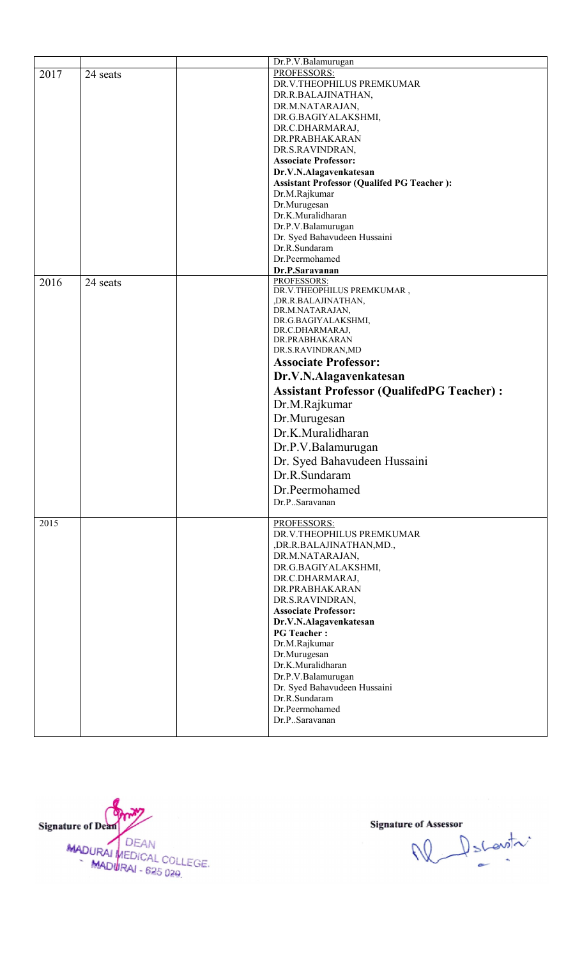|      |          | Dr.P.V.Balamurugan                                |
|------|----------|---------------------------------------------------|
| 2017 |          | <b>PROFESSORS:</b>                                |
|      | 24 seats | DR.V.THEOPHILUS PREMKUMAR                         |
|      |          |                                                   |
|      |          | DR.R.BALAJINATHAN,                                |
|      |          | DR.M.NATARAJAN,                                   |
|      |          | DR.G.BAGIYALAKSHMI,                               |
|      |          | DR.C.DHARMARAJ,                                   |
|      |          | DR.PRABHAKARAN                                    |
|      |          | DR.S.RAVINDRAN,                                   |
|      |          | <b>Associate Professor:</b>                       |
|      |          | Dr.V.N.Alagavenkatesan                            |
|      |          | <b>Assistant Professor (Qualifed PG Teacher):</b> |
|      |          | Dr.M.Rajkumar                                     |
|      |          | Dr.Murugesan                                      |
|      |          | Dr.K.Muralidharan                                 |
|      |          | Dr.P.V.Balamurugan                                |
|      |          | Dr. Syed Bahavudeen Hussaini                      |
|      |          | Dr.R.Sundaram                                     |
|      |          |                                                   |
|      |          | Dr.Peermohamed                                    |
|      |          | Dr.P.Saravanan                                    |
| 2016 | 24 seats | PROFESSORS:                                       |
|      |          | DR.V.THEOPHILUS PREMKUMAR,                        |
|      |          | ,DR.R.BALAJINATHAN,                               |
|      |          | DR.M.NATARAJAN,<br>DR.G.BAGIYALAKSHMI,            |
|      |          | DR.C.DHARMARAJ,                                   |
|      |          | DR.PRABHAKARAN                                    |
|      |          | DR.S.RAVINDRAN, MD                                |
|      |          | <b>Associate Professor:</b>                       |
|      |          |                                                   |
|      |          | Dr.V.N.Alagavenkatesan                            |
|      |          | <b>Assistant Professor (QualifedPG Teacher):</b>  |
|      |          |                                                   |
|      |          | Dr.M.Rajkumar                                     |
|      |          | Dr.Murugesan                                      |
|      |          | Dr.K.Muralidharan                                 |
|      |          |                                                   |
|      |          | Dr.P.V.Balamurugan                                |
|      |          | Dr. Syed Bahavudeen Hussaini                      |
|      |          | Dr.R.Sundaram                                     |
|      |          |                                                   |
|      |          | Dr.Peermohamed                                    |
|      |          | Dr.PSaravanan                                     |
|      |          |                                                   |
| 2015 |          | <b>PROFESSORS:</b>                                |
|      |          | DR.V.THEOPHILUS PREMKUMAR                         |
|      |          | ,DR.R.BALAJINATHAN,MD.,                           |
|      |          | DR.M.NATARAJAN,                                   |
|      |          | DR.G.BAGIYALAKSHMI,                               |
|      |          | DR.C.DHARMARAJ,                                   |
|      |          | DR.PRABHAKARAN                                    |
|      |          | DR.S.RAVINDRAN,                                   |
|      |          | <b>Associate Professor:</b>                       |
|      |          | Dr.V.N.Alagavenkatesan                            |
|      |          | <b>PG</b> Teacher:                                |
|      |          | Dr.M.Rajkumar                                     |
|      |          | Dr.Murugesan                                      |
|      |          |                                                   |
|      |          | Dr.K.Muralidharan                                 |
|      |          | Dr.P.V.Balamurugan                                |
|      |          | Dr. Syed Bahavudeen Hussaini                      |
|      |          | Dr.R.Sundaram                                     |
|      |          | Dr.Peermohamed                                    |
|      |          | Dr.PSaravanan                                     |
|      |          |                                                   |



N Pscovitri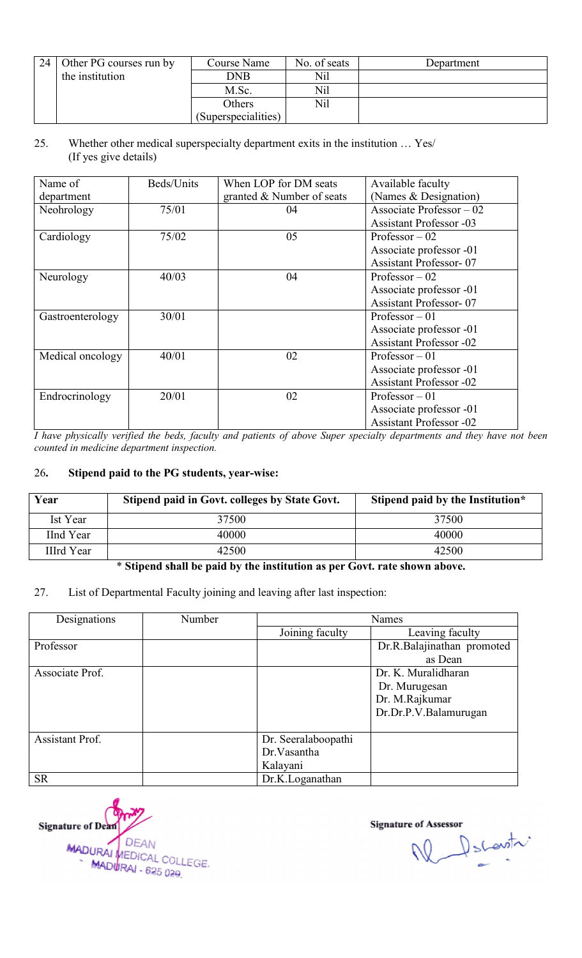| 24 | Other PG courses run by | Course Name         | No. of seats | Department |
|----|-------------------------|---------------------|--------------|------------|
|    | the institution         | <b>DNB</b>          | Nil          |            |
|    |                         | M.Sc.               | Nil          |            |
|    |                         | Others              | Nil          |            |
|    |                         | (Superspecialities) |              |            |

#### 25. Whether other medical superspecialty department exits in the institution ... Yes/ (If yes give details)

| Name of          | Beds/Units | When LOP for DM seats     | Available faculty              |
|------------------|------------|---------------------------|--------------------------------|
|                  |            |                           |                                |
| department       |            | granted & Number of seats | (Names & Designation)          |
| Neohrology       | 75/01      | 04                        | Associate Professor $-02$      |
|                  |            |                           | <b>Assistant Professor -03</b> |
| Cardiology       | 75/02      | 05                        | Professor $-02$                |
|                  |            |                           | Associate professor -01        |
|                  |            |                           | <b>Assistant Professor-07</b>  |
| Neurology        | 40/03      | 04                        | Professor $-02$                |
|                  |            |                           | Associate professor -01        |
|                  |            |                           | <b>Assistant Professor-07</b>  |
| Gastroenterology | 30/01      |                           | Professor $-01$                |
|                  |            |                           | Associate professor -01        |
|                  |            |                           | <b>Assistant Professor -02</b> |
| Medical oncology | 40/01      | 02                        | Professor $-01$                |
|                  |            |                           | Associate professor -01        |
|                  |            |                           | <b>Assistant Professor -02</b> |
| Endrocrinology   | 20/01      | 02                        | Professor $-01$                |
|                  |            |                           | Associate professor -01        |
|                  |            |                           | <b>Assistant Professor -02</b> |

I have physically verified the beds, faculty and patients of above Super specialty departments and they have not been<br>counted in medicine department inspection. *counted in medicine department inspection.* 

#### 26. Stipend paid to the PG students, year-wise:

| Year             | Stipend paid in Govt. colleges by State Govt. | Stipend paid by the Institution* |
|------------------|-----------------------------------------------|----------------------------------|
| Ist Year         | 37500                                         | 37500                            |
| <b>IInd Year</b> | 40000                                         | 40000                            |
| IIIrd Year       | 42500                                         | 42500                            |

#### \* Stipend shall be paid by the institution as per Govt. rate shown above.

#### 27. List of Departmental Faculty joining and leaving after last inspection:

| Designations    | Number | <b>Names</b>        |                            |  |
|-----------------|--------|---------------------|----------------------------|--|
|                 |        | Joining faculty     | Leaving faculty            |  |
| Professor       |        |                     | Dr.R.Balajinathan promoted |  |
|                 |        |                     | as Dean                    |  |
| Associate Prof. |        |                     | Dr. K. Muralidharan        |  |
|                 |        |                     | Dr. Murugesan              |  |
|                 |        |                     | Dr. M.Rajkumar             |  |
|                 |        |                     | Dr.Dr.P.V.Balamurugan      |  |
|                 |        |                     |                            |  |
| Assistant Prof. |        | Dr. Seeralaboopathi |                            |  |
|                 |        | Dr. Vasantha        |                            |  |
|                 |        | Kalayani            |                            |  |
| <b>SR</b>       |        | Dr.K.Loganathan     |                            |  |

**Signature of Dean DEAN** MADURAL DEAN<br>MADURAL COLLEGE MADURAI - 625 029

e of Assessor<br>
Number of Scheepthere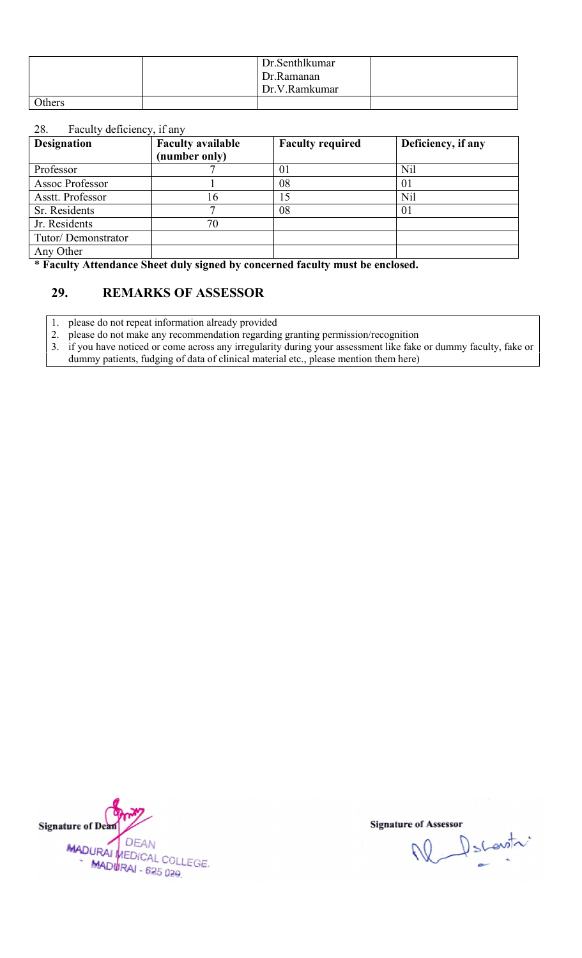|        | Dr. Senthlkumar<br>Dr.Ramanan<br>Dr.V.Ramkumar |  |
|--------|------------------------------------------------|--|
| Others |                                                |  |

#### 28. Faculty deficiency, if any

| <b>Designation</b> | <b>Faculty available</b><br>(number only)         | <b>Faculty required</b>                                                         | Deficiency, if any                                                                                          |
|--------------------|---------------------------------------------------|---------------------------------------------------------------------------------|-------------------------------------------------------------------------------------------------------------|
| Professor          |                                                   | 01                                                                              | Nil                                                                                                         |
| Assoc Professor    |                                                   | 08                                                                              | 01                                                                                                          |
| Asstt. Professor   | 16                                                | 15                                                                              | <b>Nil</b>                                                                                                  |
| Sr. Residents      |                                                   | 08                                                                              | 01                                                                                                          |
| Jr. Residents      | 70                                                |                                                                                 |                                                                                                             |
| Tutor/Demonstrator |                                                   |                                                                                 |                                                                                                             |
| Any Other          |                                                   |                                                                                 |                                                                                                             |
| 29.                | <b>REMARKS OF ASSESSOR</b>                        | * Faculty Attendance Sheet duly signed by concerned faculty must be enclosed.   |                                                                                                             |
| 2.<br>3.           | please do not repeat information already provided | please do not make any recommendation regarding granting permission/recognition | if you have noticed or come across any irregularity during your assessment like fake or dummy faculty, fake |

#### 29. REMARKS OF ASSESSOR

3. if you have noticed or come across any irregularity during your assessment like fake or dummy faculty, fake or dummy patients, fudging of data of clinical material etc., please mention them here)



W Dscovitr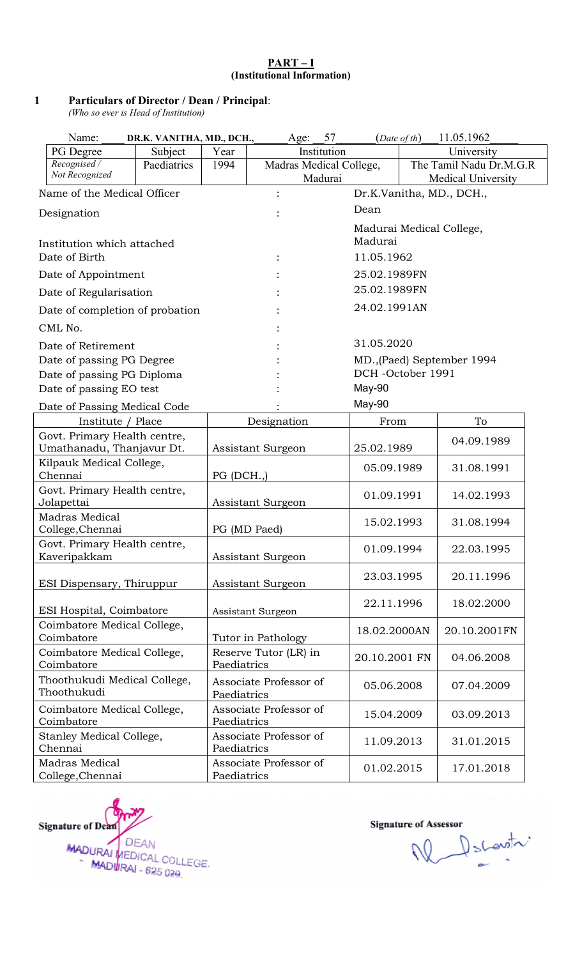#### PART-I (Institutional Information)

#### 1 Particulars of Director / Dean / Principal :

*(Who so ever is Head of Institution) so ever Head* 

| Name:<br>DR.K. VANITHA, MD., DCH., |                     | Age: | 57     | 11.05.1962<br>$(Date\ of\ th)$ |                            |
|------------------------------------|---------------------|------|--------|--------------------------------|----------------------------|
| PG Degree                          | Subject             | Year |        | Institution                    | University                 |
| Recognised /<br>Not Recognized     | Paediatrics         | 1994 |        | Madras Medical College,        | The Tamil Nadu Dr.M.G.R    |
|                                    |                     |      |        | Madurai                        | <b>Medical University</b>  |
| Name of the Medical Officer        |                     |      |        |                                | Dr.K.Vanitha, MD., DCH.,   |
| Designation                        |                     |      |        | Dean                           |                            |
|                                    |                     |      |        |                                | Madurai Medical College,   |
| Institution which attached         |                     |      |        | Madurai                        |                            |
| Date of Birth                      |                     |      |        | 11.05.1962                     |                            |
|                                    | Date of Appointment |      |        | 25.02.1989FN                   |                            |
| Date of Regularisation             |                     |      |        | 25.02.1989FN                   |                            |
| Date of completion of probation    |                     |      |        | 24.02.1991AN                   |                            |
| CML No.                            |                     |      |        |                                |                            |
| Date of Retirement                 |                     |      |        | 31.05.2020                     |                            |
| Date of passing PG Degree          |                     |      |        |                                | MD., (Paed) September 1994 |
| Date of passing PG Diploma         |                     |      |        |                                | DCH-October 1991           |
| Date of passing EO test            |                     |      |        | May-90                         |                            |
| Date of Passing Medical Code       |                     |      | May-90 |                                |                            |

| $\frac{1}{2}$ and $\frac{1}{2}$ include $\frac{1}{2}$<br>Institute / Place | Designation                           | From          | To           |
|----------------------------------------------------------------------------|---------------------------------------|---------------|--------------|
| Govt. Primary Health centre,<br>Umathanadu, Thanjavur Dt.                  | Assistant Surgeon                     | 25.02.1989    | 04.09.1989   |
| Kilpauk Medical College,<br>Chennai                                        | PG (DCH.,)                            | 05.09.1989    | 31.08.1991   |
| Govt. Primary Health centre,<br>Jolapettai                                 | Assistant Surgeon                     | 01.09.1991    | 14.02.1993   |
| <b>Madras Medical</b><br>College, Chennai                                  | PG (MD Paed)                          | 15.02.1993    | 31.08.1994   |
| Govt. Primary Health centre,<br>Kaveripakkam                               | Assistant Surgeon                     | 01.09.1994    | 22.03.1995   |
| ESI Dispensary, Thiruppur                                                  | Assistant Surgeon                     | 23.03.1995    | 20.11.1996   |
| ESI Hospital, Coimbatore                                                   | Assistant Surgeon                     | 22.11.1996    | 18.02.2000   |
| Coimbatore Medical College,<br>Coimbatore                                  | Tutor in Pathology                    | 18.02.2000AN  | 20.10.2001FN |
| Coimbatore Medical College,<br>Coimbatore                                  | Reserve Tutor (LR) in<br>Paediatrics  | 20.10.2001 FN | 04.06.2008   |
| Thoothukudi Medical College,<br>Thoothukudi                                | Associate Professor of<br>Paediatrics | 05.06.2008    | 07.04.2009   |
| Coimbatore Medical College,<br>Coimbatore                                  | Associate Professor of<br>Paediatrics | 15.04.2009    | 03.09.2013   |
| Stanley Medical College,<br>Chennai                                        | Associate Professor of<br>Paediatrics | 11.09.2013    | 31.01.2015   |
| Madras Medical<br>College, Chennai                                         | Associate Professor of<br>Paediatrics | 01.02.2015    | 17.01.2018   |



Ne les scontre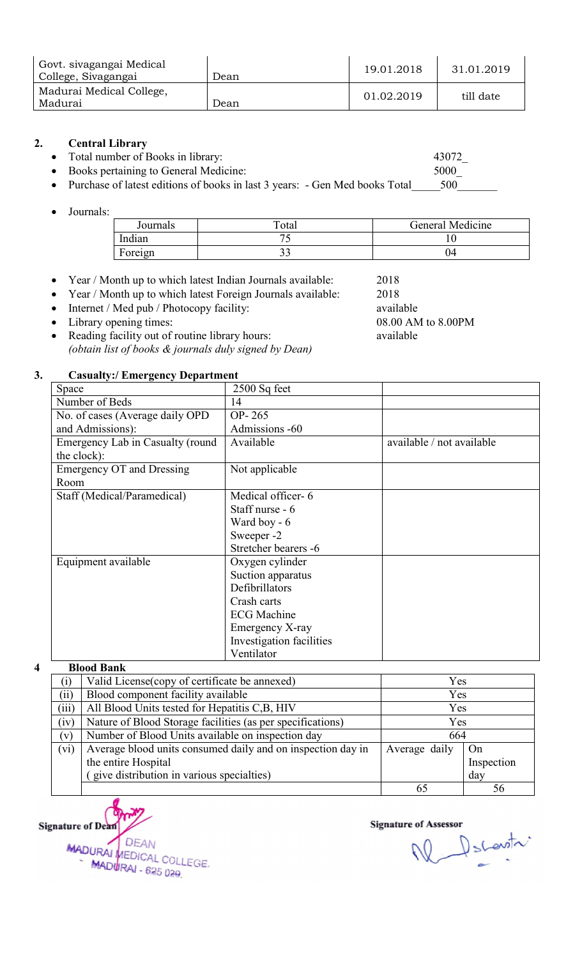| Govt. sivagangai Medical<br>College, Sivagangai | Dean | 19.01.2018 | 31.01.2019 |
|-------------------------------------------------|------|------------|------------|
| Madurai Medical College,<br>Madurai             | Dean | 01.02.2019 | till date  |

#### 2. Central Library

- Total number of Books in library:
- Books pertaining to General Medicine:

| Journals | Total | General Medicine |
|----------|-------|------------------|
| Indian   |       |                  |
| Foreign  | ້−    | .)4              |

- Year / Month up to which latest Indian Journals available:
- Year / Month up to which latest Foreign Journals available:
- Internet / Med pub / Photocopy facility:
- Library opening times:
- Reading facility out of routine library hours: *(obtain list of books & journals duly signed by Dean) Dean)*

#### 3. Casualty:/ Emergency Department

| bllege, Sivagangai  | əvi. Sivaxalixal müündi                                                                                              | Dean                                                                                                                                                                               | 19.01.2018                                                   | 31.01.2019                |  |
|---------------------|----------------------------------------------------------------------------------------------------------------------|------------------------------------------------------------------------------------------------------------------------------------------------------------------------------------|--------------------------------------------------------------|---------------------------|--|
|                     | adurai Medical College,                                                                                              |                                                                                                                                                                                    |                                                              |                           |  |
| adurai              |                                                                                                                      | Dean                                                                                                                                                                               | 01.02.2019                                                   | till date                 |  |
|                     | <b>Central Library</b><br>Total number of Books in library:<br>Books pertaining to General Medicine:                 | Purchase of latest editions of books in last 3 years: - Gen Med books Total                                                                                                        |                                                              | 43072<br>5000<br>500      |  |
| Journals:           |                                                                                                                      |                                                                                                                                                                                    |                                                              |                           |  |
|                     | Journals                                                                                                             | Total                                                                                                                                                                              |                                                              | General Medicine          |  |
|                     | Indian                                                                                                               | 75                                                                                                                                                                                 |                                                              | 10                        |  |
|                     | Foreign                                                                                                              | 33                                                                                                                                                                                 |                                                              | 04                        |  |
|                     | Internet / Med pub / Photocopy facility:<br>Library opening times:<br>Reading facility out of routine library hours: | Year / Month up to which latest Indian Journals available:<br>Year / Month up to which latest Foreign Journals available:<br>(obtain list of books & journals duly signed by Dean) | 2018<br>2018<br>available<br>08.00 AM to 8.00PM<br>available |                           |  |
|                     | <b>Casualty:/ Emergency Department</b>                                                                               |                                                                                                                                                                                    |                                                              |                           |  |
| Space               |                                                                                                                      | 2500 Sq feet                                                                                                                                                                       |                                                              |                           |  |
| Number of Beds      |                                                                                                                      | 14                                                                                                                                                                                 |                                                              |                           |  |
|                     | No. of cases (Average daily OPD                                                                                      | OP-265                                                                                                                                                                             |                                                              |                           |  |
| and Admissions):    |                                                                                                                      | Admissions -60<br>Available                                                                                                                                                        |                                                              |                           |  |
| the clock):         | Emergency Lab in Casualty (round                                                                                     |                                                                                                                                                                                    |                                                              | available / not available |  |
|                     | <b>Emergency OT and Dressing</b>                                                                                     | Not applicable                                                                                                                                                                     |                                                              |                           |  |
| Room                |                                                                                                                      |                                                                                                                                                                                    |                                                              |                           |  |
|                     | Staff (Medical/Paramedical)                                                                                          | Medical officer-6                                                                                                                                                                  |                                                              |                           |  |
|                     |                                                                                                                      | Staff nurse - 6                                                                                                                                                                    |                                                              |                           |  |
|                     |                                                                                                                      | Ward boy - 6                                                                                                                                                                       |                                                              |                           |  |
|                     |                                                                                                                      | Sweeper -2                                                                                                                                                                         |                                                              |                           |  |
|                     |                                                                                                                      | Stretcher bearers -6                                                                                                                                                               |                                                              |                           |  |
| Equipment available |                                                                                                                      | Oxygen cylinder<br>Suction apparatus<br>Defibrillators<br>Crash carts                                                                                                              |                                                              |                           |  |
|                     |                                                                                                                      | <b>ECG</b> Machine<br>Emergency X-ray<br>Investigation facilities<br>Ventilator                                                                                                    |                                                              |                           |  |
| <b>Blood Bank</b>   |                                                                                                                      |                                                                                                                                                                                    |                                                              |                           |  |
| (i)                 | Valid License (copy of certificate be annexed)                                                                       |                                                                                                                                                                                    |                                                              | Yes                       |  |
| (ii)                | Blood component facility available                                                                                   |                                                                                                                                                                                    |                                                              | Yes                       |  |
| (iii)               | All Blood Units tested for Hepatitis C,B, HIV                                                                        |                                                                                                                                                                                    |                                                              | Yes                       |  |
| (iv)                |                                                                                                                      | Nature of Blood Storage facilities (as per specifications)                                                                                                                         |                                                              | Yes                       |  |
| (v)                 |                                                                                                                      | Number of Blood Units available on inspection day                                                                                                                                  |                                                              | 664                       |  |
| (vi)                |                                                                                                                      | Average blood units consumed daily and on inspection day in                                                                                                                        | Average daily                                                | On                        |  |
|                     | the entire Hospital                                                                                                  |                                                                                                                                                                                    |                                                              | Inspection                |  |
|                     | give distribution in various specialties)                                                                            |                                                                                                                                                                                    | day                                                          |                           |  |

#### 4 Blood Bank

| (i)   | Valid License (copy of certificate be annexed)              | Yes           |            |
|-------|-------------------------------------------------------------|---------------|------------|
| (ii)  | Blood component facility available                          | Yes           |            |
| (iii) | All Blood Units tested for Hepatitis C,B, HIV               | Yes           |            |
| (iv)  | Nature of Blood Storage facilities (as per specifications)  | Yes           |            |
| (v)   | Number of Blood Units available on inspection day           | 664           |            |
| (vi)  | Average blood units consumed daily and on inspection day in | Average daily | On         |
|       | the entire Hospital                                         |               | Inspection |
|       | give distribution in various specialties)                   |               | day        |
|       |                                                             |               |            |

**Signature of Dean** DEAN MADURAL DEAN<br>MADURAL COLLEGE MADURAI - 625 029

**Signature of Assessor** 

W Dscovitr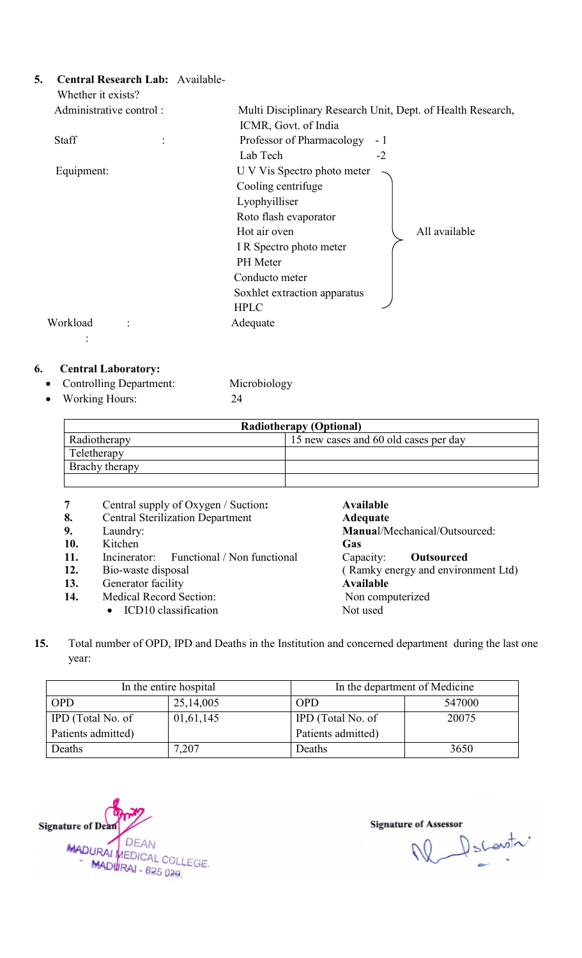| 5. |                           | Central Research Lab: Available-<br>Whether it exists? |                             |                      |                                                             |                                    |      |                                       |  |
|----|---------------------------|--------------------------------------------------------|-----------------------------|----------------------|-------------------------------------------------------------|------------------------------------|------|---------------------------------------|--|
|    |                           | Administrative control:                                |                             |                      | Multi Disciplinary Research Unit, Dept. of Health Research, |                                    |      |                                       |  |
|    |                           |                                                        |                             | ICMR, Govt. of India |                                                             |                                    |      |                                       |  |
|    | Staff                     |                                                        |                             |                      | Professor of Pharmacology                                   |                                    | $-1$ |                                       |  |
|    |                           |                                                        |                             | Lab Tech             |                                                             |                                    | $-2$ |                                       |  |
|    | Equipment:                |                                                        |                             |                      | U V Vis Spectro photo meter                                 |                                    |      |                                       |  |
|    |                           |                                                        |                             | Cooling centrifuge   |                                                             |                                    |      |                                       |  |
|    |                           |                                                        |                             | Lyophyilliser        |                                                             |                                    |      |                                       |  |
|    |                           |                                                        |                             |                      |                                                             |                                    |      |                                       |  |
|    |                           |                                                        |                             |                      | Roto flash evaporator                                       |                                    |      |                                       |  |
|    |                           |                                                        |                             | Hot air oven         |                                                             |                                    |      | All available                         |  |
|    |                           |                                                        |                             |                      | I R Spectro photo meter                                     |                                    |      |                                       |  |
|    |                           |                                                        |                             | PH Meter             |                                                             |                                    |      |                                       |  |
|    |                           |                                                        |                             | Conducto meter       |                                                             |                                    |      |                                       |  |
|    |                           |                                                        |                             |                      | Soxhlet extraction apparatus                                |                                    |      |                                       |  |
|    |                           |                                                        |                             | <b>HPLC</b>          |                                                             |                                    |      |                                       |  |
|    | Workload                  |                                                        |                             | Adequate             |                                                             |                                    |      |                                       |  |
|    |                           |                                                        |                             |                      |                                                             |                                    |      |                                       |  |
|    |                           |                                                        |                             |                      |                                                             |                                    |      |                                       |  |
| 6. |                           | <b>Central Laboratory:</b>                             |                             |                      |                                                             |                                    |      |                                       |  |
|    |                           | Controlling Department:                                |                             | Microbiology         |                                                             |                                    |      |                                       |  |
|    |                           | <b>Working Hours:</b>                                  |                             | 24                   |                                                             |                                    |      |                                       |  |
|    |                           |                                                        |                             |                      |                                                             |                                    |      |                                       |  |
|    |                           |                                                        |                             |                      | <b>Radiotherapy (Optional)</b>                              |                                    |      |                                       |  |
|    |                           | Radiotherapy                                           |                             |                      |                                                             |                                    |      | 15 new cases and 60 old cases per day |  |
|    |                           | Teletherapy                                            |                             |                      |                                                             |                                    |      |                                       |  |
|    |                           | Brachy therapy                                         |                             |                      |                                                             |                                    |      |                                       |  |
|    |                           |                                                        |                             |                      |                                                             |                                    |      |                                       |  |
|    | 7                         | Central supply of Oxygen / Suction:                    |                             |                      |                                                             | <b>Available</b>                   |      |                                       |  |
|    | 8.                        | <b>Central Sterilization Department</b>                |                             |                      |                                                             | <b>Adequate</b>                    |      |                                       |  |
|    | 9.                        | Laundry:                                               |                             |                      |                                                             | Manual/Mechanical/Outsourced:      |      |                                       |  |
|    | 10.                       | Kitchen                                                |                             |                      |                                                             | Gas                                |      |                                       |  |
|    | 11.                       | Incinerator:                                           | Functional / Non functional |                      |                                                             | Capacity:                          |      | <b>Outsourced</b>                     |  |
|    | 12.<br>Bio-waste disposal |                                                        |                             |                      |                                                             | (Ramky energy and environment Ltd) |      |                                       |  |

#### 6. Central Laboratory:

| <b>Radiotherapy (Optional)</b> |                                       |  |  |  |
|--------------------------------|---------------------------------------|--|--|--|
| Radiotherapy                   | 15 new cases and 60 old cases per day |  |  |  |
| Teletherapy                    |                                       |  |  |  |
| Brachy therapy                 |                                       |  |  |  |
|                                |                                       |  |  |  |

- 7 Central supply of Oxygen / Suction:
- 8. Central Sterilization Department<br>9. Laundry:
- Laundry:
- 10. Kitchen<br>11. Incinerat
- Incinerator: Functional / Non functional
- 12. Bio-waste disposal
- 13. Generator facility 12. Bio-waste disposal<br>13. Generator facility<br>14. Medical Record Section:
	- $\bullet$  ICD10 classification

#### Available Adequate Manual/Mechanical/Outsourced: Gas<br>Capacity: **Outsourced** ( Ramky energy and environment Ltd) Available Non computerized Not used

15. Total number of OPD, IPD and Deaths in the Institution and concerned department during the last one year:

|                    | In the entire hospital | In the department of Medicine |        |  |
|--------------------|------------------------|-------------------------------|--------|--|
| <b>OPD</b>         | 25,14,005              | <b>OPD</b>                    | 547000 |  |
| IPD (Total No. of  | 01,61,145              | IPD (Total No. of             | 20075  |  |
| Patients admitted) |                        | Patients admitted)            |        |  |
| Deaths             | 7,207                  | Deaths                        | 3650   |  |



Ne Decentr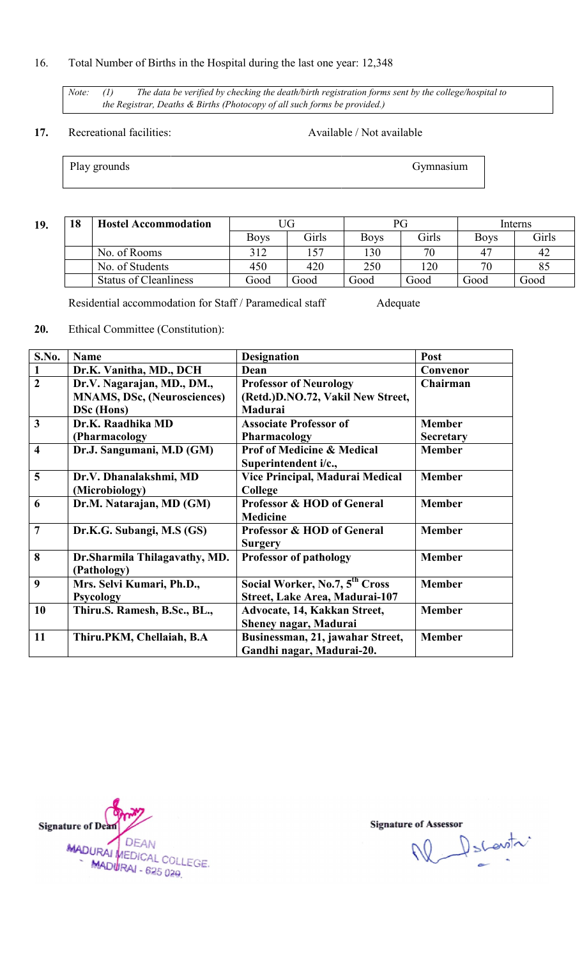#### 16. Total Number of Births in the Hospital during the last one year: 12,348

*Note:* (1) The data be verified by checking the death/birth registration forms sent by the college/hospital to the Registrar, Deaths & Births (Photocopy of all such forms be provided.) *the Registrar, Deaths & Births (Photocopy of all such forms be provided.)*

#### 17. Recreational facilities:

Available / Not available

Play grounds

19.

Gymnasium

| 18 | <b>Hostel Accommodation</b>  |             |       |             |       | Interns     |       |
|----|------------------------------|-------------|-------|-------------|-------|-------------|-------|
|    |                              | <b>Boys</b> | Girls | <b>Boys</b> | Girls | <b>Boys</b> | Girls |
|    | No. of Rooms                 | 312         | .57   | 130         | 70    | $4^{\sim}$  | 42    |
|    | No. of Students              | 450         | 420   | 250         | 120   | 70          | 85    |
|    | <b>Status of Cleanliness</b> | Good        | boot  | Good        | Good  | Good        | Good  |

Residential accommodation for Staff / Paramedical staff Adequate

20. Ethical Committee (Constitution):

| S.No.                   | <b>Name</b>                        | <b>Designation</b>                                            | Post             |
|-------------------------|------------------------------------|---------------------------------------------------------------|------------------|
| 1                       | Dr.K. Vanitha, MD., DCH            | Dean                                                          | Convenor         |
| $\overline{2}$          | Dr.V. Nagarajan, MD., DM.,         | <b>Professor of Neurology</b>                                 | Chairman         |
|                         | <b>MNAMS, DSc, (Neurosciences)</b> | (Retd.)D.NO.72, Vakil New Street,                             |                  |
|                         | DSc (Hons)                         | Madurai                                                       |                  |
| $\overline{\mathbf{3}}$ | Dr.K. Raadhika MD                  | <b>Associate Professor of</b>                                 | <b>Member</b>    |
|                         | (Pharmacology)                     | <b>Pharmacology</b>                                           | <b>Secretary</b> |
| $\overline{\mathbf{4}}$ | Dr.J. Sangumani, M.D (GM)          | <b>Prof of Medicine &amp; Medical</b><br>Superintendent i/c., | <b>Member</b>    |
| 5                       | Dr.V. Dhanalakshmi, MD             | Vice Principal, Madurai Medical                               | <b>Member</b>    |
|                         | (Microbiology)                     | College                                                       |                  |
| 6                       | Dr.M. Natarajan, MD (GM)           | Professor & HOD of General                                    | <b>Member</b>    |
|                         |                                    | <b>Medicine</b>                                               |                  |
| $\overline{7}$          | Dr.K.G. Subangi, M.S (GS)          | <b>Professor &amp; HOD of General</b><br><b>Surgery</b>       | <b>Member</b>    |
| 8                       | Dr.Sharmila Thilagavathy, MD.      | <b>Professor of pathology</b>                                 | <b>Member</b>    |
|                         | (Pathology)                        |                                                               |                  |
| 9                       | Mrs. Selvi Kumari, Ph.D.,          | Social Worker, No.7, 5 <sup>th</sup> Cross                    | <b>Member</b>    |
|                         | <b>Psycology</b>                   | Street, Lake Area, Madurai-107                                |                  |
| 10                      | Thiru.S. Ramesh, B.Sc., BL.,       | Advocate, 14, Kakkan Street,                                  | <b>Member</b>    |
|                         |                                    | Sheney nagar, Madurai                                         |                  |
| 11                      | Thiru.PKM, Chellaiah, B.A          | Businessman, 21, jawahar Street,                              | <b>Member</b>    |
|                         |                                    | Gandhi nagar, Madurai-20.                                     |                  |

**Signature of Dean** MADURAL DEAN<br>MADURAL COLLEGE. **DEAN** MADURAI - 625 029

e of Assessor<br>Number of Slowith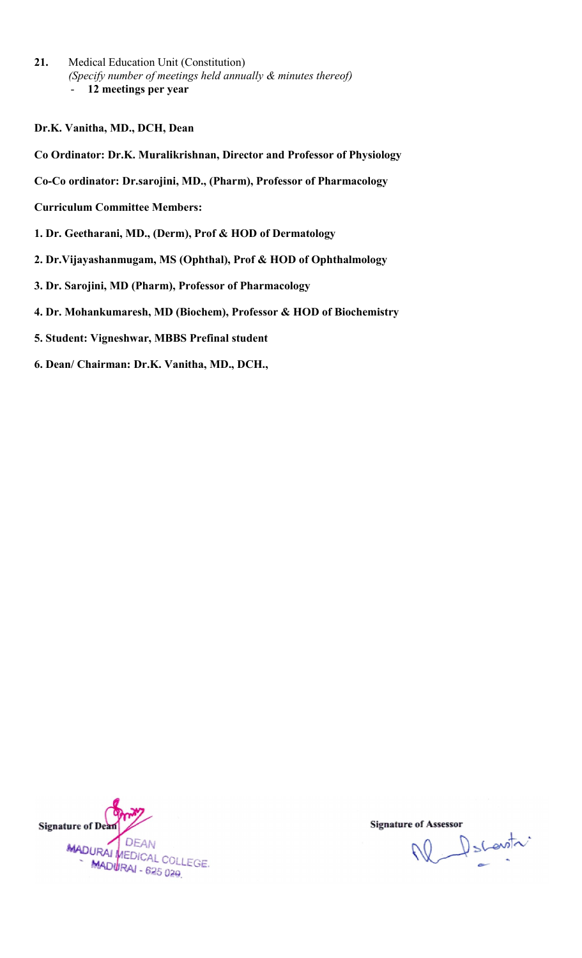- 21. Medical Education Unit (Constitution) *(Specify number of meetings held annually & minutes thereof)* - 12 meetings per year
- Dr.K. Vanitha, MD., DCH, Dean
- Co Ordinator: Dr.K. Muralikrishnan, Director and Professor of Physiology Dr.K. Vanitha, MD., DCH, Dean<br>Co Ordinator: Dr.K. Muralikrishnan, Director and Professor of Physiolo<br>Co-Co ordinator: Dr.sarojini, MD., (Pharm), Professor of Pharmacology
- 
- Curriculum Committee Members:
- 1. Dr. Geetharani, MD., (Derm), Prof & HOD of Dermatology
- 2. Dr.Vijayashanmugam, MS (Ophthal), Prof & HOD of Ophthalmology
- 3. Dr. Sarojini, MD (Pharm), Professor of Pharmacology ashanmugam, MS (Ophthal), Prof<br>ini, MD (Pharm), Professor of Pha<br>nkumaresh, MD (Biochem), Profe<br>Vigneshwar, MBBS Prefinal stude
- 4. Dr. Mohankumaresh, MD (Biochem), Professor & HOD of Biochemistry
- 5. Student: Vigneshwar, MBBS Prefinal student
- 6. Dean/ Chairman: Dr.K. Vanitha, MD., DCH.,



W Dscovitr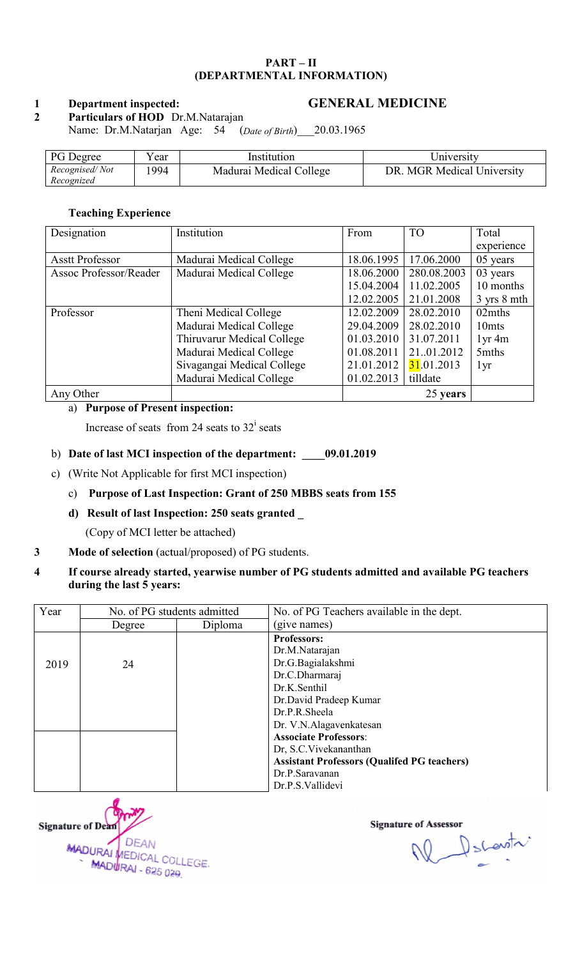#### PART – II (DEPARTMENTAL INFORMATION)

#### 1 Department inspected:

#### GENERAL MEDICINE

2 Particulars of HOD Dr.M.Natarajan Name: Dr.M.Natarjan Age: 54 (*Date of Birth*)\_\_\_20.03.1965

| 20.03.1965<br>Name: Dr.M.Natarjan Age: 54<br>(Date of Birth) |      |                         |                            |  |
|--------------------------------------------------------------|------|-------------------------|----------------------------|--|
| <b>PG</b> Degree                                             | Year | Institution             | University                 |  |
| Recognised/Not<br>Recognized                                 | 1994 | Madurai Medical College | DR. MGR Medical University |  |

#### Teaching Experience Teaching Experience

| Designation            | Institution                | From       | <b>TO</b>   | Total             |
|------------------------|----------------------------|------------|-------------|-------------------|
|                        |                            |            |             | experience        |
| <b>Asstt Professor</b> | Madurai Medical College    | 18.06.1995 | 17.06.2000  | 05 years          |
| Assoc Professor/Reader | Madurai Medical College    | 18.06.2000 | 280.08.2003 | 03 years          |
|                        |                            | 15.04.2004 | 11.02.2005  | 10 months         |
|                        |                            | 12.02.2005 | 21.01.2008  | 3 yrs 8 mth       |
| Professor              | Theni Medical College      | 12.02.2009 | 28.02.2010  | 02mths            |
|                        | Madurai Medical College    | 29.04.2009 | 28.02.2010  | 10 <sub>mts</sub> |
|                        | Thiruvarur Medical College | 01.03.2010 | 31.07.2011  | $1yr$ 4m          |
|                        | Madurai Medical College    | 01.08.2011 | 2101.2012   | 5mths             |
|                        | Sivagangai Medical College | 21.01.2012 | 31.01.2013  | 1yr               |
|                        | Madurai Medical College    | 01.02.2013 | tilldate    |                   |
| Any Other              |                            |            | 25 years    |                   |

#### a) Purpose of Present inspection:

Increase of seats from 24 seats to  $32^i$  seats

#### b) Date of last MCI inspection of the department: \_\_\_\_09.01.2019

c) (Write Not Applicable for first MCI inspection)

#### c) Purpose of Last Inspection: Grant of 250 MBBS seats from 155

d) Result of last Inspection: 250 seats granted

(Copy of MCI letter be attached)

#### 3 Mode of selection (actual/proposed) of PG students.

4 If course already started, yearwise number of PG students admitted and available PG during the last 5 years: The department: 199.01.2019<br>
MCI inspection)<br>
1: Grant of 250 MBBS seats from 155<br>
150 seats granted 1<br>
hed)<br>
199.01.2019<br>
155<br>
169 seats granted 2<br>
hed)<br>
199.01 of PG students.<br>
199.01 wise number of PG students admitted

| Year | No. of PG students admitted |         | No. of PG Teachers available in the dept.          |
|------|-----------------------------|---------|----------------------------------------------------|
|      | Degree                      | Diploma | (give names)                                       |
|      |                             |         | Professors:                                        |
|      |                             |         | Dr.M.Natarajan                                     |
| 2019 | 24                          |         | Dr.G.Bagialakshmi                                  |
|      |                             |         | Dr.C.Dharmaraj                                     |
|      |                             |         | Dr.K.Senthil                                       |
|      |                             |         | Dr.David Pradeep Kumar                             |
|      |                             |         | Dr.P.R.Sheela                                      |
|      |                             |         | Dr. V.N.Alagavenkatesan                            |
|      |                             |         | <b>Associate Professors:</b>                       |
|      |                             |         | Dr, S.C. Vivekananthan                             |
|      |                             |         | <b>Assistant Professors (Qualifed PG teachers)</b> |
|      |                             |         | Dr.P.Saravanan                                     |
|      |                             |         | Dr.P.S.Vallidevi                                   |



Ne Decentr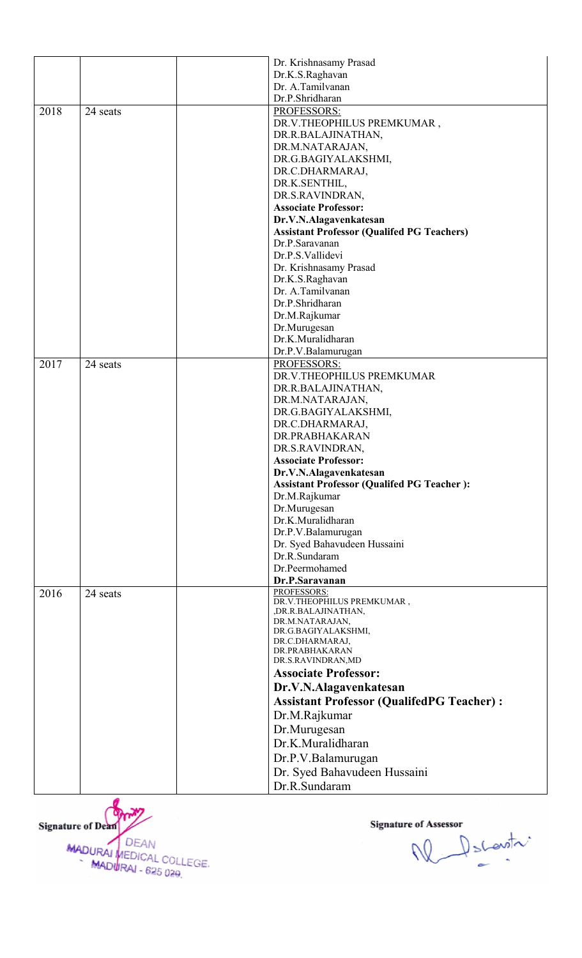|      |          | Dr. Krishnasamy Prasad                            |
|------|----------|---------------------------------------------------|
|      |          | Dr.K.S.Raghavan                                   |
|      |          | Dr. A.Tamilvanan                                  |
|      |          | Dr.P.Shridharan                                   |
| 2018 | 24 seats | PROFESSORS:                                       |
|      |          | DR.V.THEOPHILUS PREMKUMAR,                        |
|      |          | DR.R.BALAJINATHAN,                                |
|      |          | DR.M.NATARAJAN,                                   |
|      |          | DR.G.BAGIYALAKSHMI,                               |
|      |          | DR.C.DHARMARAJ,                                   |
|      |          | DR.K.SENTHIL,                                     |
|      |          | DR.S.RAVINDRAN,                                   |
|      |          | <b>Associate Professor:</b>                       |
|      |          | Dr.V.N.Alagavenkatesan                            |
|      |          | <b>Assistant Professor (Qualifed PG Teachers)</b> |
|      |          | Dr.P.Saravanan                                    |
|      |          | Dr.P.S.Vallidevi                                  |
|      |          | Dr. Krishnasamy Prasad                            |
|      |          | Dr.K.S.Raghavan                                   |
|      |          | Dr. A.Tamilvanan                                  |
|      |          | Dr.P.Shridharan                                   |
|      |          | Dr.M.Rajkumar                                     |
|      |          | Dr.Murugesan                                      |
|      |          | Dr.K.Muralidharan                                 |
|      |          | Dr.P.V.Balamurugan                                |
| 2017 | 24 seats | PROFESSORS:                                       |
|      |          | DR.V.THEOPHILUS PREMKUMAR                         |
|      |          | DR.R.BALAJINATHAN,                                |
|      |          | DR.M.NATARAJAN,                                   |
|      |          | DR.G.BAGIYALAKSHMI,                               |
|      |          | DR.C.DHARMARAJ,                                   |
|      |          | DR.PRABHAKARAN                                    |
|      |          | DR.S.RAVINDRAN,                                   |
|      |          | <b>Associate Professor:</b>                       |
|      |          | Dr.V.N.Alagavenkatesan                            |
|      |          | <b>Assistant Professor (Qualifed PG Teacher):</b> |
|      |          | Dr.M.Rajkumar                                     |
|      |          | Dr.Murugesan                                      |
|      |          | Dr.K.Muralidharan                                 |
|      |          | Dr.P.V.Balamurugan                                |
|      |          | Dr. Syed Bahavudeen Hussaini                      |
|      |          | Dr.R.Sundaram                                     |
|      |          | Dr.Peermohamed                                    |
|      |          | Dr.P.Saravanan                                    |
| 2016 | 24 seats | PROFESSORS:                                       |
|      |          | DR.V.THEOPHILUS PREMKUMAR,                        |
|      |          | , DR.R.BALAJINATHAN,<br>DR.M.NATARAJAN,           |
|      |          | DR.G.BAGIYALAKSHMI,                               |
|      |          | DR.C.DHARMARAJ,                                   |
|      |          | DR.PRABHAKARAN                                    |
|      |          | DR.S.RAVINDRAN,MD                                 |
|      |          | <b>Associate Professor:</b>                       |
|      |          | Dr.V.N.Alagavenkatesan                            |
|      |          | <b>Assistant Professor (QualifedPG Teacher):</b>  |
|      |          | Dr.M.Rajkumar                                     |
|      |          | Dr.Murugesan                                      |
|      |          | Dr.K.Muralidharan                                 |
|      |          | Dr.P.V.Balamurugan                                |
|      |          |                                                   |
|      |          | Dr. Syed Bahavudeen Hussaini                      |
|      |          | Dr.R.Sundaram                                     |



W Decentr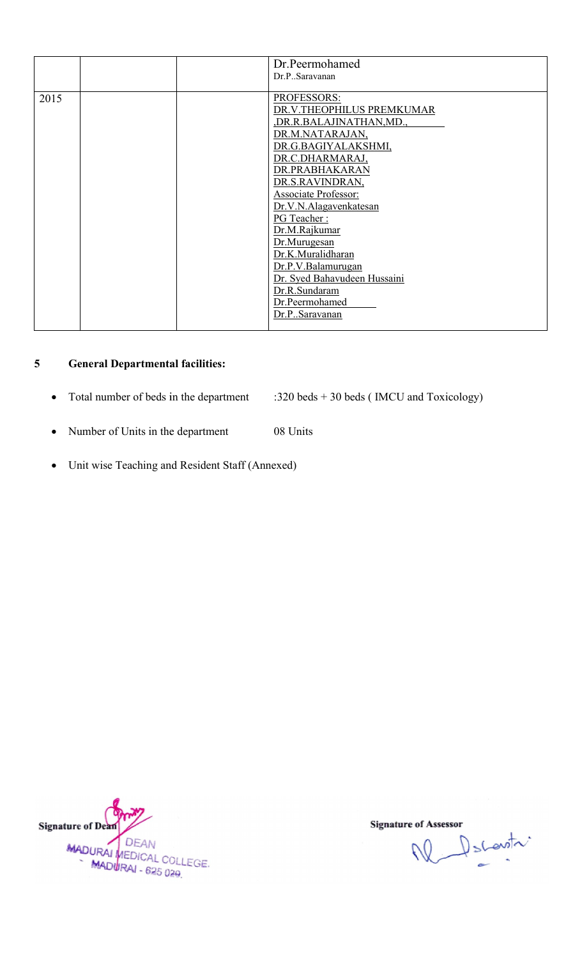|      |  | Dr.Peermohamed               |
|------|--|------------------------------|
|      |  | Dr.P. Saravanan              |
|      |  |                              |
| 2015 |  | <b>PROFESSORS:</b>           |
|      |  | DR.V.THEOPHILUS PREMKUMAR    |
|      |  | DR.R.BALAJINATHAN, MD.,      |
|      |  | DR.M.NATARAJAN,              |
|      |  | DR.G.BAGIYALAKSHMI,          |
|      |  | DR.C.DHARMARAJ,              |
|      |  | DR.PRABHAKARAN               |
|      |  | DR.S.RAVINDRAN,              |
|      |  | <b>Associate Professor:</b>  |
|      |  | Dr.V.N.Alagavenkatesan       |
|      |  | PG Teacher:                  |
|      |  | Dr.M.Rajkumar                |
|      |  | Dr.Murugesan                 |
|      |  | Dr.K.Muralidharan            |
|      |  | Dr.P.V.Balamurugan           |
|      |  | Dr. Syed Bahavudeen Hussaini |
|      |  | Dr.R.Sundaram                |
|      |  | Dr.Peermohamed               |
|      |  | Dr.PSaravanan                |
|      |  |                              |

#### 5 General Departmental facilities:

- Total number of beds in the department :320 beds + 30 beds ( IMCU and Toxicology) 320
- Number of Units in the department 08 Units
- Unit wise Teaching and Resident Staff (Annexed)



W Dscovitr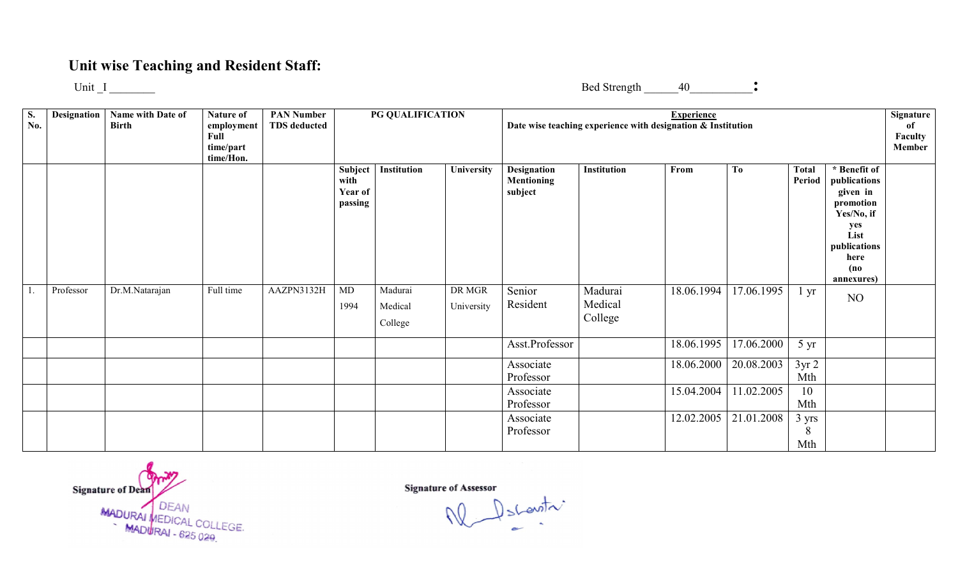## Unit wise Teaching and Resident Staff:

Unit  $I$ 

Bed Strength  $40$ 

S. No. Designation | Name with Date of Birth Nature of employment Full time/part time/Hon. PAN Number TDS deducted 1. Professor Dr.M.Natarajan Full time AAZPN3132H PG QUALIFICATION Date wise teaching experience with designation & Institution Subject with Year of passing Institution University Designation Mentioning subject MD 1994 Madurai Medical College DR MGR University Senior Resident Asst.Professor Associate Professor Associate Professor Associate Professor Experience Institution | From | To | Total Period \* Benefit of publications given in promotion Yes/No, if if yes publications annexures) annexures)Madurai Medical College 18.06.1994 17.06.1995 1 yr 18.06.1995 17.06.2000 5 yr 18.06.2000 20.08.2003 3yr 2 Mth 15.04.2004 11.02.2005 10 Mth 12.02.2005 21.01.2008 3 yrs 8 Mth Signature of Faculty Member List here (no NO

Signature of Dean MADURAI MEDICAL COLLEGE.<br>MADURAI - 625 029

Signature of Assessor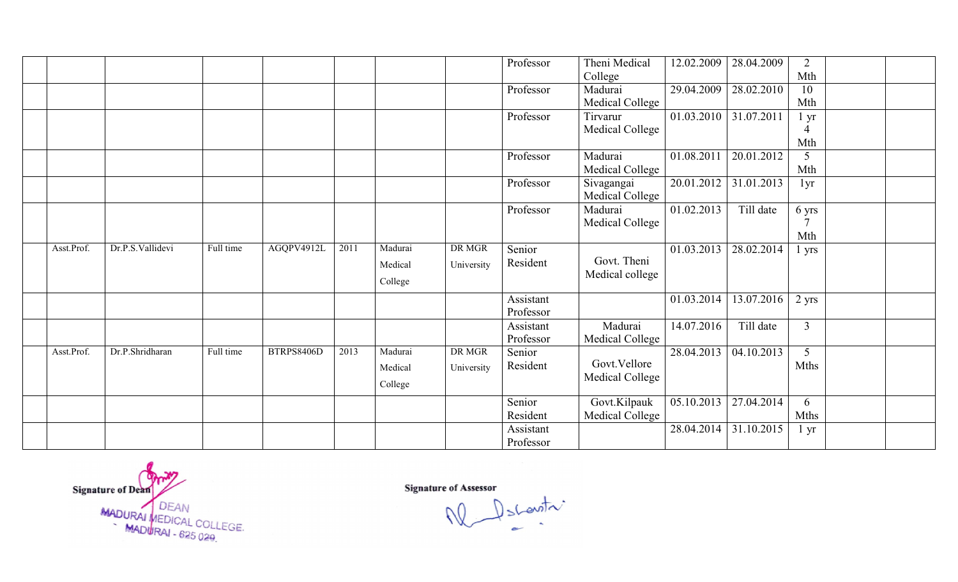|            |                  |           |                   |      |         |            | Professor | Theni Medical   | 12.02.2009              | 28.04.2009 | $\overline{2}$  |  |
|------------|------------------|-----------|-------------------|------|---------|------------|-----------|-----------------|-------------------------|------------|-----------------|--|
|            |                  |           |                   |      |         |            |           | College         |                         |            | Mth             |  |
|            |                  |           |                   |      |         |            | Professor | Madurai         | $\overline{29.04.2009}$ | 28.02.2010 | 10              |  |
|            |                  |           |                   |      |         |            |           | Medical College |                         |            | Mth             |  |
|            |                  |           |                   |      |         |            | Professor | Tirvarur        | 01.03.2010              | 31.07.2011 | $1 \, yr$       |  |
|            |                  |           |                   |      |         |            |           | Medical College |                         |            | 4               |  |
|            |                  |           |                   |      |         |            |           |                 |                         |            | Mth             |  |
|            |                  |           |                   |      |         |            | Professor | Madurai         | 01.08.2011              | 20.01.2012 | 5               |  |
|            |                  |           |                   |      |         |            |           | Medical College |                         |            | Mth             |  |
|            |                  |           |                   |      |         |            | Professor | Sivagangai      | 20.01.2012              | 31.01.2013 | 1yr             |  |
|            |                  |           |                   |      |         |            |           | Medical College |                         |            |                 |  |
|            |                  |           |                   |      |         |            | Professor | Madurai         | 01.02.2013              | Till date  | 6 yrs           |  |
|            |                  |           |                   |      |         |            |           | Medical College |                         |            |                 |  |
|            |                  |           |                   |      |         |            |           |                 |                         |            | Mth             |  |
| Asst.Prof. | Dr.P.S.Vallidevi | Full time | AGQPV4912L        | 2011 | Madurai | DR MGR     | Senior    |                 | 01.03.2013              | 28.02.2014 | 1 yrs           |  |
|            |                  |           |                   |      | Medical | University | Resident  | Govt. Theni     |                         |            |                 |  |
|            |                  |           |                   |      | College |            |           | Medical college |                         |            |                 |  |
|            |                  |           |                   |      |         |            |           |                 |                         |            |                 |  |
|            |                  |           |                   |      |         |            | Assistant |                 | 01.03.2014              | 13.07.2016 | $2$ yrs         |  |
|            |                  |           |                   |      |         |            | Professor |                 |                         |            |                 |  |
|            |                  |           |                   |      |         |            | Assistant | Madurai         | 14.07.2016              | Till date  | $\overline{3}$  |  |
|            |                  |           |                   |      |         |            | Professor | Medical College |                         |            |                 |  |
| Asst.Prof. | Dr.P.Shridharan  | Full time | <b>BTRPS8406D</b> | 2013 | Madurai | DR MGR     | Senior    |                 | 28.04.2013              | 04.10.2013 | 5               |  |
|            |                  |           |                   |      | Medical | University | Resident  | Govt. Vellore   |                         |            | Mths            |  |
|            |                  |           |                   |      | College |            |           | Medical College |                         |            |                 |  |
|            |                  |           |                   |      |         |            | Senior    | Govt.Kilpauk    | 05.10.2013              | 27.04.2014 | 6               |  |
|            |                  |           |                   |      |         |            | Resident  | Medical College |                         |            | <b>Mths</b>     |  |
|            |                  |           |                   |      |         |            |           |                 |                         | 31.10.2015 |                 |  |
|            |                  |           |                   |      |         |            | Assistant |                 | 28.04.2014              |            | $1 \mathrm{yr}$ |  |
|            |                  |           |                   |      |         |            | Professor |                 |                         |            |                 |  |

Signature of Dean<br>MADURAI MEDICAL COLLEGE.<br>MADURAI - 625 029.

Signature of Assessor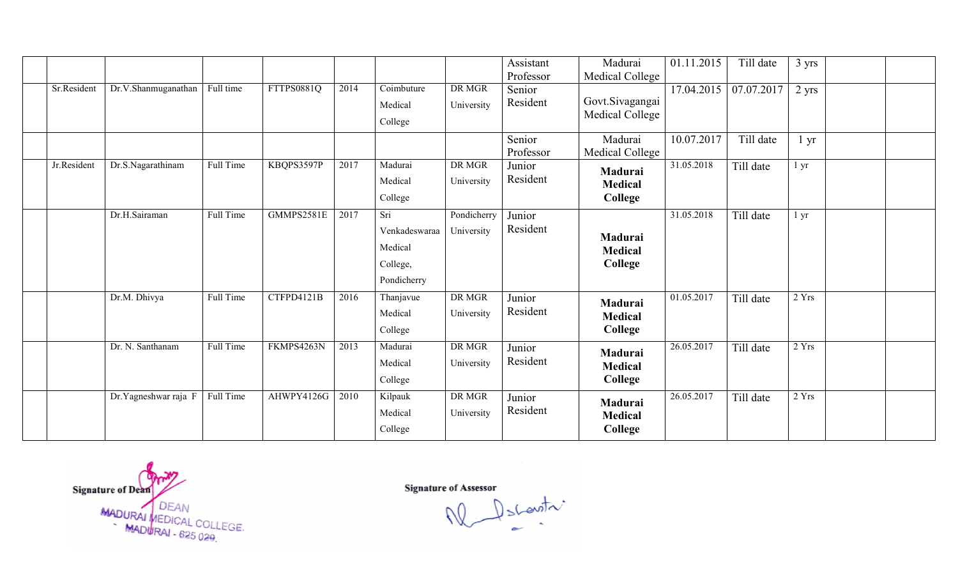|             |                      |           |                   |      |                                                               |                             | Assistant<br>Professor | Madurai<br>Medical College                  | 01.11.2015              | Till date  | 3 yrs           |  |
|-------------|----------------------|-----------|-------------------|------|---------------------------------------------------------------|-----------------------------|------------------------|---------------------------------------------|-------------------------|------------|-----------------|--|
| Sr.Resident | Dr.V.Shanmuganathan  | Full time | <b>FTTPS0881Q</b> | 2014 | $\overline{\text{C}^{\text{o}}\text{}}$<br>Medical<br>College | DR MGR<br>University        | Senior<br>Resident     | Govt.Sivagangai<br><b>Medical College</b>   | $\overline{17.04.2015}$ | 07.07.2017 | $2 \text{ yrs}$ |  |
|             |                      |           |                   |      |                                                               |                             | Senior<br>Professor    | Madurai<br>Medical College                  | 10.07.2017              | Till date  | l yr            |  |
| Jr.Resident | Dr.S.Nagarathinam    | Full Time | KBQPS3597P        | 2017 | Madurai<br>Medical<br>College                                 | DR MGR<br>University        | Junior<br>Resident     | Madurai<br>Medical<br>College               | 31.05.2018              | Till date  | 1 <sub>yr</sub> |  |
|             | Dr.H.Sairaman        | Full Time | GMMPS2581E        | 2017 | Sri<br>Venkadeswaraa<br>Medical<br>College,<br>Pondicherry    | Pondicherry<br>University   | Junior<br>Resident     | Madurai<br><b>Medical</b><br>College        | 31.05.2018              | Till date  | 1 <sub>yr</sub> |  |
|             | Dr.M. Dhivya         | Full Time | CTFPD4121B        | 2016 | Thanjavue<br>Medical<br>College                               | DR MGR<br>University        | Junior<br>Resident     | Madurai<br><b>Medical</b><br><b>College</b> | 01.05.2017              | Till date  | 2 Yrs           |  |
|             | Dr. N. Santhanam     | Full Time | FKMPS4263N        | 2013 | Madurai<br>Medical<br>College                                 | <b>DR MGR</b><br>University | Junior<br>Resident     | Madurai<br><b>Medical</b><br><b>College</b> | 26.05.2017              | Till date  | 2 Yrs           |  |
|             | Dr.Yagneshwar raja F | Full Time | AHWPY4126G        | 2010 | Kilpauk<br>Medical<br>College                                 | DR MGR<br>University        | Junior<br>Resident     | Madurai<br><b>Medical</b><br><b>College</b> | 26.05.2017              | Till date  | 2 Yrs           |  |

Signature of Dean<br>MADURAI MEDICAL COLLEGE.<br>MADURAI - 625 029.

Signature of Assessor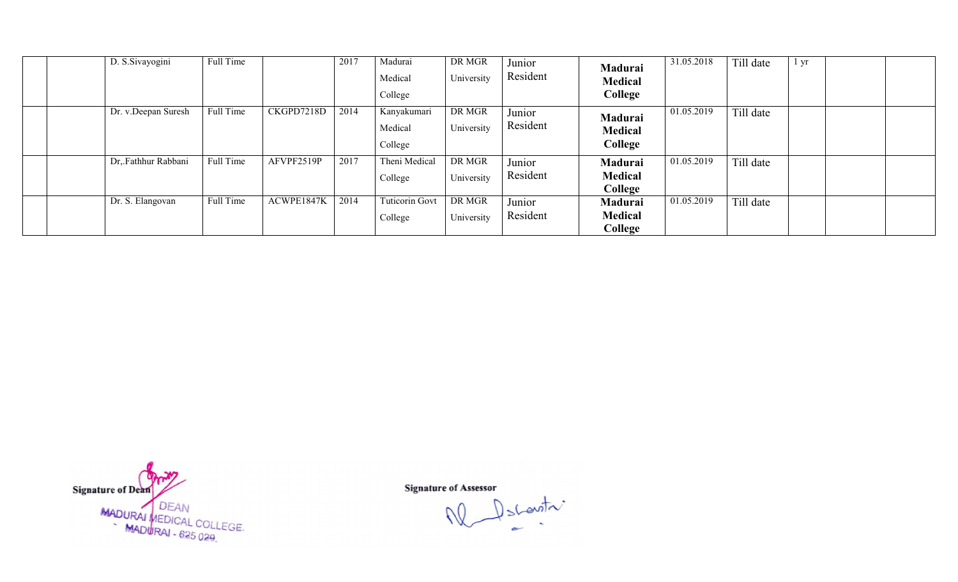|  | D. S. Sivayogini    | Full Time |            | 2017 | Madurai<br>Medical<br>College     | DR MGR<br>University | Junior<br>Resident | Madurai<br><b>Medical</b><br>College | 31.05.2018 | Till date | l yr |  |
|--|---------------------|-----------|------------|------|-----------------------------------|----------------------|--------------------|--------------------------------------|------------|-----------|------|--|
|  | Dr. v.Deepan Suresh | Full Time | CKGPD7218D | 2014 | Kanyakumari<br>Medical<br>College | DR MGR<br>University | Junior<br>Resident | Madurai<br><b>Medical</b><br>College | 01.05.2019 | Till date |      |  |
|  | Dr, Fathhur Rabbani | Full Time | AFVPF2519P | 2017 | Theni Medical<br>College          | DR MGR<br>University | Junior<br>Resident | Madurai<br><b>Medical</b><br>College | 01.05.2019 | Till date |      |  |
|  | Dr. S. Elangovan    | Full Time | ACWPE1847K | 2014 | <b>Tuticorin Govt</b><br>College  | DR MGR<br>University | Junior<br>Resident | Madurai<br>Medical<br>College        | 01.05.2019 | Till date |      |  |

Signature of Dean<br>MADURAI MEDICAL COLLEGE.<br>MADURAI - 625 029.

Descentre W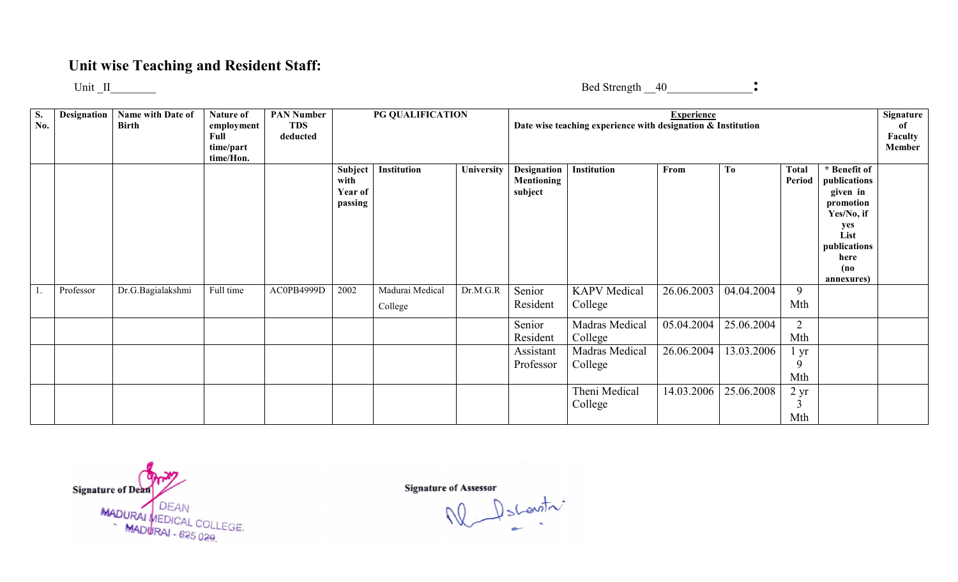## Unit wise Teaching and Resident Staff:

Unit \_II\_\_\_\_\_\_\_\_

Bed Strength \_\_40\_\_\_\_\_\_\_\_\_\_\_\_\_\_\_:

| S.<br>No. | <b>Designation</b> | Name with Date of<br><b>Birth</b> | Nature of<br>employment<br>Full<br>time/part<br>time/Hon. | <b>PAN Number</b><br><b>TDS</b><br>deducted |                                       | PG QUALIFICATION           |            |                                      | Date wise teaching experience with designation & Institution | <b>Experience</b> |                |                             |                                                                                                                                  | Signature<br>of<br>Faculty<br><b>Member</b> |
|-----------|--------------------|-----------------------------------|-----------------------------------------------------------|---------------------------------------------|---------------------------------------|----------------------------|------------|--------------------------------------|--------------------------------------------------------------|-------------------|----------------|-----------------------------|----------------------------------------------------------------------------------------------------------------------------------|---------------------------------------------|
|           |                    |                                   |                                                           |                                             | Subject<br>with<br>Year of<br>passing | Institution                | University | Designation<br>Mentioning<br>subject | Institution                                                  | From              | T <sub>0</sub> | <b>Total</b><br>Period      | * Benefit of<br>publications<br>given in<br>promotion<br>Yes/No, if<br>yes<br>List<br>publications<br>here<br>(no)<br>annexures) |                                             |
|           | Professor          | Dr.G.Bagialakshmi                 | Full time                                                 | AC0PB4999D                                  | 2002                                  | Madurai Medical<br>College | Dr.M.G.R   | Senior<br>Resident                   | <b>KAPV</b> Medical<br>College                               | 26.06.2003        | 04.04.2004     | 9<br>Mth                    |                                                                                                                                  |                                             |
|           |                    |                                   |                                                           |                                             |                                       |                            |            | Senior<br>Resident                   | Madras Medical<br>College                                    | 05.04.2004        | 25.06.2004     | 2<br>Mth                    |                                                                                                                                  |                                             |
|           |                    |                                   |                                                           |                                             |                                       |                            |            | Assistant<br>Professor               | Madras Medical<br>College                                    | 26.06.2004        | 13.03.2006     | yr<br>9<br>Mth              |                                                                                                                                  |                                             |
|           |                    |                                   |                                                           |                                             |                                       |                            |            |                                      | Theni Medical<br>College                                     | 14.03.2006        | 25.06.2008     | 2 <sub>yr</sub><br>3<br>Mth |                                                                                                                                  |                                             |

Signature of Dean MADURAI MEDICAL COLLEGE.<br>MADURAI - 625 020

Signature of Assessor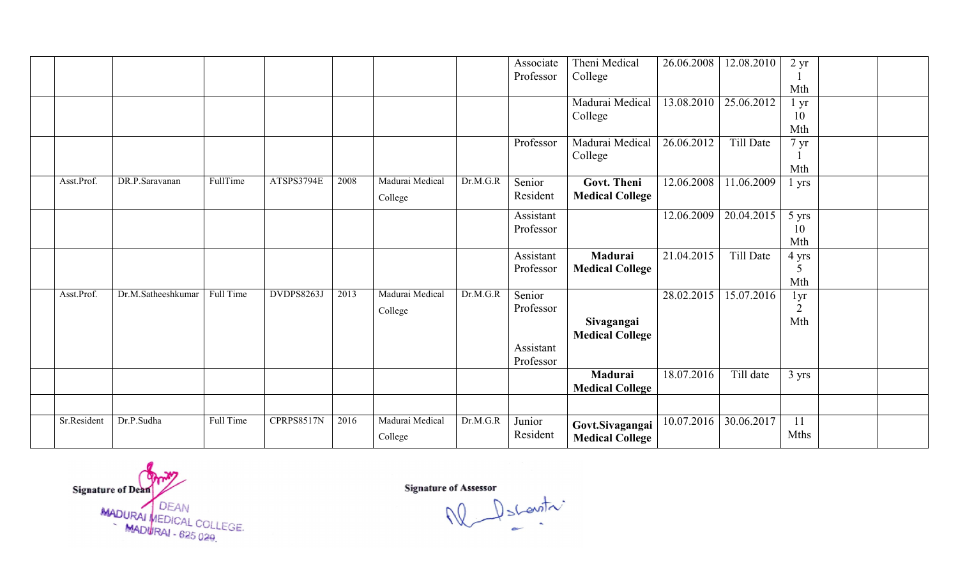|             |                    |           |                   |      |                 |          | Associate | Theni Medical          | 26.06.2008 | 12.08.2010 | $2 \text{ yr}$        |  |
|-------------|--------------------|-----------|-------------------|------|-----------------|----------|-----------|------------------------|------------|------------|-----------------------|--|
|             |                    |           |                   |      |                 |          | Professor | College                |            |            |                       |  |
|             |                    |           |                   |      |                 |          |           |                        |            |            | Mth                   |  |
|             |                    |           |                   |      |                 |          |           | Madurai Medical        | 13.08.2010 | 25.06.2012 | l yr                  |  |
|             |                    |           |                   |      |                 |          |           | College                |            |            | 10                    |  |
|             |                    |           |                   |      |                 |          |           |                        |            |            | Mth                   |  |
|             |                    |           |                   |      |                 |          | Professor | Madurai Medical        | 26.06.2012 | Till Date  | $7 \text{ yr}$        |  |
|             |                    |           |                   |      |                 |          |           | College                |            |            | Mth                   |  |
| Asst.Prof.  | DR.P.Saravanan     | FullTime  | ATSPS3794E        | 2008 | Madurai Medical | Dr.M.G.R | Senior    | Govt. Theni            | 12.06.2008 | 11.06.2009 | 1 yrs                 |  |
|             |                    |           |                   |      |                 |          | Resident  | <b>Medical College</b> |            |            |                       |  |
|             |                    |           |                   |      | College         |          |           |                        |            |            |                       |  |
|             |                    |           |                   |      |                 |          | Assistant |                        | 12.06.2009 | 20.04.2015 | 5 yrs                 |  |
|             |                    |           |                   |      |                 |          | Professor |                        |            |            | 10                    |  |
|             |                    |           |                   |      |                 |          |           |                        |            |            | Mth                   |  |
|             |                    |           |                   |      |                 |          | Assistant | Madurai                | 21.04.2015 | Till Date  | 4 yrs                 |  |
|             |                    |           |                   |      |                 |          | Professor | <b>Medical College</b> |            |            | 5<br>Mth              |  |
| Asst.Prof.  | Dr.M.Satheeshkumar | Full Time | <b>DVDPS8263J</b> | 2013 | Madurai Medical | Dr.M.G.R | Senior    |                        | 28.02.2015 | 15.07.2016 |                       |  |
|             |                    |           |                   |      |                 |          | Professor |                        |            |            | 1yr<br>$\overline{2}$ |  |
|             |                    |           |                   |      | College         |          |           | Sivagangai             |            |            | Mth                   |  |
|             |                    |           |                   |      |                 |          |           | <b>Medical College</b> |            |            |                       |  |
|             |                    |           |                   |      |                 |          | Assistant |                        |            |            |                       |  |
|             |                    |           |                   |      |                 |          | Professor |                        |            |            |                       |  |
|             |                    |           |                   |      |                 |          |           | Madurai                | 18.07.2016 | Till date  | 3 yrs                 |  |
|             |                    |           |                   |      |                 |          |           | <b>Medical College</b> |            |            |                       |  |
|             |                    |           |                   |      |                 |          |           |                        |            |            |                       |  |
| Sr.Resident | Dr.P.Sudha         | Full Time | CPRPS8517N        | 2016 | Madurai Medical | Dr.M.G.R | Junior    |                        | 10.07.2016 | 30.06.2017 | 11                    |  |
|             |                    |           |                   |      |                 |          | Resident  | Govt.Sivagangai        |            |            | <b>Mths</b>           |  |
|             |                    |           |                   |      | College         |          |           | <b>Medical College</b> |            |            |                       |  |

Signature of Dean<br>MADURAI MEDICAL COLLEGE.<br>MADURAI - 625 029.

Signature of Assessor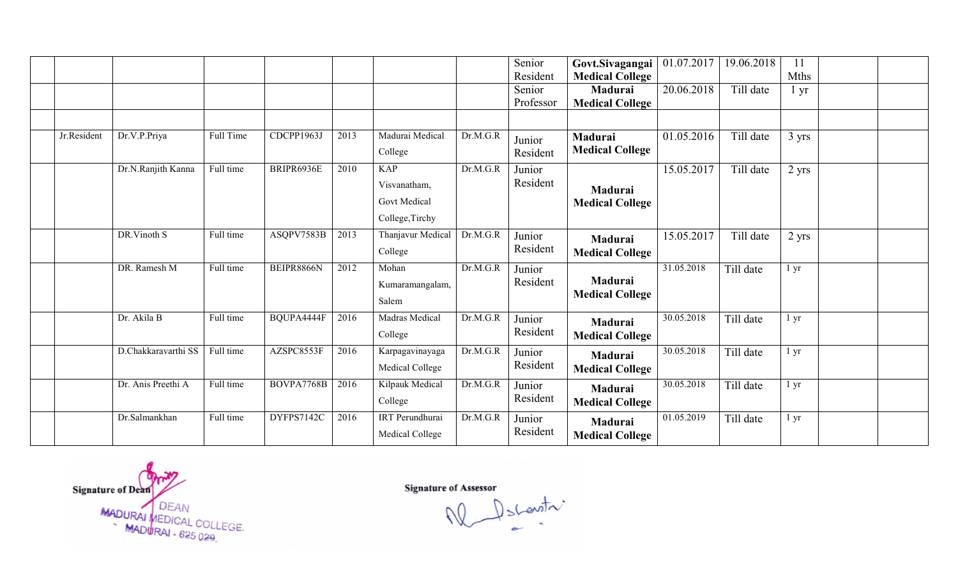|             |                     |           |            |      |                                                                      |          | Senior<br>Resident  | Govt.Sivagangai<br><b>Medical College</b> | 01.07.2017              | 19.06.2018 | 11<br>Mths      |  |
|-------------|---------------------|-----------|------------|------|----------------------------------------------------------------------|----------|---------------------|-------------------------------------------|-------------------------|------------|-----------------|--|
|             |                     |           |            |      |                                                                      |          | Senior<br>Professor | Madurai<br><b>Medical College</b>         | 20.06.2018              | Till date  | l yr            |  |
|             |                     |           |            |      |                                                                      |          |                     |                                           |                         |            |                 |  |
| Jr.Resident | Dr.V.P.Priya        | Full Time | CDCPP1963J | 2013 | Madurai Medical<br>College                                           | Dr.M.G.R | Junior<br>Resident  | Madurai<br><b>Medical College</b>         | 01.05.2016              | Till date  | 3 yrs           |  |
|             | Dr.N.Ranjith Kanna  | Full time | BRIPR6936E | 2010 | <b>KAP</b><br>Visvanatham,<br><b>Govt Medical</b><br>College, Tirchy | Dr.M.G.R | Junior<br>Resident  | Madurai<br><b>Medical College</b>         | $\overline{15.05.2017}$ | Till date  | $2 \text{ yrs}$ |  |
|             | DR.Vinoth S         | Full time | ASQPV7583B | 2013 | Thanjavur Medical<br>College                                         | Dr.M.G.R | Junior<br>Resident  | Madurai<br><b>Medical College</b>         | 15.05.2017              | Till date  | $2 \text{ yrs}$ |  |
|             | DR. Ramesh M        | Full time | BEIPR8866N | 2012 | Mohan<br>Kumaramangalam,<br>Salem                                    | Dr.M.G.R | Junior<br>Resident  | Madurai<br><b>Medical College</b>         | 31.05.2018              | Till date  | 1 yr            |  |
|             | Dr. Akila B         | Full time | BQUPA4444F | 2016 | <b>Madras Medical</b><br>College                                     | Dr.M.G.R | Junior<br>Resident  | Madurai<br><b>Medical College</b>         | 30.05.2018              | Till date  | $1 \, yr$       |  |
|             | D.Chakkaravarthi SS | Full time | AZSPC8553F | 2016 | Karpagavinayaga<br>Medical College                                   | Dr.M.G.R | Junior<br>Resident  | Madurai<br><b>Medical College</b>         | 30.05.2018              | Till date  | l yr            |  |
|             | Dr. Anis Preethi A  | Full time | BOVPA7768B | 2016 | Kilpauk Medical<br>College                                           | Dr.M.G.R | Junior<br>Resident  | <b>Madurai</b><br><b>Medical College</b>  | 30.05.2018              | Till date  | 1 yr            |  |
|             | Dr.Salmankhan       | Full time | DYFPS7142C | 2016 | <b>IRT</b> Perundhurai<br>Medical College                            | Dr.M.G.R | Junior<br>Resident  | Madurai<br><b>Medical College</b>         | 01.05.2019              | Till date  | 1 yr            |  |

Signature of Dean<br>MADURAI MEDICAL COLLEGE.<br>MADURAI - 625 029.

Signature of Assessor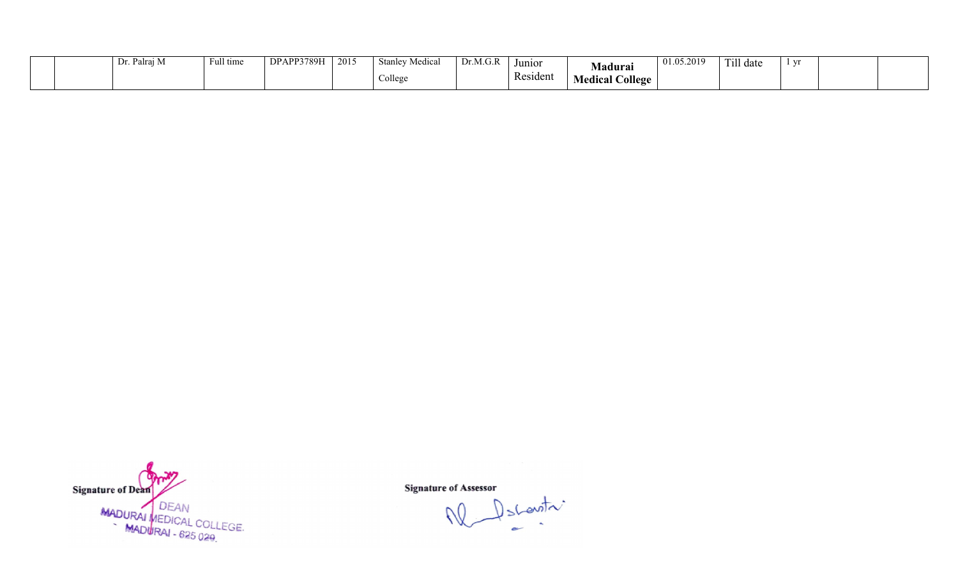|  | l se ca<br>$L_1$ . Talia | Full time | DPAPP3789H | 2015 | Medica<br>Stanle  | Dr.M.G.R | Junior   | Madurai                     | 01.05.2019 | $T = 11$<br>1 ill date | $ -$ |  |
|--|--------------------------|-----------|------------|------|-------------------|----------|----------|-----------------------------|------------|------------------------|------|--|
|  |                          |           |            |      | $\sim$<br>College |          | Resident | <b>Jollege</b><br>Medical C |            |                        |      |  |



Descentre W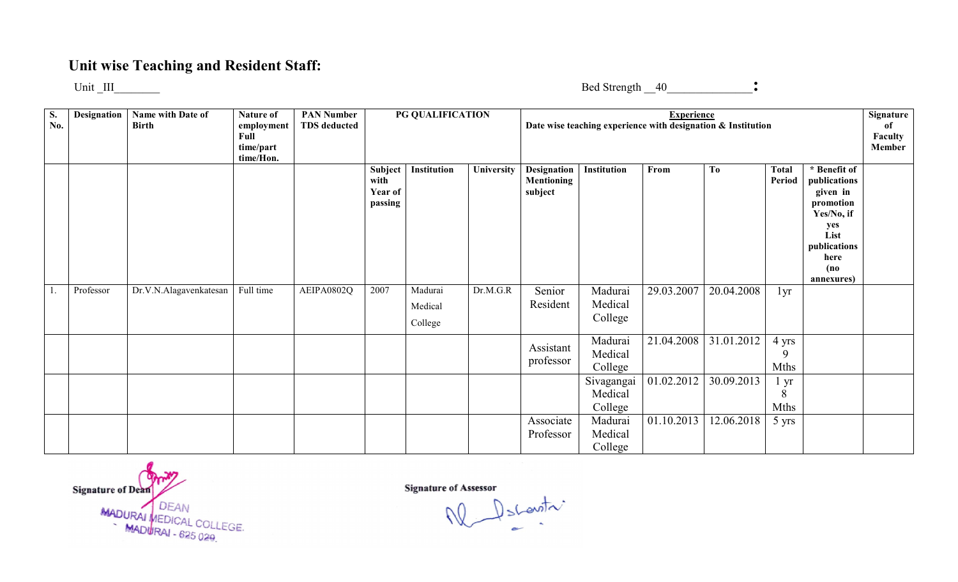## Unit wise Teaching and Resident Staff:

Unit \_III\_\_\_\_\_\_\_\_

Bed Strength \_\_40\_\_\_\_\_\_\_\_\_\_\_\_\_\_\_:

| S.<br>No. | Designation | Name with Date of<br><b>Birth</b> | Nature of<br>employment<br>Full<br>time/part<br>time/Hon. | <b>PAN Number</b><br><b>TDS</b> deducted |                                       | PG QUALIFICATION              |            |                                             | Date wise teaching experience with designation & Institution | <b>Experience</b> |                       |                           |                                                                                                                                  | Signature<br>оf<br>Faculty<br>Member |
|-----------|-------------|-----------------------------------|-----------------------------------------------------------|------------------------------------------|---------------------------------------|-------------------------------|------------|---------------------------------------------|--------------------------------------------------------------|-------------------|-----------------------|---------------------------|----------------------------------------------------------------------------------------------------------------------------------|--------------------------------------|
|           |             |                                   |                                                           |                                          | Subject<br>with<br>Year of<br>passing | Institution                   | University | Designation<br><b>Mentioning</b><br>subject | Institution                                                  | From              | T <sub>0</sub>        | <b>Total</b><br>Period    | * Benefit of<br>publications<br>given in<br>promotion<br>Yes/No, if<br>yes<br>List<br>publications<br>here<br>(no)<br>annexures) |                                      |
| -1.       | Professor   | Dr.V.N.Alagavenkatesan            | Full time                                                 | AEIPA0802Q                               | 2007                                  | Madurai<br>Medical<br>College | Dr.M.G.R   | Senior<br>Resident                          | Madurai<br>Medical<br>College                                | 29.03.2007        | 20.04.2008            | 1yr                       |                                                                                                                                  |                                      |
|           |             |                                   |                                                           |                                          |                                       |                               |            | Assistant<br>professor                      | Madurai<br>Medical<br>College                                |                   | 21.04.2008 31.01.2012 | 4 yrs<br>9<br><b>Mths</b> |                                                                                                                                  |                                      |
|           |             |                                   |                                                           |                                          |                                       |                               |            |                                             | Sivagangai<br>Medical<br>College                             | 01.02.2012        | 30.09.2013            | 1 yr<br>8<br><b>Mths</b>  |                                                                                                                                  |                                      |
|           |             |                                   |                                                           |                                          |                                       |                               |            | Associate<br>Professor                      | Madurai<br>Medical<br>College                                | 01.10.2013        | 12.06.2018            | 5 yrs                     |                                                                                                                                  |                                      |

Signature of Dean MADURAI MEDICAL COLLEGE.<br>MADURAI - 625 029

 $\int_{S}$  control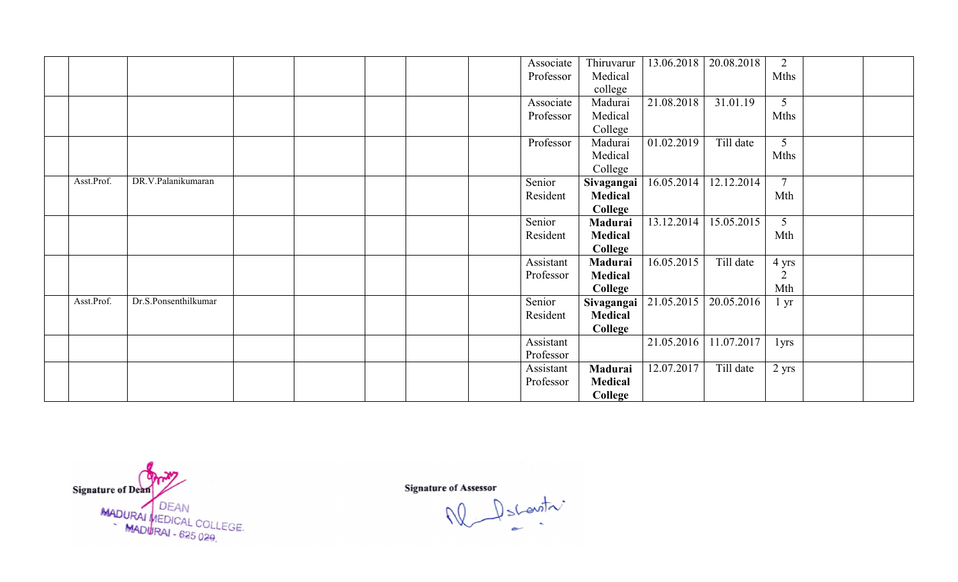|            |                      |  |  | Associate | Thiruvarur |                         | $13.06.2018$   20.08.2018 | 2                |  |
|------------|----------------------|--|--|-----------|------------|-------------------------|---------------------------|------------------|--|
|            |                      |  |  | Professor | Medical    |                         |                           | Mths             |  |
|            |                      |  |  |           | college    |                         |                           |                  |  |
|            |                      |  |  | Associate | Madurai    | 21.08.2018              | 31.01.19                  | $5\overline{)}$  |  |
|            |                      |  |  | Professor | Medical    |                         |                           | <b>Mths</b>      |  |
|            |                      |  |  |           | College    |                         |                           |                  |  |
|            |                      |  |  | Professor | Madurai    | 01.02.2019              | Till date                 | 5 <sup>5</sup>   |  |
|            |                      |  |  |           | Medical    |                         |                           | <b>Mths</b>      |  |
|            |                      |  |  |           | College    |                         |                           |                  |  |
| Asst.Prof. | DR.V.Palanikumaran   |  |  | Senior    | Sivagangai | 16.05.2014              | 12.12.2014                | $\overline{7}$   |  |
|            |                      |  |  | Resident  | Medical    |                         |                           | Mth              |  |
|            |                      |  |  |           | College    |                         |                           |                  |  |
|            |                      |  |  | Senior    | Madurai    | 13.12.2014              | 15.05.2015                | $\overline{5}$   |  |
|            |                      |  |  | Resident  | Medical    |                         |                           | Mth              |  |
|            |                      |  |  |           | College    |                         |                           |                  |  |
|            |                      |  |  | Assistant | Madurai    | 16.05.2015              | Till date                 | 4 yrs            |  |
|            |                      |  |  | Professor | Medical    |                         |                           | $\overline{2}$   |  |
|            |                      |  |  |           | College    |                         |                           | Mth              |  |
| Asst.Prof. | Dr.S.Ponsenthilkumar |  |  | Senior    |            | Sivagangai   21.05.2015 | 20.05.2016                | $1 \, yr$        |  |
|            |                      |  |  | Resident  | Medical    |                         |                           |                  |  |
|            |                      |  |  |           | College    |                         |                           |                  |  |
|            |                      |  |  | Assistant |            |                         | 21.05.2016 11.07.2017     | 1 <sub>yrs</sub> |  |
|            |                      |  |  | Professor |            |                         |                           |                  |  |
|            |                      |  |  | Assistant | Madurai    | 12.07.2017              | Till date                 | $2$ yrs          |  |
|            |                      |  |  | Professor | Medical    |                         |                           |                  |  |
|            |                      |  |  |           | College    |                         |                           |                  |  |

Signature of Dean<br>MADURAI MEDICAL COLLEGE.<br>MADURAI - 625 029.

Descentre W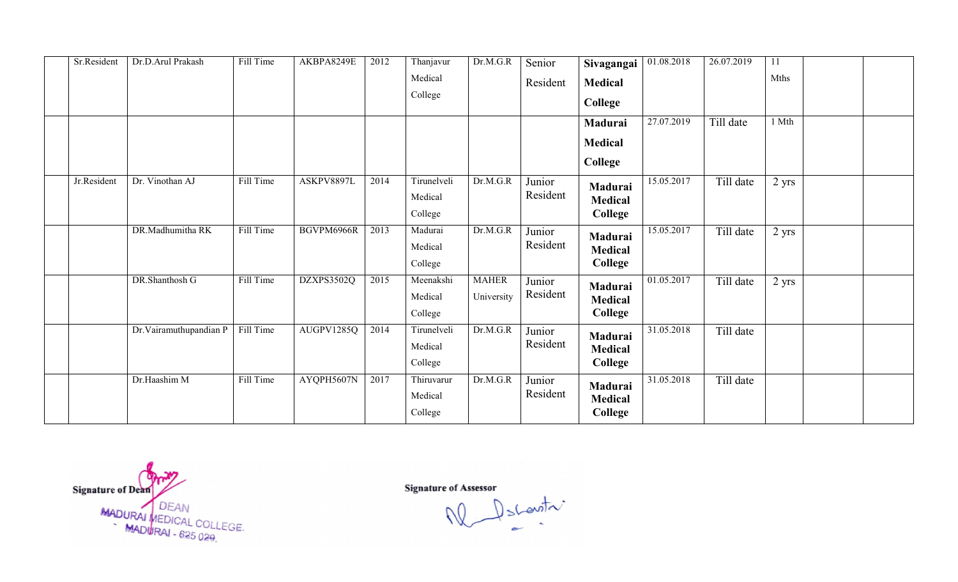| Sr.Resident | Dr.D.Arul Prakash      | Fill Time | AKBPA8249E | 2012 | Thanjavur   | Dr.M.G.R     | Senior   | Sivagangai     | 01.08.2018 | 26.07.2019 | 11      |  |
|-------------|------------------------|-----------|------------|------|-------------|--------------|----------|----------------|------------|------------|---------|--|
|             |                        |           |            |      | Medical     |              | Resident | <b>Medical</b> |            |            | Mths    |  |
|             |                        |           |            |      | College     |              |          | College        |            |            |         |  |
|             |                        |           |            |      |             |              |          |                |            |            |         |  |
|             |                        |           |            |      |             |              |          | Madurai        | 27.07.2019 | Till date  | 1 Mth   |  |
|             |                        |           |            |      |             |              |          | <b>Medical</b> |            |            |         |  |
|             |                        |           |            |      |             |              |          | College        |            |            |         |  |
| Jr.Resident | Dr. Vinothan AJ        | Fill Time | ASKPV8897L | 2014 | Tirunelveli | Dr.M.G.R     | Junior   | Madurai        | 15.05.2017 | Till date  | $2$ yrs |  |
|             |                        |           |            |      | Medical     |              | Resident | Medical        |            |            |         |  |
|             |                        |           |            |      | College     |              |          | College        |            |            |         |  |
|             | DR.Madhumitha RK       | Fill Time | BGVPM6966R | 2013 | Madurai     | Dr.M.G.R     | Junior   | Madurai        | 15.05.2017 | Till date  | $2$ yrs |  |
|             |                        |           |            |      | Medical     |              | Resident | <b>Medical</b> |            |            |         |  |
|             |                        |           |            |      | College     |              |          | College        |            |            |         |  |
|             | DR.Shanthosh G         | Fill Time | DZXPS3502Q | 2015 | Meenakshi   | <b>MAHER</b> | Junior   | Madurai        | 01.05.2017 | Till date  | $2$ yrs |  |
|             |                        |           |            |      | Medical     | University   | Resident | <b>Medical</b> |            |            |         |  |
|             |                        |           |            |      | College     |              |          | College        |            |            |         |  |
|             | Dr.Vairamuthupandian P | Fill Time | AUGPV1285Q | 2014 | Tirunelveli | Dr.M.G.R     | Junior   | Madurai        | 31.05.2018 | Till date  |         |  |
|             |                        |           |            |      | Medical     |              | Resident | Medical        |            |            |         |  |
|             |                        |           |            |      | College     |              |          | College        |            |            |         |  |
|             | Dr.Haashim M           | Fill Time | AYQPH5607N | 2017 | Thiruvarur  | Dr.M.G.R     | Junior   | Madurai        | 31.05.2018 | Till date  |         |  |
|             |                        |           |            |      | Medical     |              | Resident | Medical        |            |            |         |  |
|             |                        |           |            |      | College     |              |          | <b>College</b> |            |            |         |  |
|             |                        |           |            |      |             |              |          |                |            |            |         |  |

Signature of Dean<br>MADURAI MEDICAL COLLEGE.<br>MADURAI - 625 029.

Signature of Assessor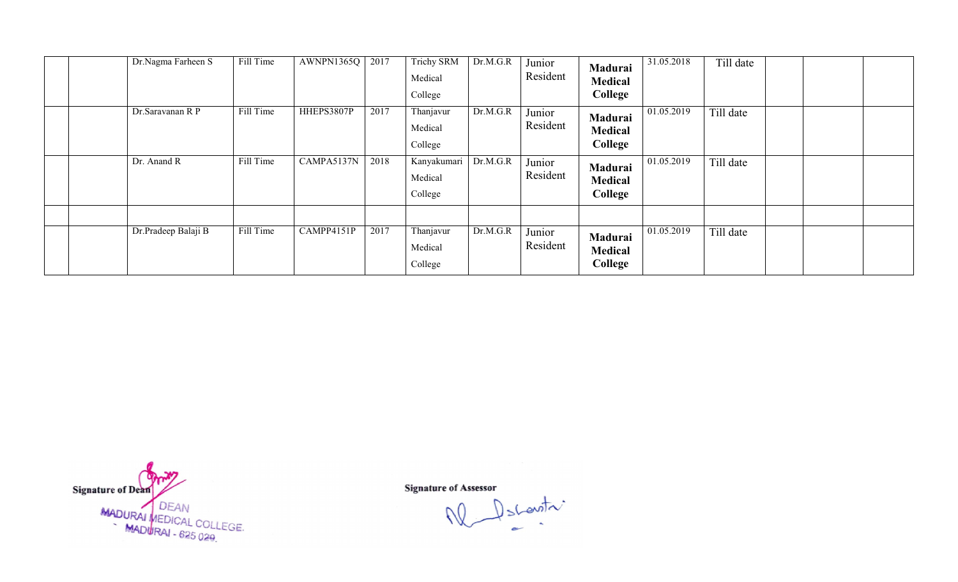| Dr.Nagma Farheen S  | Fill Time | AWNPN1365Q | 2017 | <b>Trichy SRM</b><br>Medical<br>College | Dr.M.G.R | Junior<br>Resident | Madurai<br><b>Medical</b><br>College | 31.05.2018 | Till date |  |
|---------------------|-----------|------------|------|-----------------------------------------|----------|--------------------|--------------------------------------|------------|-----------|--|
| Dr.Saravanan R P    | Fill Time | HHEPS3807P | 2017 | Thanjavur<br>Medical<br>College         | Dr.M.G.R | Junior<br>Resident | Madurai<br><b>Medical</b><br>College | 01.05.2019 | Till date |  |
| Dr. Anand R         | Fill Time | CAMPA5137N | 2018 | Kanyakumari<br>Medical<br>College       | Dr.M.G.R | Junior<br>Resident | Madurai<br><b>Medical</b><br>College | 01.05.2019 | Till date |  |
|                     |           |            |      |                                         |          |                    |                                      |            |           |  |
| Dr.Pradeep Balaji B | Fill Time | CAMPP4151P | 2017 | Thanjavur<br>Medical<br>College         | Dr.M.G.R | Junior<br>Resident | Madurai<br><b>Medical</b><br>College | 01.05.2019 | Till date |  |

Signature of Dean<br>MADURAI MEDICAL COLLEGE.<br>MADURAI - 625 029.

Descentre W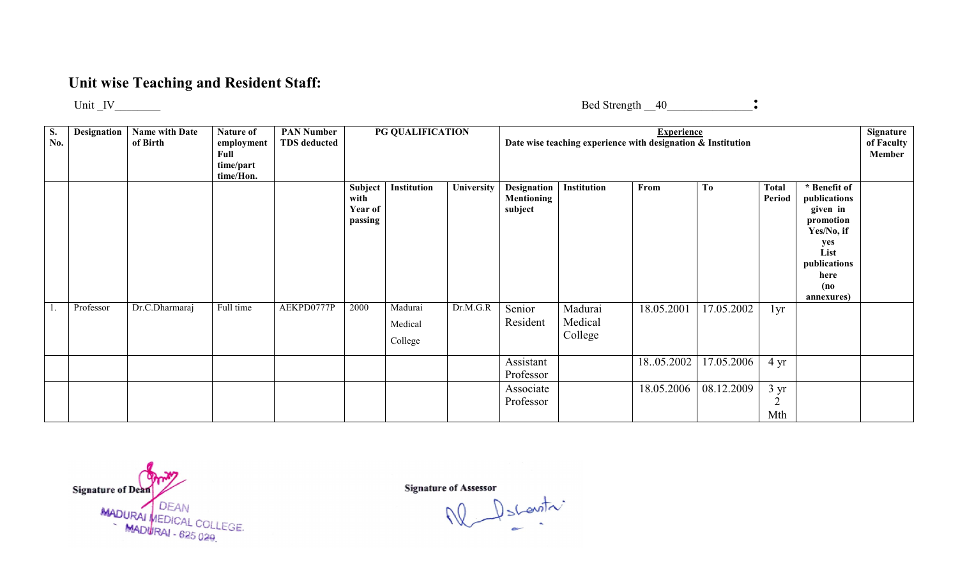## Unit wise Teaching and Resident Staff:

Unit \_IV\_\_\_\_\_\_\_\_

Bed Strength \_\_40\_\_\_\_\_\_\_\_\_\_\_\_\_\_\_:

| <b>S.</b><br>No. | Designation | <b>Name with Date</b><br>of Birth | Nature of<br>employment<br>Full<br>time/part<br>time/Hon. | <b>PAN Number</b><br><b>TDS</b> deducted |                                       | PG QUALIFICATION              |            |                                             |                               | <b>Experience</b><br>Date wise teaching experience with designation & Institution |                |                                         |                                                                                                                                  | Signature<br>of Faculty<br>Member |
|------------------|-------------|-----------------------------------|-----------------------------------------------------------|------------------------------------------|---------------------------------------|-------------------------------|------------|---------------------------------------------|-------------------------------|-----------------------------------------------------------------------------------|----------------|-----------------------------------------|----------------------------------------------------------------------------------------------------------------------------------|-----------------------------------|
|                  |             |                                   |                                                           |                                          | Subject<br>with<br>Year of<br>passing | Institution                   | University | Designation<br><b>Mentioning</b><br>subject | Institution                   | From                                                                              | T <sub>0</sub> | <b>Total</b><br>Period                  | * Benefit of<br>publications<br>given in<br>promotion<br>Yes/No, if<br>yes<br>List<br>publications<br>here<br>(no)<br>annexures) |                                   |
|                  | Professor   | Dr.C.Dharmaraj                    | Full time                                                 | AEKPD0777P                               | 2000                                  | Madurai<br>Medical<br>College | Dr.M.G.R   | Senior<br>Resident                          | Madurai<br>Medical<br>College | 18.05.2001                                                                        | 17.05.2002     | 1yr                                     |                                                                                                                                  |                                   |
|                  |             |                                   |                                                           |                                          |                                       |                               |            | Assistant<br>Professor                      |                               | 18.05.2002                                                                        | 17.05.2006     | $4 \text{ yr}$                          |                                                                                                                                  |                                   |
|                  |             |                                   |                                                           |                                          |                                       |                               |            | Associate<br>Professor                      |                               | 18.05.2006                                                                        | 08.12.2009     | $3 \text{ yr}$<br>$\overline{2}$<br>Mth |                                                                                                                                  |                                   |

Signature of Dean MADURAI MEDICAL COLLE EGE

 $\bigcup_{n=1}^{\infty} S(\text{curl}\n)$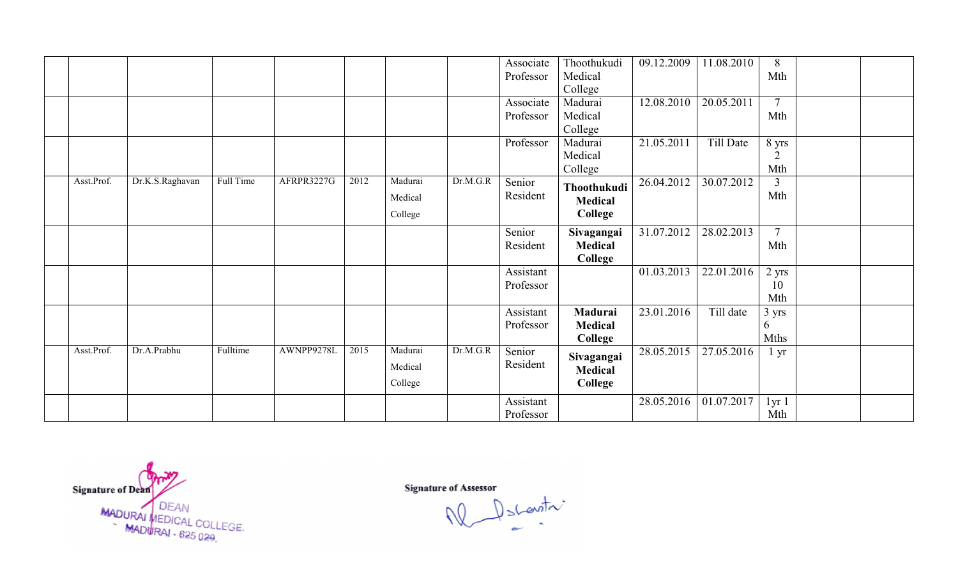|            |                 |           |            |      |         |          | Associate | Thoothukudi    | 09.12.2009 | 11.08.2010 | 8               |  |
|------------|-----------------|-----------|------------|------|---------|----------|-----------|----------------|------------|------------|-----------------|--|
|            |                 |           |            |      |         |          | Professor | Medical        |            |            | Mth             |  |
|            |                 |           |            |      |         |          |           | College        |            |            |                 |  |
|            |                 |           |            |      |         |          | Associate | Madurai        | 12.08.2010 | 20.05.2011 | $\overline{7}$  |  |
|            |                 |           |            |      |         |          | Professor | Medical        |            |            | Mth             |  |
|            |                 |           |            |      |         |          |           | College        |            |            |                 |  |
|            |                 |           |            |      |         |          | Professor | Madurai        | 21.05.2011 | Till Date  | 8 yrs           |  |
|            |                 |           |            |      |         |          |           | Medical        |            |            | $\overline{2}$  |  |
|            |                 |           |            |      |         |          |           | College        |            |            | Mth             |  |
| Asst.Prof. | Dr.K.S.Raghavan | Full Time | AFRPR3227G | 2012 | Madurai | Dr.M.G.R | Senior    | Thoothukudi    | 26.04.2012 | 30.07.2012 | 3               |  |
|            |                 |           |            |      | Medical |          | Resident  | <b>Medical</b> |            |            | Mth             |  |
|            |                 |           |            |      | College |          |           | College        |            |            |                 |  |
|            |                 |           |            |      |         |          |           |                |            |            |                 |  |
|            |                 |           |            |      |         |          | Senior    | Sivagangai     | 31.07.2012 | 28.02.2013 | $\overline{7}$  |  |
|            |                 |           |            |      |         |          | Resident  | Medical        |            |            | Mth             |  |
|            |                 |           |            |      |         |          |           | College        |            |            |                 |  |
|            |                 |           |            |      |         |          | Assistant |                | 01.03.2013 | 22.01.2016 | $2 \text{ yrs}$ |  |
|            |                 |           |            |      |         |          | Professor |                |            |            | 10              |  |
|            |                 |           |            |      |         |          |           |                |            |            | Mth             |  |
|            |                 |           |            |      |         |          | Assistant | Madurai        | 23.01.2016 | Till date  | 3 yrs           |  |
|            |                 |           |            |      |         |          | Professor | <b>Medical</b> |            |            | 6               |  |
|            |                 |           |            |      |         |          |           | College        |            |            | <b>Mths</b>     |  |
| Asst.Prof. | Dr.A.Prabhu     | Fulltime  | AWNPP9278L | 2015 | Madurai | Dr.M.G.R | Senior    | Sivagangai     | 28.05.2015 | 27.05.2016 | lyr             |  |
|            |                 |           |            |      | Medical |          | Resident  | <b>Medical</b> |            |            |                 |  |
|            |                 |           |            |      | College |          |           | College        |            |            |                 |  |
|            |                 |           |            |      |         |          |           |                |            |            |                 |  |
|            |                 |           |            |      |         |          | Assistant |                | 28.05.2016 | 01.07.2017 | 1yr1            |  |
|            |                 |           |            |      |         |          | Professor |                |            |            | Mth             |  |

Signature of Dean<br>MADURAI MEDICAL COLLEGE.<br>MADURAI - 625 029.

Signature of Assessor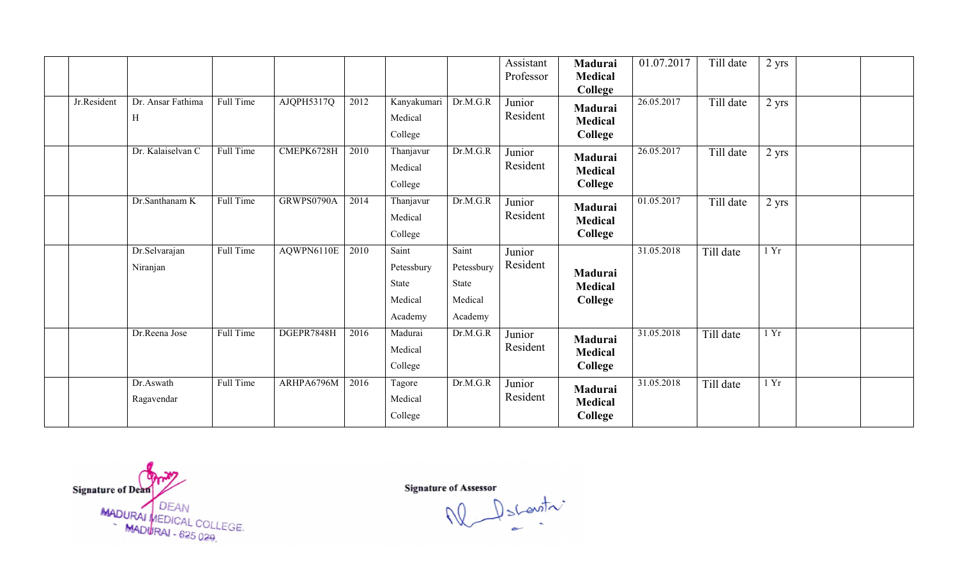|             |                           |           |            |      |                                                    |                                                    | Assistant<br>Professor | Madurai<br><b>Medical</b><br>College               | 01.07.2017 | Till date | $2$ yrs |  |
|-------------|---------------------------|-----------|------------|------|----------------------------------------------------|----------------------------------------------------|------------------------|----------------------------------------------------|------------|-----------|---------|--|
| Jr.Resident | Dr. Ansar Fathima<br>H    | Full Time | AJQPH5317Q | 2012 | Kanyakumari<br>Medical<br>College                  | Dr.M.G.R                                           | Junior<br>Resident     | Madurai<br><b>Medical</b><br>College               | 26.05.2017 | Till date | 2 yrs   |  |
|             | Dr. Kalaiselvan C         | Full Time | CMEPK6728H | 2010 | Thanjavur<br>Medical<br>College                    | Dr.M.G.R                                           | Junior<br>Resident     | Madurai<br><b>Medical</b><br>College               | 26.05.2017 | Till date | $2$ yrs |  |
|             | Dr.Santhanam K            | Full Time | GRWPS0790A | 2014 | Thanjavur<br>Medical<br>College                    | Dr.M.G.R                                           | Junior<br>Resident     | Madurai<br><b>Medical</b><br>College               | 01.05.2017 | Till date | $2$ yrs |  |
|             | Dr.Selvarajan<br>Niranjan | Full Time | AQWPN6110E | 2010 | Saint<br>Petessbury<br>State<br>Medical<br>Academy | Saint<br>Petessbury<br>State<br>Medical<br>Academy | Junior<br>Resident     | Madurai<br><b>Medical</b><br>College               | 31.05.2018 | Till date | 1 Yr    |  |
|             | Dr.Reena Jose             | Full Time | DGEPR7848H | 2016 | Madurai<br>Medical<br>College                      | Dr.M.G.R                                           | Junior<br>Resident     | <b>Madurai</b><br><b>Medical</b><br><b>College</b> | 31.05.2018 | Till date | 1 Yr    |  |
|             | Dr.Aswath<br>Ragavendar   | Full Time | ARHPA6796M | 2016 | Tagore<br>Medical<br>College                       | Dr.M.G.R                                           | Junior<br>Resident     | Madurai<br><b>Medical</b><br>College               | 31.05.2018 | Till date | 1 Yr    |  |

Signature of Dean ture of Deam<br>MADURAI MEDICAL COLLEGE.<br>MADURAI - 625 029.

Signature of Assessor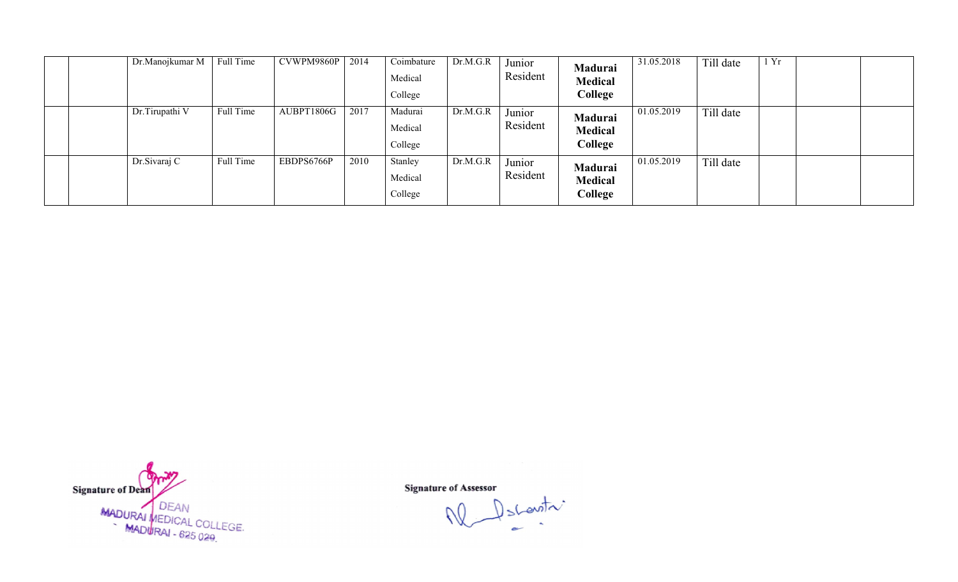| Dr.Manojkumar M | Full Time | CVWPM9860P | 2014 | Coimbature<br>Medical<br>College | Dr.M.G.R | Junior<br>Resident | Madurai<br><b>Medical</b><br>College | 31.05.2018 | Till date | 1 Yr |  |
|-----------------|-----------|------------|------|----------------------------------|----------|--------------------|--------------------------------------|------------|-----------|------|--|
| Dr.Tirupathi V  | Full Time | AUBPT1806G | 2017 | Madurai<br>Medical<br>College    | Dr.M.G.R | Junior<br>Resident | Madurai<br><b>Medical</b><br>College | 01.05.2019 | Till date |      |  |
| Dr. Sivaraj C   | Full Time | EBDPS6766P | 2010 | Stanley<br>Medical<br>College    | Dr.M.G.R | Junior<br>Resident | Madurai<br><b>Medical</b><br>College | 01.05.2019 | Till date |      |  |



Descentre W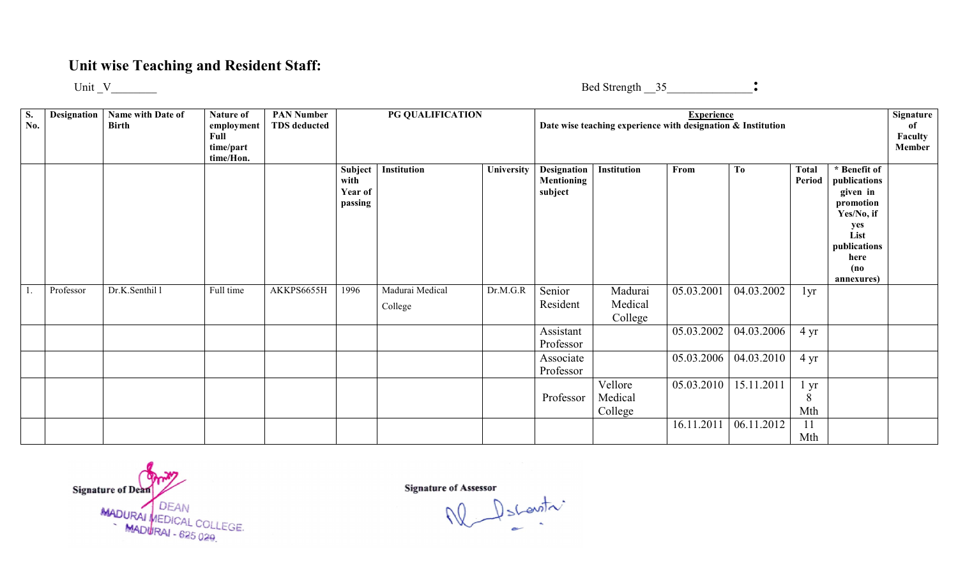## Unit wise Teaching and Resident Staff:

Unit  $V$ 

Bed Strength \_\_35\_\_\_\_\_\_\_\_\_\_\_\_\_\_\_:

| S.<br>No. | Designation | Name with Date of<br><b>Birth</b> | <b>Nature of</b><br>employment<br>Full<br>time/part<br>time/Hon. | <b>PAN Number</b><br><b>TDS</b> deducted | PG QUALIFICATION<br>Institution<br>University |                            |          | Date wise teaching experience with designation & Institution | <b>Experience</b>             |            |                |                        | Signature<br>of<br>Faculty<br>Member                                                                                             |  |
|-----------|-------------|-----------------------------------|------------------------------------------------------------------|------------------------------------------|-----------------------------------------------|----------------------------|----------|--------------------------------------------------------------|-------------------------------|------------|----------------|------------------------|----------------------------------------------------------------------------------------------------------------------------------|--|
|           |             |                                   |                                                                  |                                          | Subject<br>with<br>Year of<br>passing         |                            |          | <b>Designation</b><br><b>Mentioning</b><br>subject           | Institution                   | From       | T <sub>0</sub> | <b>Total</b><br>Period | * Benefit of<br>publications<br>given in<br>promotion<br>Yes/No, if<br>yes<br>List<br>publications<br>here<br>(no)<br>annexures) |  |
|           | Professor   | Dr.K.Senthil 1                    | Full time                                                        | AKKPS6655H                               | 1996                                          | Madurai Medical<br>College | Dr.M.G.R | Senior<br>Resident                                           | Madurai<br>Medical<br>College | 05.03.2001 | 04.03.2002     | 1yr                    |                                                                                                                                  |  |
|           |             |                                   |                                                                  |                                          |                                               |                            |          | Assistant<br>Professor                                       |                               | 05.03.2002 | 04.03.2006     | $4 \text{ yr}$         |                                                                                                                                  |  |
|           |             |                                   |                                                                  |                                          |                                               |                            |          | Associate<br>Professor                                       |                               | 05.03.2006 | 04.03.2010     | $4 \text{ yr}$         |                                                                                                                                  |  |
|           |             |                                   |                                                                  |                                          |                                               |                            |          | Professor                                                    | Vellore<br>Medical<br>College | 05.03.2010 | 15.11.2011     | l yr<br>8<br>Mth       |                                                                                                                                  |  |
|           |             |                                   |                                                                  |                                          |                                               |                            |          |                                                              |                               | 16.11.2011 | 06.11.2012     | 11<br>Mth              |                                                                                                                                  |  |

Signature of Dean MADURAI MEDICAL COLLE EGE

 $\bigcup_{n=1}^{\infty} \text{S}(\text{exit})$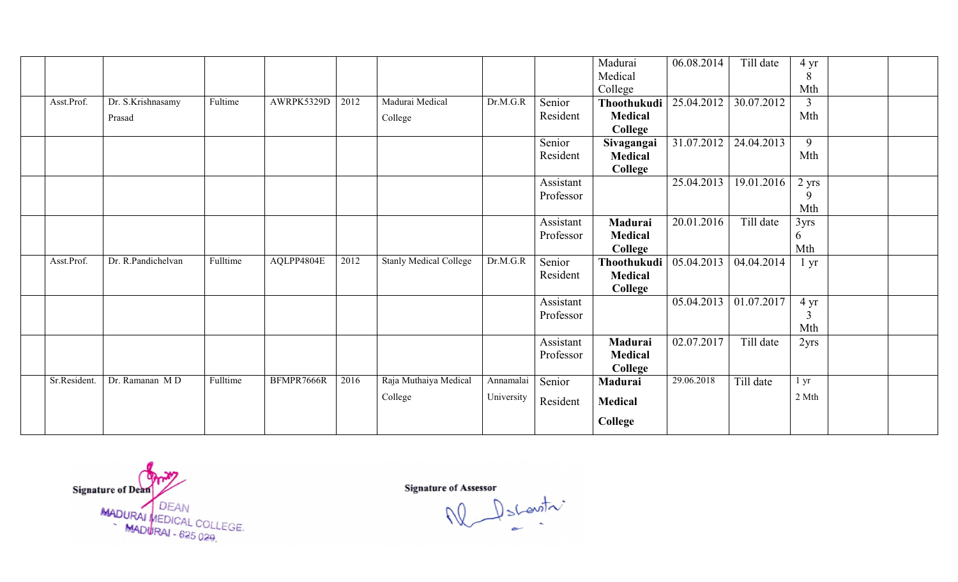|             |                    |          |            |      |                               |            |           | Madurai        | 06.08.2014 | Till date  | 4 yr            |  |
|-------------|--------------------|----------|------------|------|-------------------------------|------------|-----------|----------------|------------|------------|-----------------|--|
|             |                    |          |            |      |                               |            |           | Medical        |            |            | 8               |  |
|             |                    |          |            |      |                               |            |           | College        |            |            | Mth             |  |
| Asst.Prof.  | Dr. S.Krishnasamy  | Fultime  | AWRPK5329D | 2012 | Madurai Medical               | Dr.M.G.R   | Senior    | Thoothukudi    | 25.04.2012 | 30.07.2012 | 3               |  |
|             | Prasad             |          |            |      | College                       |            | Resident  | <b>Medical</b> |            |            | Mth             |  |
|             |                    |          |            |      |                               |            |           | College        |            |            |                 |  |
|             |                    |          |            |      |                               |            | Senior    | Sivagangai     | 31.07.2012 | 24.04.2013 | 9               |  |
|             |                    |          |            |      |                               |            | Resident  | Medical        |            |            | Mth             |  |
|             |                    |          |            |      |                               |            |           | College        |            |            |                 |  |
|             |                    |          |            |      |                               |            | Assistant |                | 25.04.2013 | 19.01.2016 | 2 yrs           |  |
|             |                    |          |            |      |                               |            | Professor |                |            |            | 9               |  |
|             |                    |          |            |      |                               |            |           |                |            |            | Mth             |  |
|             |                    |          |            |      |                               |            | Assistant | Madurai        | 20.01.2016 | Till date  | 3yrs            |  |
|             |                    |          |            |      |                               |            | Professor | Medical        |            |            | 6               |  |
|             |                    |          |            |      |                               |            |           | <b>College</b> |            |            | Mth             |  |
| Asst.Prof.  | Dr. R.Pandichelvan | Fulltime | AQLPP4804E | 2012 | <b>Stanly Medical College</b> | Dr.M.G.R   | Senior    | Thoothukudi    | 05.04.2013 | 04.04.2014 | $1 \mathrm{yr}$ |  |
|             |                    |          |            |      |                               |            | Resident  | <b>Medical</b> |            |            |                 |  |
|             |                    |          |            |      |                               |            |           | <b>College</b> |            |            |                 |  |
|             |                    |          |            |      |                               |            | Assistant |                | 05.04.2013 | 01.07.2017 | $4 \text{ yr}$  |  |
|             |                    |          |            |      |                               |            | Professor |                |            |            | 3               |  |
|             |                    |          |            |      |                               |            |           |                |            |            | Mth             |  |
|             |                    |          |            |      |                               |            | Assistant | Madurai        | 02.07.2017 | Till date  | 2yrs            |  |
|             |                    |          |            |      |                               |            | Professor | <b>Medical</b> |            |            |                 |  |
|             |                    |          |            |      |                               |            |           | College        |            |            |                 |  |
| Sr.Resident | Dr. Ramanan MD     | Fulltime | BFMPR7666R | 2016 | Raja Muthaiya Medical         | Annamalai  | Senior    | Madurai        | 29.06.2018 | Till date  | $1 \, yr$       |  |
|             |                    |          |            |      | College                       | University |           |                |            |            | 2 Mth           |  |
|             |                    |          |            |      |                               |            | Resident  | <b>Medical</b> |            |            |                 |  |
|             |                    |          |            |      |                               |            |           | College        |            |            |                 |  |
|             |                    |          |            |      |                               |            |           |                |            |            |                 |  |

Signature of Dean<br>MADURAI MEDICAL COLLEGE.<br>MADURAI - 625 029.

Signature of Assessor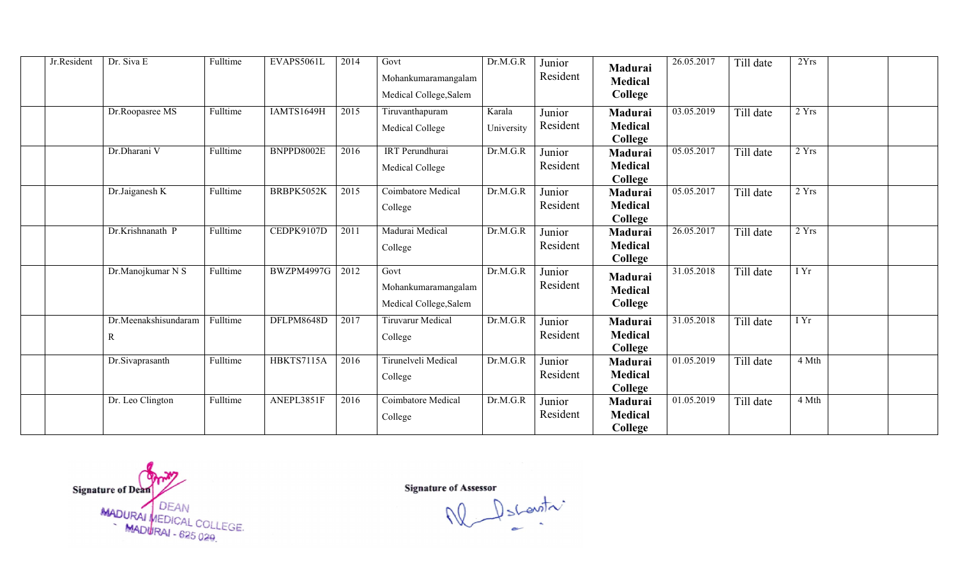| Jr.Resident | Dr. Siva E           | Fulltime | EVAPS5061L | 2014 | Govt                      | Dr.M.G.R   | Junior   | Madurai                   | 26.05.2017 | Till date | 2Yrs  |  |
|-------------|----------------------|----------|------------|------|---------------------------|------------|----------|---------------------------|------------|-----------|-------|--|
|             |                      |          |            |      | Mohankumaramangalam       |            | Resident | <b>Medical</b>            |            |           |       |  |
|             |                      |          |            |      | Medical College, Salem    |            |          | College                   |            |           |       |  |
|             | Dr.Roopasree MS      | Fulltime | IAMTS1649H | 2015 | Tiruvanthapuram           | Karala     | Junior   | Madurai                   | 03.05.2019 | Till date | 2 Yrs |  |
|             |                      |          |            |      | Medical College           | University | Resident | <b>Medical</b><br>College |            |           |       |  |
|             | Dr.Dharani V         | Fulltime | BNPPD8002E | 2016 | IRT Perundhurai           | Dr.M.G.R   | Junior   | Madurai                   | 05.05.2017 | Till date | 2 Yrs |  |
|             |                      |          |            |      | <b>Medical College</b>    |            | Resident | <b>Medical</b>            |            |           |       |  |
|             |                      |          |            |      |                           |            |          | College                   |            |           |       |  |
|             | Dr.Jaiganesh K       | Fulltime | BRBPK5052K | 2015 | <b>Coimbatore Medical</b> | Dr.M.G.R   | Junior   | Madurai                   | 05.05.2017 | Till date | 2Yrs  |  |
|             |                      |          |            |      | College                   |            | Resident | <b>Medical</b><br>College |            |           |       |  |
|             | Dr.Krishnanath P     | Fulltime | CEDPK9107D | 2011 | Madurai Medical           | Dr.M.G.R   | Junior   | <b>Madurai</b>            | 26.05.2017 | Till date | 2 Yrs |  |
|             |                      |          |            |      | College                   |            | Resident | <b>Medical</b><br>College |            |           |       |  |
|             | Dr.Manojkumar N S    | Fulltime | BWZPM4997G | 2012 | Govt                      | Dr.M.G.R   | Junior   | Madurai                   | 31.05.2018 | Till date | I Yr  |  |
|             |                      |          |            |      | Mohankumaramangalam       |            | Resident | <b>Medical</b>            |            |           |       |  |
|             |                      |          |            |      | Medical College, Salem    |            |          | College                   |            |           |       |  |
|             | Dr.Meenakshisundaram | Fulltime | DFLPM8648D | 2017 | <b>Tiruvarur Medical</b>  | Dr.M.G.R   | Junior   | Madurai                   | 31.05.2018 | Till date | I Yr  |  |
|             | R                    |          |            |      | College                   |            | Resident | <b>Medical</b><br>College |            |           |       |  |
|             | Dr.Sivaprasanth      | Fulltime | HBKTS7115A | 2016 | Tirunelveli Medical       | Dr.M.G.R   | Junior   | Madurai                   | 01.05.2019 | Till date | 4 Mth |  |
|             |                      |          |            |      | College                   |            | Resident | <b>Medical</b>            |            |           |       |  |
|             |                      |          |            |      |                           |            |          | College                   |            |           |       |  |
|             | Dr. Leo Clington     | Fulltime | ANEPL3851F | 2016 | Coimbatore Medical        | Dr.M.G.R   | Junior   | Madurai                   | 01.05.2019 | Till date | 4 Mth |  |
|             |                      |          |            |      | College                   |            | Resident | <b>Medical</b>            |            |           |       |  |
|             |                      |          |            |      |                           |            |          | College                   |            |           |       |  |

Signature of Dean<br>MADURAI MEDICAL COLLEGE.<br>MADURAI - 625 029.

Signature of Assessor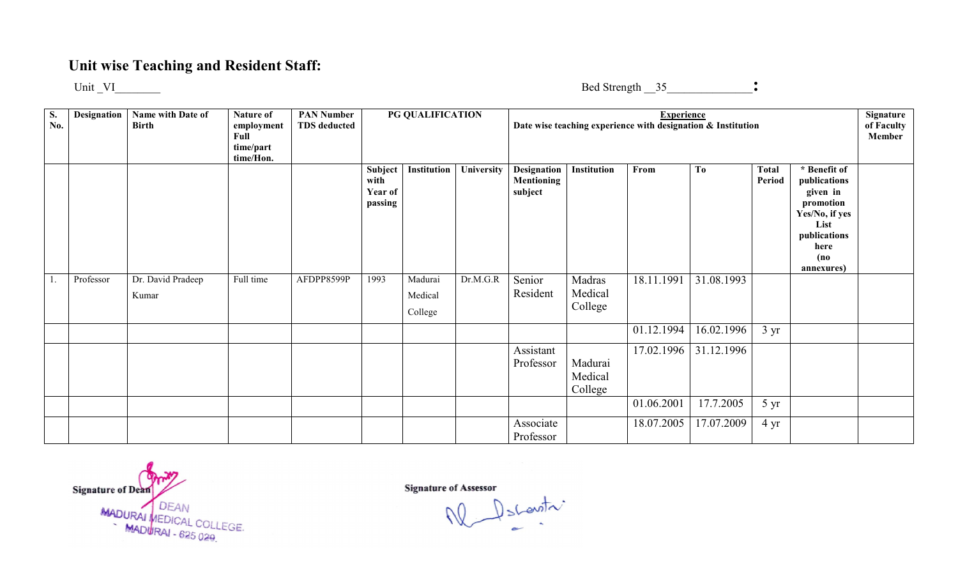## Unit wise Teaching and Resident Staff:

Unit \_VI\_\_\_\_\_\_\_\_

Bed Strength \_\_35\_\_\_\_\_\_\_\_\_\_\_\_\_\_\_:

| <b>S.</b><br>No. | <b>Designation</b> | Name with Date of<br><b>Birth</b> | Nature of<br>employment<br>Full<br>time/part<br>time/Hon. | <b>PAN Number</b><br><b>TDS</b> deducted |                                       | PG QUALIFICATION |            |                                                    |                               | <b>Experience</b><br>Date wise teaching experience with designation & Institution |                |                 |                                                                                                                               | Signature<br>of Faculty<br>Member |
|------------------|--------------------|-----------------------------------|-----------------------------------------------------------|------------------------------------------|---------------------------------------|------------------|------------|----------------------------------------------------|-------------------------------|-----------------------------------------------------------------------------------|----------------|-----------------|-------------------------------------------------------------------------------------------------------------------------------|-----------------------------------|
|                  |                    |                                   |                                                           |                                          | Subject<br>with<br>Year of<br>passing | Institution      | University | <b>Designation</b><br><b>Mentioning</b><br>subject | Institution                   | From                                                                              | T <sub>0</sub> | Total<br>Period | * Benefit of<br>publications<br>given in<br>promotion<br>Yes/No, if yes<br>List<br>publications<br>here<br>(no)<br>annexures) |                                   |
|                  | Professor          | Dr. David Pradeep                 | Full time                                                 | AFDPP8599P                               | 1993                                  | Madurai          | Dr.M.G.R   | Senior                                             | Madras                        | 18.11.1991                                                                        | 31.08.1993     |                 |                                                                                                                               |                                   |
|                  |                    | Kumar                             |                                                           |                                          |                                       | Medical          |            | Resident                                           | Medical                       |                                                                                   |                |                 |                                                                                                                               |                                   |
|                  |                    |                                   |                                                           |                                          |                                       | College          |            |                                                    | College                       |                                                                                   |                |                 |                                                                                                                               |                                   |
|                  |                    |                                   |                                                           |                                          |                                       |                  |            |                                                    |                               | 01.12.1994                                                                        | 16.02.1996     | $3 \text{ yr}$  |                                                                                                                               |                                   |
|                  |                    |                                   |                                                           |                                          |                                       |                  |            | Assistant<br>Professor                             | Madurai<br>Medical<br>College | 17.02.1996                                                                        | 31.12.1996     |                 |                                                                                                                               |                                   |
|                  |                    |                                   |                                                           |                                          |                                       |                  |            |                                                    |                               | 01.06.2001                                                                        | 17.7.2005      | $5 \text{ yr}$  |                                                                                                                               |                                   |
|                  |                    |                                   |                                                           |                                          |                                       |                  |            | Associate<br>Professor                             |                               | 18.07.2005                                                                        | 17.07.2009     | $4 \text{ yr}$  |                                                                                                                               |                                   |

Signature of Dean MADURAI DEAN<br>MADURAI - 625 029

Signature of Assessor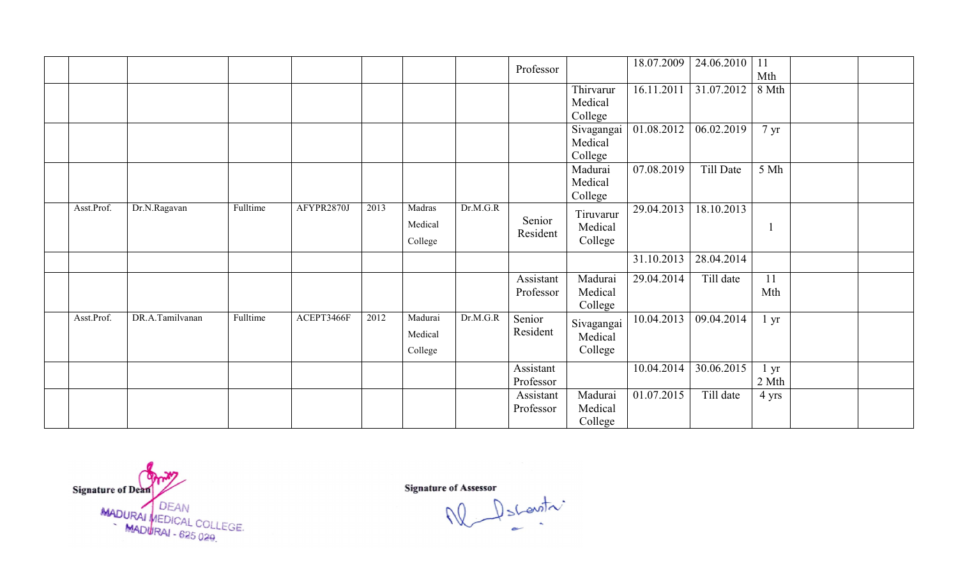|            |                 |          |            |      |                               |          | Professor              |                                  | 18.07.2009 | 24.06.2010 | 11<br>Mth               |  |
|------------|-----------------|----------|------------|------|-------------------------------|----------|------------------------|----------------------------------|------------|------------|-------------------------|--|
|            |                 |          |            |      |                               |          |                        | Thirvarur<br>Medical<br>College  | 16.11.2011 | 31.07.2012 | 8 Mth                   |  |
|            |                 |          |            |      |                               |          |                        | Sivagangai<br>Medical<br>College | 01.08.2012 | 06.02.2019 | $7 \text{ yr}$          |  |
|            |                 |          |            |      |                               |          |                        | Madurai<br>Medical<br>College    | 07.08.2019 | Till Date  | 5 Mh                    |  |
| Asst.Prof. | Dr.N.Ragavan    | Fulltime | AFYPR2870J | 2013 | Madras<br>Medical<br>College  | Dr.M.G.R | Senior<br>Resident     | Tiruvarur<br>Medical<br>College  | 29.04.2013 | 18.10.2013 |                         |  |
|            |                 |          |            |      |                               |          |                        |                                  | 31.10.2013 | 28.04.2014 |                         |  |
|            |                 |          |            |      |                               |          | Assistant<br>Professor | Madurai<br>Medical<br>College    | 29.04.2014 | Till date  | 11<br>Mth               |  |
| Asst.Prof. | DR.A.Tamilvanan | Fulltime | ACEPT3466F | 2012 | Madurai<br>Medical<br>College | Dr.M.G.R | Senior<br>Resident     | Sivagangai<br>Medical<br>College | 10.04.2013 | 09.04.2014 | $1 \, yr$               |  |
|            |                 |          |            |      |                               |          | Assistant<br>Professor |                                  | 10.04.2014 | 30.06.2015 | $1 \text{ yr}$<br>2 Mth |  |
|            |                 |          |            |      |                               |          | Assistant<br>Professor | Madurai<br>Medical<br>College    | 01.07.2015 | Till date  | 4 yrs                   |  |

Signature of Dean<br>MADURAI MEDICAL COLLEGE.<br>MADURAI - 625 029.

Descentre W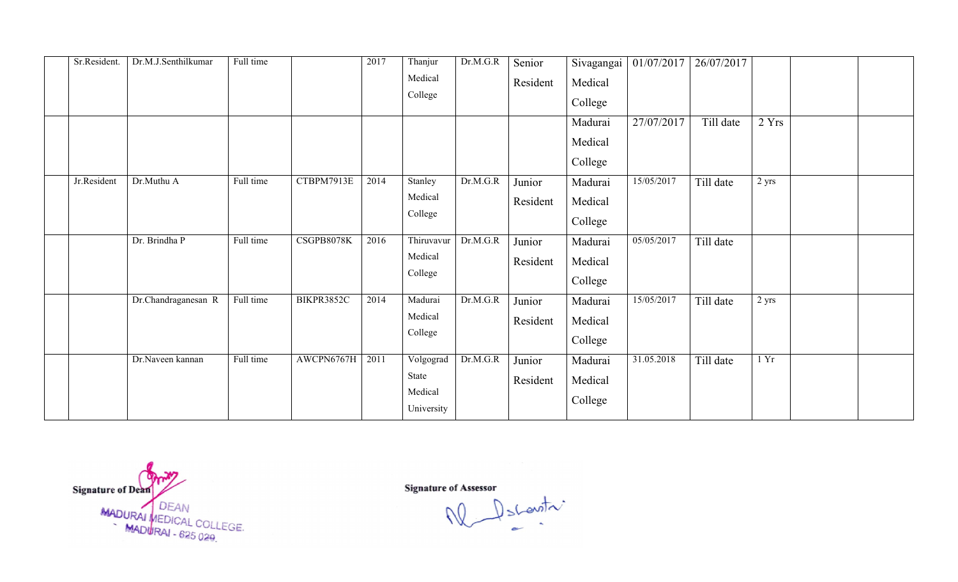| Sr.Resident. | Dr.M.J.Senthilkumar                     | Full time              |                          | 2017         | Thanjur<br>Medical<br>College                                     | Dr.M.G.R             | Senior<br>Resident                       | Sivagangai<br>Medical<br>College<br>Madurai<br>Medical<br>College | 01/07/2017<br>27/07/2017 | 26/07/2017<br>Till date | 2 Yrs         |  |
|--------------|-----------------------------------------|------------------------|--------------------------|--------------|-------------------------------------------------------------------|----------------------|------------------------------------------|-------------------------------------------------------------------|--------------------------|-------------------------|---------------|--|
| Jr.Resident  | Dr.Muthu A<br>Dr. Brindha P             | Full time<br>Full time | CTBPM7913E<br>CSGPB8078K | 2014<br>2016 | Stanley<br>Medical<br>College<br>Thiruvavur<br>Medical<br>College | Dr.M.G.R<br>Dr.M.G.R | Junior<br>Resident<br>Junior<br>Resident | Madurai<br>Medical<br>College<br>Madurai<br>Medical<br>College    | 15/05/2017<br>05/05/2017 | Till date<br>Till date  | 2 yrs         |  |
|              | Dr.Chandraganesan R<br>Dr.Naveen kannan | Full time<br>Full time | BIKPR3852C<br>AWCPN6767H | 2014<br>2011 | Madurai<br>Medical<br>College<br>Volgograd<br>State<br>Medical    | Dr.M.G.R<br>Dr.M.G.R | Junior<br>Resident<br>Junior<br>Resident | Madurai<br>Medical<br>College<br>Madurai<br>Medical<br>College    | 15/05/2017<br>31.05.2018 | Till date<br>Till date  | 2 yrs<br>1 Yr |  |

Signature of Dean<br>MADURAI MEDICAL COLLEGE.<br>MADURAI - 625 029.

Signature of Assessor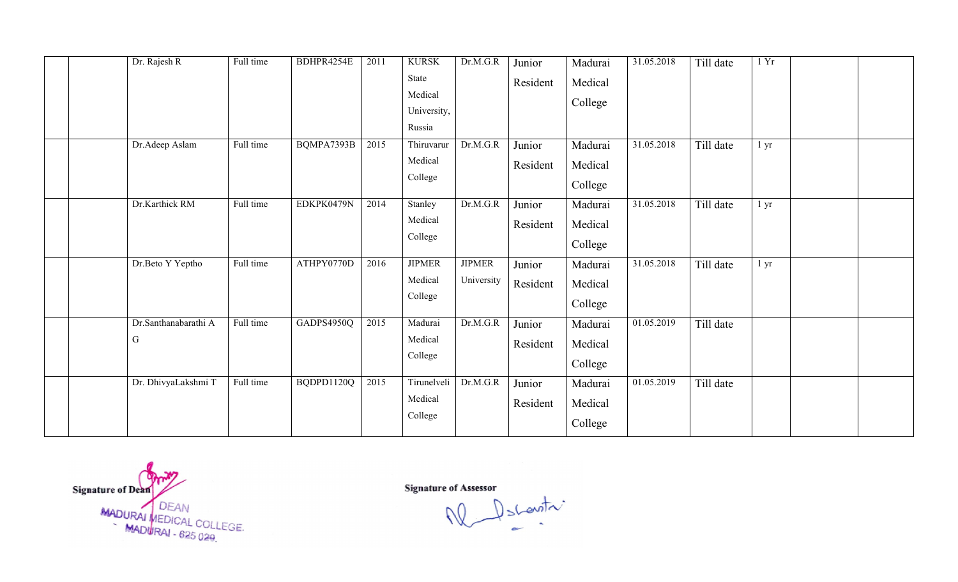|  | Dr. Rajesh R         | Full time | BDHPR4254E | 2011 | <b>KURSK</b><br>State | Dr.M.G.R      | Junior   | Madurai | 31.05.2018              | Till date | 1Yr             |  |
|--|----------------------|-----------|------------|------|-----------------------|---------------|----------|---------|-------------------------|-----------|-----------------|--|
|  |                      |           |            |      | Medical               |               | Resident | Medical |                         |           |                 |  |
|  |                      |           |            |      | University,           |               |          | College |                         |           |                 |  |
|  |                      |           |            |      | Russia                |               |          |         |                         |           |                 |  |
|  | Dr.Adeep Aslam       | Full time | BQMPA7393B | 2015 | Thiruvarur            | Dr.M.G.R      | Junior   | Madurai | 31.05.2018              | Till date | 1 <sub>yr</sub> |  |
|  |                      |           |            |      | Medical               |               | Resident | Medical |                         |           |                 |  |
|  |                      |           |            |      | College               |               |          | College |                         |           |                 |  |
|  | Dr.Karthick RM       | Full time | EDKPK0479N | 2014 | Stanley               | Dr.M.G.R      | Junior   | Madurai | 31.05.2018              | Till date | 1 <sub>yr</sub> |  |
|  |                      |           |            |      | Medical               |               | Resident | Medical |                         |           |                 |  |
|  |                      |           |            |      | College               |               |          | College |                         |           |                 |  |
|  | Dr.Beto Y Yeptho     | Full time | ATHPY0770D | 2016 | <b>JIPMER</b>         | <b>JIPMER</b> | Junior   | Madurai | 31.05.2018              | Till date | 1 <sub>yr</sub> |  |
|  |                      |           |            |      | Medical               | University    | Resident | Medical |                         |           |                 |  |
|  |                      |           |            |      | College               |               |          | College |                         |           |                 |  |
|  | Dr.Santhanabarathi A | Full time | GADPS4950Q | 2015 | Madurai               | Dr.M.G.R      | Junior   | Madurai | $\overline{01.05}.2019$ | Till date |                 |  |
|  | $\mathbf G$          |           |            |      | Medical               |               | Resident | Medical |                         |           |                 |  |
|  |                      |           |            |      | College               |               |          | College |                         |           |                 |  |
|  | Dr. DhivyaLakshmi T  | Full time | BQDPD1120Q | 2015 | Tirunelveli           | Dr.M.G.R      | Junior   | Madurai | $\overline{01.05}.2019$ | Till date |                 |  |
|  |                      |           |            |      | Medical               |               | Resident | Medical |                         |           |                 |  |
|  |                      |           |            |      | College               |               |          | College |                         |           |                 |  |
|  |                      |           |            |      |                       |               |          |         |                         |           |                 |  |

Signature of Dean<br>MADURAI MEDICAL COLLEGE.<br>MADURAI - 625 029.

Signature of Assessor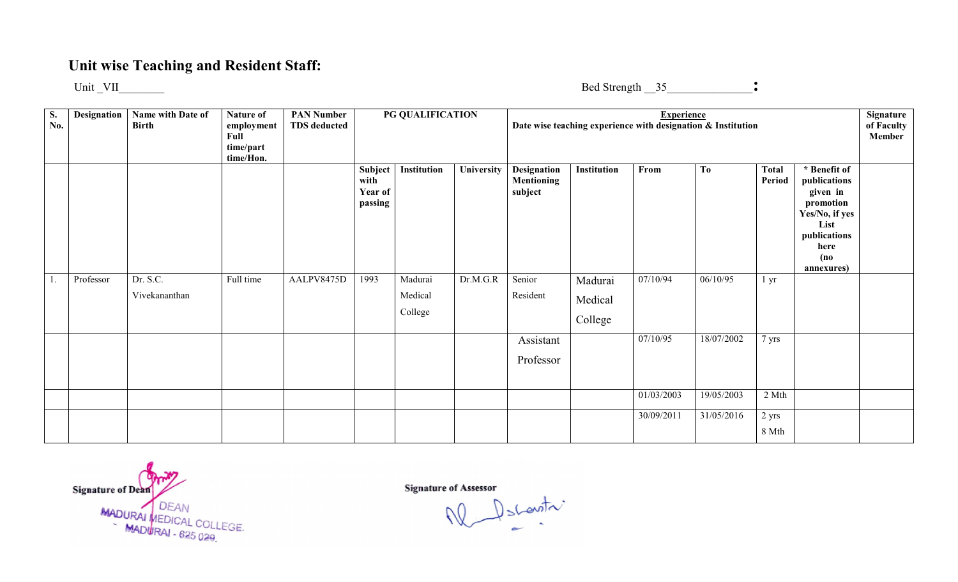## Unit wise Teaching and Resident Staff:

Unit \_VII\_\_\_\_\_\_\_\_

Bed Strength \_\_35\_\_\_\_\_\_\_\_\_\_\_\_\_\_\_:

| <b>S.</b><br>No. | <b>Designation</b> | Name with Date of<br><b>Birth</b> | Nature of<br>employment<br>Full<br>time/part<br>time/Hon. | <b>PAN Number</b><br><b>TDS</b> deducted |                                       | PG QUALIFICATION              |            |                                             |                               | <b>Experience</b> | Date wise teaching experience with designation & Institution |                        |                                                                                                                               | Signature<br>of Faculty<br>Member |
|------------------|--------------------|-----------------------------------|-----------------------------------------------------------|------------------------------------------|---------------------------------------|-------------------------------|------------|---------------------------------------------|-------------------------------|-------------------|--------------------------------------------------------------|------------------------|-------------------------------------------------------------------------------------------------------------------------------|-----------------------------------|
|                  |                    |                                   |                                                           |                                          | Subject<br>with<br>Year of<br>passing | Institution                   | University | Designation<br><b>Mentioning</b><br>subject | Institution                   | From              | T <sub>0</sub>                                               | <b>Total</b><br>Period | * Benefit of<br>publications<br>given in<br>promotion<br>Yes/No, if yes<br>List<br>publications<br>here<br>(no)<br>annexures) |                                   |
|                  | Professor          | Dr. S.C.<br>Vivekananthan         | Full time                                                 | AALPV8475D                               | 1993                                  | Madurai<br>Medical<br>College | Dr.M.G.R   | Senior<br>Resident                          | Madurai<br>Medical<br>College | 07/10/94          | 06/10/95                                                     | 1 <sub>yr</sub>        |                                                                                                                               |                                   |
|                  |                    |                                   |                                                           |                                          |                                       |                               |            | Assistant<br>Professor                      |                               | 07/10/95          | 18/07/2002                                                   | 7 yrs                  |                                                                                                                               |                                   |
|                  |                    |                                   |                                                           |                                          |                                       |                               |            |                                             |                               | 01/03/2003        | 19/05/2003                                                   | 2 Mth                  |                                                                                                                               |                                   |
|                  |                    |                                   |                                                           |                                          |                                       |                               |            |                                             |                               | 30/09/2011        | 31/05/2016                                                   | 2 yrs<br>8 Mth         |                                                                                                                               |                                   |

Signature of Dean MADURAI MEDICAL COLLEGE.<br>MADURAI - 625 020

 $\int$  shawith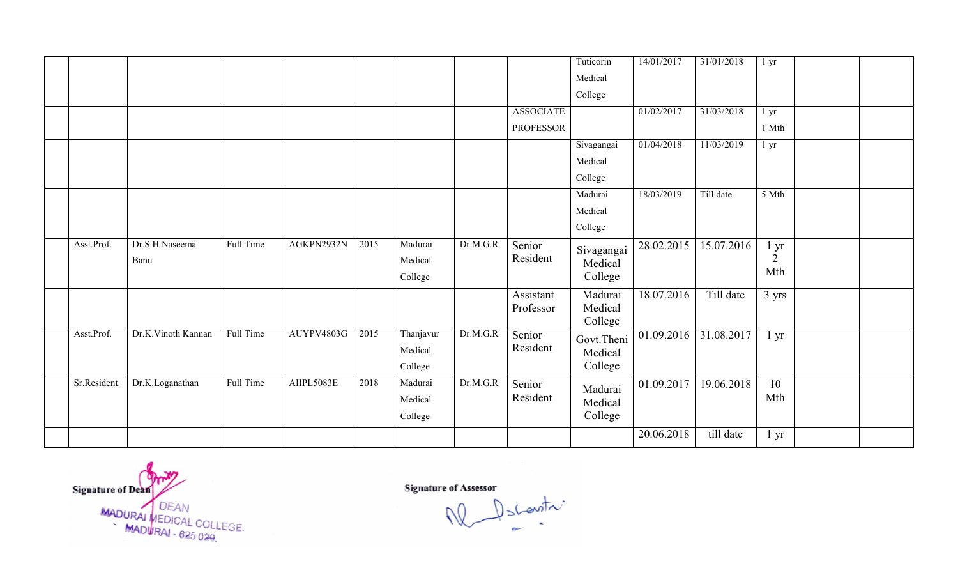|              |                    |           |            |      |           |          |                    | Tuticorin          | 14/01/2017 | 31/01/2018 | $1 \, yr$       |  |
|--------------|--------------------|-----------|------------|------|-----------|----------|--------------------|--------------------|------------|------------|-----------------|--|
|              |                    |           |            |      |           |          |                    | Medical            |            |            |                 |  |
|              |                    |           |            |      |           |          |                    | College            |            |            |                 |  |
|              |                    |           |            |      |           |          | <b>ASSOCIATE</b>   |                    | 01/02/2017 | 31/03/2018 | 1 <sub>yr</sub> |  |
|              |                    |           |            |      |           |          | <b>PROFESSOR</b>   |                    |            |            | 1 Mth           |  |
|              |                    |           |            |      |           |          |                    | Sivagangai         | 01/04/2018 | 11/03/2019 | $1 \, yr$       |  |
|              |                    |           |            |      |           |          |                    | Medical            |            |            |                 |  |
|              |                    |           |            |      |           |          |                    | College            |            |            |                 |  |
|              |                    |           |            |      |           |          |                    | Madurai            | 18/03/2019 | Till date  | 5 Mth           |  |
|              |                    |           |            |      |           |          |                    | Medical            |            |            |                 |  |
|              |                    |           |            |      |           |          |                    | College            |            |            |                 |  |
| Asst.Prof.   | Dr.S.H.Naseema     | Full Time | AGKPN2932N | 2015 | Madurai   | Dr.M.G.R | Senior             | Sivagangai         | 28.02.2015 | 15.07.2016 | l yr            |  |
|              | Banu               |           |            |      | Medical   |          | Resident           | Medical            |            |            | $\overline{2}$  |  |
|              |                    |           |            |      | College   |          |                    | College            |            |            | Mth             |  |
|              |                    |           |            |      |           |          | Assistant          | Madurai            | 18.07.2016 | Till date  | 3 yrs           |  |
|              |                    |           |            |      |           |          | Professor          | Medical            |            |            |                 |  |
| Asst.Prof.   | Dr.K.Vinoth Kannan | Full Time | AUYPV4803G | 2015 | Thanjavur | Dr.M.G.R | Senior             | College            | 01.09.2016 | 31.08.2017 | $1 \, yr$       |  |
|              |                    |           |            |      | Medical   |          | Resident           | Govt.Theni         |            |            |                 |  |
|              |                    |           |            |      | College   |          |                    | Medical<br>College |            |            |                 |  |
| Sr.Resident. | Dr.K.Loganathan    | Full Time | AIIPL5083E | 2018 | Madurai   | Dr.M.G.R |                    |                    |            |            | $\overline{10}$ |  |
|              |                    |           |            |      | Medical   |          | Senior<br>Resident | Madurai            | 01.09.2017 | 19.06.2018 | Mth             |  |
|              |                    |           |            |      |           |          |                    | Medical            |            |            |                 |  |
|              |                    |           |            |      | College   |          |                    | College            |            |            |                 |  |
|              |                    |           |            |      |           |          |                    |                    | 20.06.2018 | till date  | $1 \, yr$       |  |

Signature of Dean<br>MADURAI MEDICAL COLLEGE.<br>MADURAI - 625 029.

Descentre W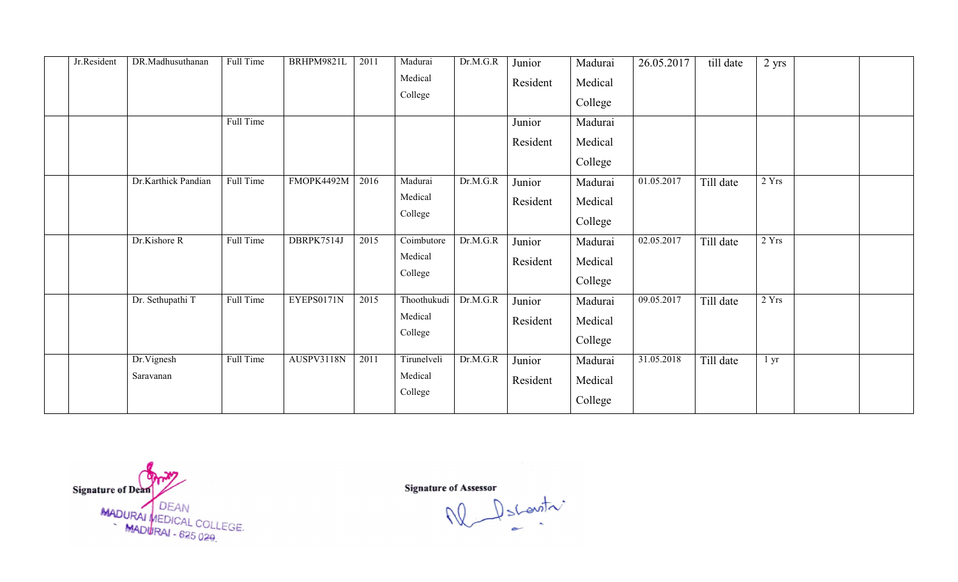| Jr.Resident | DR.Madhusuthanan    | Full Time | BRHPM9821L | 2011 | Madurai     | Dr.M.G.R | Junior   | Madurai | 26.05.2017 | till date | 2 yrs           |  |
|-------------|---------------------|-----------|------------|------|-------------|----------|----------|---------|------------|-----------|-----------------|--|
|             |                     |           |            |      | Medical     |          | Resident | Medical |            |           |                 |  |
|             |                     |           |            |      | College     |          |          | College |            |           |                 |  |
|             |                     | Full Time |            |      |             |          | Junior   | Madurai |            |           |                 |  |
|             |                     |           |            |      |             |          |          |         |            |           |                 |  |
|             |                     |           |            |      |             |          | Resident | Medical |            |           |                 |  |
|             |                     |           |            |      |             |          |          | College |            |           |                 |  |
|             | Dr.Karthick Pandian | Full Time | FMOPK4492M | 2016 | Madurai     | Dr.M.G.R | Junior   | Madurai | 01.05.2017 | Till date | 2 Yrs           |  |
|             |                     |           |            |      | Medical     |          | Resident | Medical |            |           |                 |  |
|             |                     |           |            |      | College     |          |          | College |            |           |                 |  |
|             | Dr.Kishore R        | Full Time | DBRPK7514J | 2015 | Coimbutore  | Dr.M.G.R | Junior   | Madurai | 02.05.2017 | Till date | 2 Yrs           |  |
|             |                     |           |            |      | Medical     |          | Resident | Medical |            |           |                 |  |
|             |                     |           |            |      | College     |          |          | College |            |           |                 |  |
|             | Dr. Sethupathi T    | Full Time | EYEPS0171N | 2015 | Thoothukudi | Dr.M.G.R | Junior   | Madurai | 09.05.2017 | Till date | 2 Yrs           |  |
|             |                     |           |            |      | Medical     |          |          |         |            |           |                 |  |
|             |                     |           |            |      | College     |          | Resident | Medical |            |           |                 |  |
|             |                     |           |            |      |             |          |          | College |            |           |                 |  |
|             | Dr.Vignesh          | Full Time | AUSPV3118N | 2011 | Tirunelveli | Dr.M.G.R | Junior   | Madurai | 31.05.2018 | Till date | 1 <sub>yr</sub> |  |
|             | Saravanan           |           |            |      | Medical     |          | Resident | Medical |            |           |                 |  |
|             |                     |           |            |      | College     |          |          | College |            |           |                 |  |

Signature of Dean<br>MADURAI MEDICAL COLLEGE.<br>MADURAI - 625 029.

Descentre W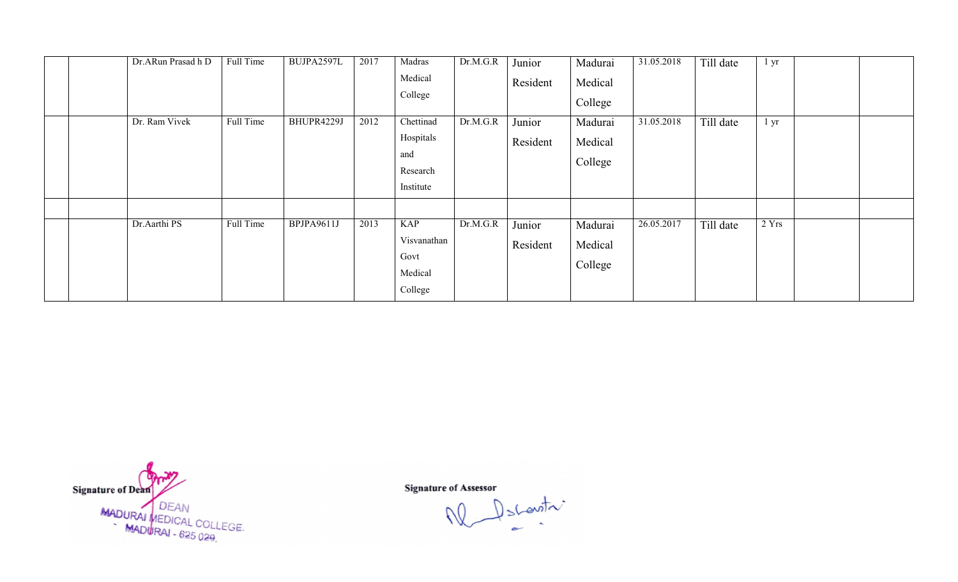| Dr.ARun Prasad h D | Full Time | BUJPA2597L | 2017 | Madras<br>Medical<br>College                            | Dr.M.G.R | Junior<br>Resident | Madurai<br>Medical<br>College | 31.05.2018 | Till date | i yr  |  |
|--------------------|-----------|------------|------|---------------------------------------------------------|----------|--------------------|-------------------------------|------------|-----------|-------|--|
| Dr. Ram Vivek      | Full Time | BHUPR4229J | 2012 | Chettinad<br>Hospitals<br>and<br>Research<br>Institute  | Dr.M.G.R | Junior<br>Resident | Madurai<br>Medical<br>College | 31.05.2018 | Till date | l yr  |  |
| Dr.Aarthi PS       | Full Time | BPJPA9611J | 2013 | <b>KAP</b><br>Visvanathan<br>Govt<br>Medical<br>College | Dr.M.G.R | Junior<br>Resident | Madurai<br>Medical<br>College | 26.05.2017 | Till date | 2 Yrs |  |

Signature of Dean<br>MADURAI MEDICAL COLLEGE.<br>MADURAI - 625 029.

Descentre W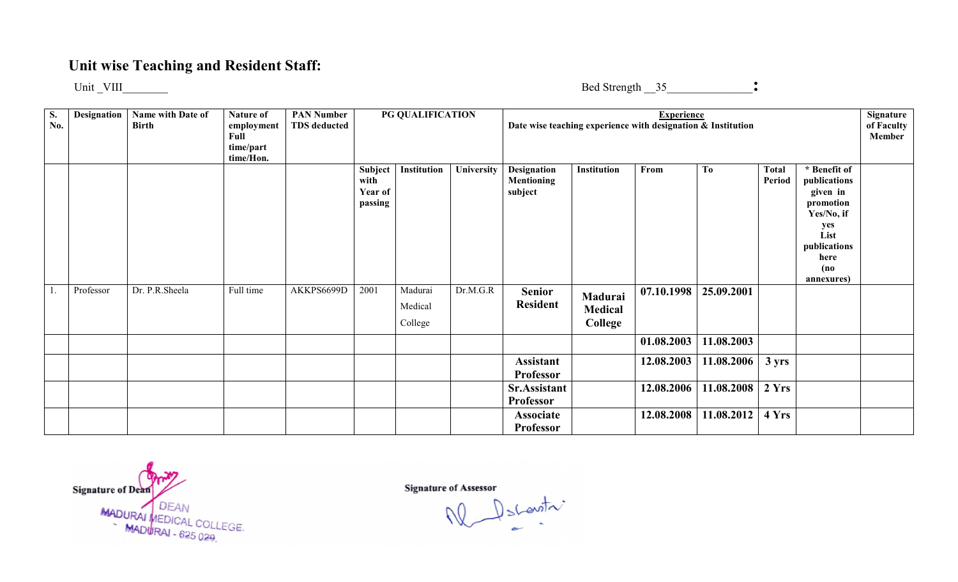### Unit wise Teaching and Resident Staff:

Unit \_VIII\_\_\_\_\_\_\_\_

Bed Strength \_\_35\_\_\_\_\_\_\_\_\_\_\_\_\_\_\_:

| S.<br>No. | Designation | Name with Date of<br><b>Birth</b> | Nature of<br>employment<br>Full<br>time/part<br>time/Hon. | <b>PAN Number</b><br><b>TDS</b> deducted |                                       | PG QUALIFICATION              |            | Date wise teaching experience with designation & Institution |                                      | <b>Experience</b> |            |                        |                                                                                                                                  | Signature<br>of Faculty<br>Member |
|-----------|-------------|-----------------------------------|-----------------------------------------------------------|------------------------------------------|---------------------------------------|-------------------------------|------------|--------------------------------------------------------------|--------------------------------------|-------------------|------------|------------------------|----------------------------------------------------------------------------------------------------------------------------------|-----------------------------------|
|           |             |                                   |                                                           |                                          | Subject<br>with<br>Year of<br>passing | Institution                   | University | <b>Designation</b><br>Mentioning<br>subject                  | <b>Institution</b>                   | From              | To         | <b>Total</b><br>Period | * Benefit of<br>publications<br>given in<br>promotion<br>Yes/No, if<br>yes<br>List<br>publications<br>here<br>(no)<br>annexures) |                                   |
|           | Professor   | Dr. P.R.Sheela                    | Full time                                                 | AKKPS6699D                               | 2001                                  | Madurai<br>Medical<br>College | Dr.M.G.R   | <b>Senior</b><br><b>Resident</b>                             | Madurai<br><b>Medical</b><br>College | 07.10.1998        | 25.09.2001 |                        |                                                                                                                                  |                                   |
|           |             |                                   |                                                           |                                          |                                       |                               |            |                                                              |                                      | 01.08.2003        | 11.08.2003 |                        |                                                                                                                                  |                                   |
|           |             |                                   |                                                           |                                          |                                       |                               |            | <b>Assistant</b><br><b>Professor</b>                         |                                      | 12.08.2003        | 11.08.2006 | $3 \, yrs$             |                                                                                                                                  |                                   |
|           |             |                                   |                                                           |                                          |                                       |                               |            | Sr.Assistant<br><b>Professor</b>                             |                                      | 12.08.2006        | 11.08.2008 | 2Yrs                   |                                                                                                                                  |                                   |
|           |             |                                   |                                                           |                                          |                                       |                               |            | Associate<br><b>Professor</b>                                |                                      | 12.08.2008        | 11.08.2012 | 4 Yrs                  |                                                                                                                                  |                                   |

Signature of Dean MADURAI MEDICAL COLLEGE.<br>MADURAI - 625 020

 $\bigcup_{s \in S} \bigcup_{s \in S} \bigcup_{s \in S} \bigcap_{s \in S} \bigcap_{s \in S} \bigcap_{s \in S} \bigcap_{s \in S} \bigcap_{s \in S} \bigcap_{s \in S} \bigcap_{s \in S} \bigcap_{s \in S} \bigcap_{s \in S} \bigcap_{s \in S} \bigcap_{s \in S} \bigcap_{s \in S} \bigcap_{s \in S} \bigcap_{s \in S} \bigcap_{s \in S} \bigcap_{s \in S} \bigcap_{s \in S} \bigcap_{s \in S} \bigcap_{s \in S} \bigcap_{s \in S} \bigcap_{s \in S} \bigcap_{$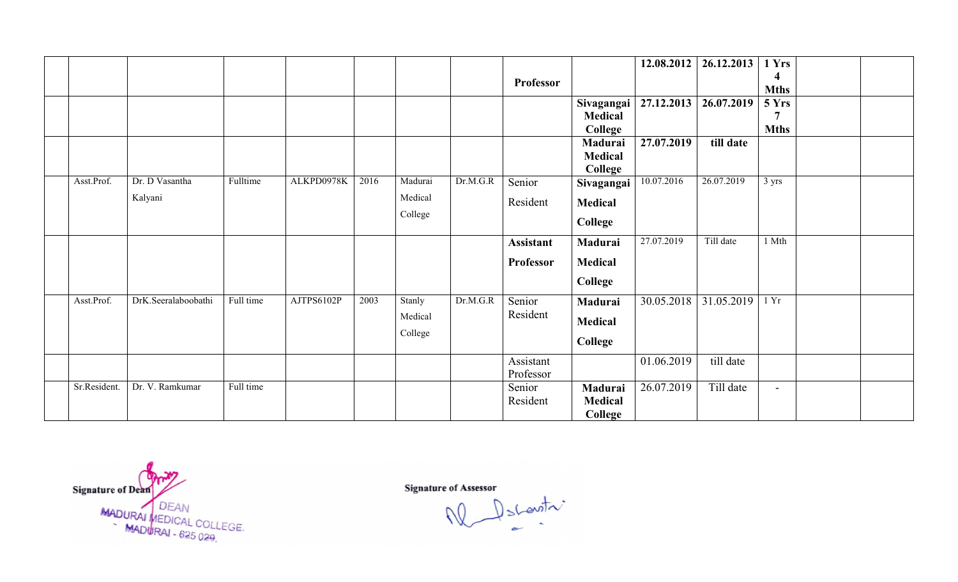|            |              |                     |           |            |      |         |          |                  |                           | 12.08.2012 | 26.12.2013 | 1 Yrs       |  |
|------------|--------------|---------------------|-----------|------------|------|---------|----------|------------------|---------------------------|------------|------------|-------------|--|
|            |              |                     |           |            |      |         |          | Professor        |                           |            |            | 4           |  |
|            |              |                     |           |            |      |         |          |                  |                           |            |            | <b>Mths</b> |  |
|            |              |                     |           |            |      |         |          |                  | Sivagangai                | 27.12.2013 | 26.07.2019 | 5 Yrs       |  |
|            |              |                     |           |            |      |         |          |                  | <b>Medical</b>            |            |            | 7           |  |
|            |              |                     |           |            |      |         |          |                  | College                   |            | till date  | <b>Mths</b> |  |
|            |              |                     |           |            |      |         |          |                  | Madurai<br><b>Medical</b> | 27.07.2019 |            |             |  |
|            |              |                     |           |            |      |         |          |                  | College                   |            |            |             |  |
| Asst.Prof. |              | Dr. D Vasantha      | Fulltime  | ALKPD0978K | 2016 | Madurai | Dr.M.G.R | Senior           | Sivagangai                | 10.07.2016 | 26.07.2019 | 3 yrs       |  |
|            |              | Kalyani             |           |            |      | Medical |          | Resident         | Medical                   |            |            |             |  |
|            |              |                     |           |            |      | College |          |                  |                           |            |            |             |  |
|            |              |                     |           |            |      |         |          |                  | College                   |            |            |             |  |
|            |              |                     |           |            |      |         |          | <b>Assistant</b> | Madurai                   | 27.07.2019 | Till date  | 1 Mth       |  |
|            |              |                     |           |            |      |         |          | <b>Professor</b> | <b>Medical</b>            |            |            |             |  |
|            |              |                     |           |            |      |         |          |                  | College                   |            |            |             |  |
|            |              |                     |           |            |      |         |          |                  |                           |            |            |             |  |
| Asst.Prof. |              | DrK.Seeralaboobathi | Full time | AJTPS6102P | 2003 | Stanly  | Dr.M.G.R | Senior           | Madurai                   | 30.05.2018 | 31.05.2019 | 1 Yr        |  |
|            |              |                     |           |            |      | Medical |          | Resident         | Medical                   |            |            |             |  |
|            |              |                     |           |            |      | College |          |                  | College                   |            |            |             |  |
|            |              |                     |           |            |      |         |          |                  |                           |            |            |             |  |
|            |              |                     |           |            |      |         |          | Assistant        |                           | 01.06.2019 | till date  |             |  |
|            |              |                     |           |            |      |         |          | Professor        |                           |            |            |             |  |
|            | Sr.Resident. | Dr. V. Ramkumar     | Full time |            |      |         |          | Senior           | Madurai                   | 26.07.2019 | Till date  | $\sim$      |  |
|            |              |                     |           |            |      |         |          | Resident         | <b>Medical</b>            |            |            |             |  |
|            |              |                     |           |            |      |         |          |                  | College                   |            |            |             |  |

Signature of Dean<br>MADURAI MEDICAL COLLEGE.<br>MADURAI - 625 029.

Signature of Assessor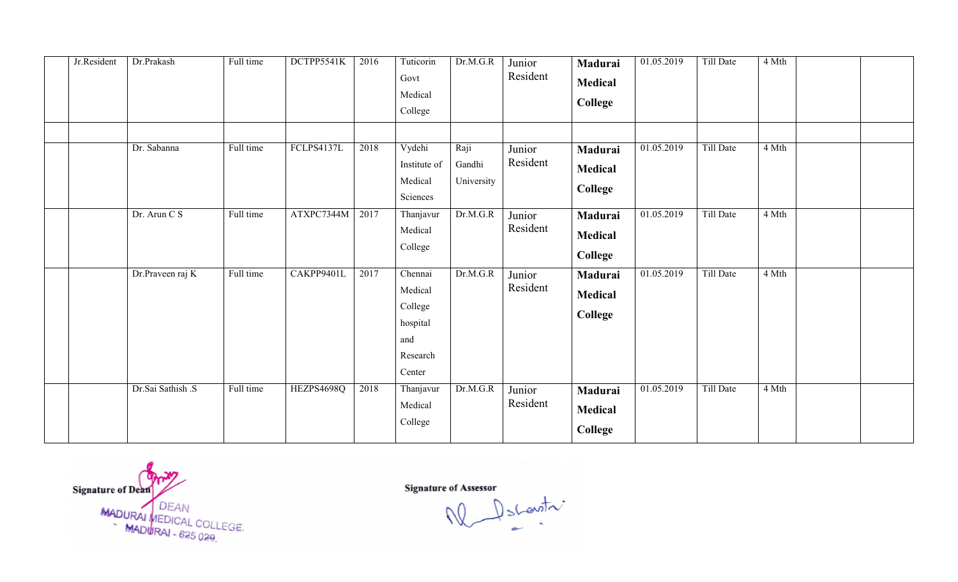| Jr.Resident | Dr.Prakash        | Full time | DCTPP5541K | 2016 | Tuticorin<br>Govt<br>Medical<br>College                                              | Dr.M.G.R                     | Junior<br>Resident | Madurai<br>Medical<br>College               | 01.05.2019 | Till Date | 4 Mth |  |
|-------------|-------------------|-----------|------------|------|--------------------------------------------------------------------------------------|------------------------------|--------------------|---------------------------------------------|------------|-----------|-------|--|
|             | Dr. Sabanna       | Full time | FCLPS4137L | 2018 | Vydehi<br>Institute of<br>Medical<br>Sciences                                        | Raji<br>Gandhi<br>University | Junior<br>Resident | Madurai<br><b>Medical</b><br>College        | 01.05.2019 | Till Date | 4 Mth |  |
|             | Dr. Arun C S      | Full time | ATXPC7344M | 2017 | Thanjavur<br>Medical<br>College                                                      | Dr.M.G.R                     | Junior<br>Resident | Madurai<br><b>Medical</b><br>College        | 01.05.2019 | Till Date | 4 Mth |  |
|             | Dr.Praveen raj K  | Full time | CAKPP9401L | 2017 | $\overline{C}$ hennai<br>Medical<br>College<br>hospital<br>and<br>Research<br>Center | Dr.M.G.R                     | Junior<br>Resident | Madurai<br><b>Medical</b><br><b>College</b> | 01.05.2019 | Till Date | 4 Mth |  |
|             | Dr.Sai Sathish .S | Full time | HEZPS4698Q | 2018 | Thanjavur<br>Medical<br>College                                                      | Dr.M.G.R                     | Junior<br>Resident | Madurai<br><b>Medical</b><br>College        | 01.05.2019 | Till Date | 4 Mth |  |

Signature of Dean<br>MADURAI MEDICAL COLLEGE.<br>MADURAI - 625 029.

Signature of Assessor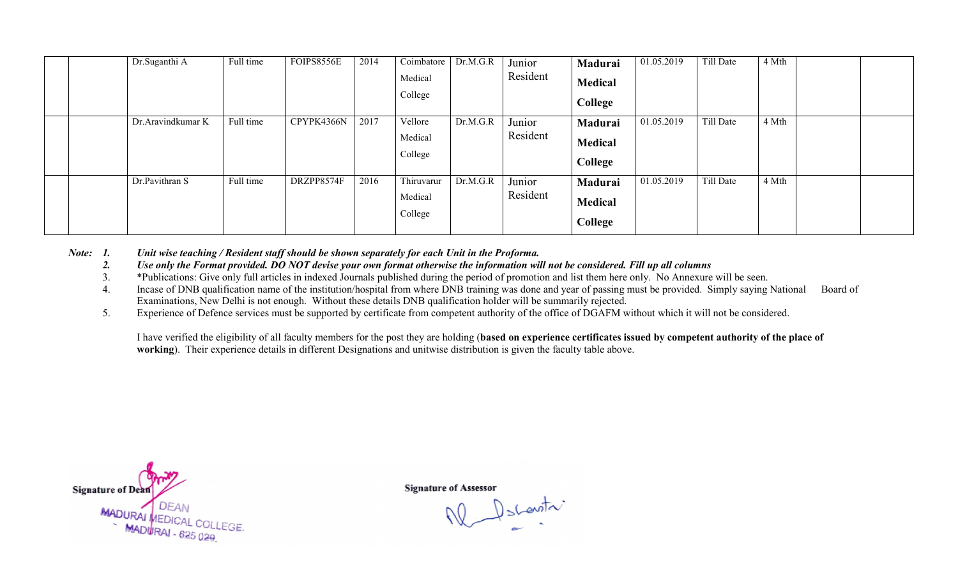|  | Dr.Suganthi A     | Full time | FOIPS8556E | 2014 | Coimbatore<br>Medical<br>College | Dr.M.G.R | Junior<br>Resident | Madurai<br><b>Medical</b><br>College | 01.05.2019 | Till Date | 4 Mth |  |
|--|-------------------|-----------|------------|------|----------------------------------|----------|--------------------|--------------------------------------|------------|-----------|-------|--|
|  | Dr.Aravindkumar K | Full time | CPYPK4366N | 2017 | Vellore<br>Medical<br>College    | Dr.M.G.R | Junior<br>Resident | Madurai<br><b>Medical</b><br>College | 01.05.2019 | Till Date | 4 Mth |  |
|  | Dr.Pavithran S    | Full time | DRZPP8574F | 2016 | Thiruvarur<br>Medical<br>College | Dr.M.G.R | Junior<br>Resident | Madurai<br><b>Medical</b><br>College | 01.05.2019 | Till Date | 4 Mth |  |

*Note: 1. Unit wise teaching / Resident staff should be shown separately for each Unit in the Proforma.*

- *2. Use only the Format provided. DO NOT devise your own format otherwise the information will not be considered. Fill up all col columns*
- 3. \*Publications: Give only full articles in indexed Journals published during the period of promotion and list them here only. No Annexure will be seen.
- 4. Incase of DNB qualification name of the institution/hospital from where DNB training was done and year of passing must be provided. Simply saying National Board of Examinations, New Delhi is not enough. Without these details DNB qualification holder will be summarily rejected.
- 5. Experience of Defence services must be supported by certificate from competent authority of the office of DGAFM without which it will not be considered.

I have verified the eligibility of all faculty members for the post they are holding (based on experience certificates issued by competent authority of the place of working). Their experience details in different Designations and unitwise distribution is given the faculty table above.



Dscountri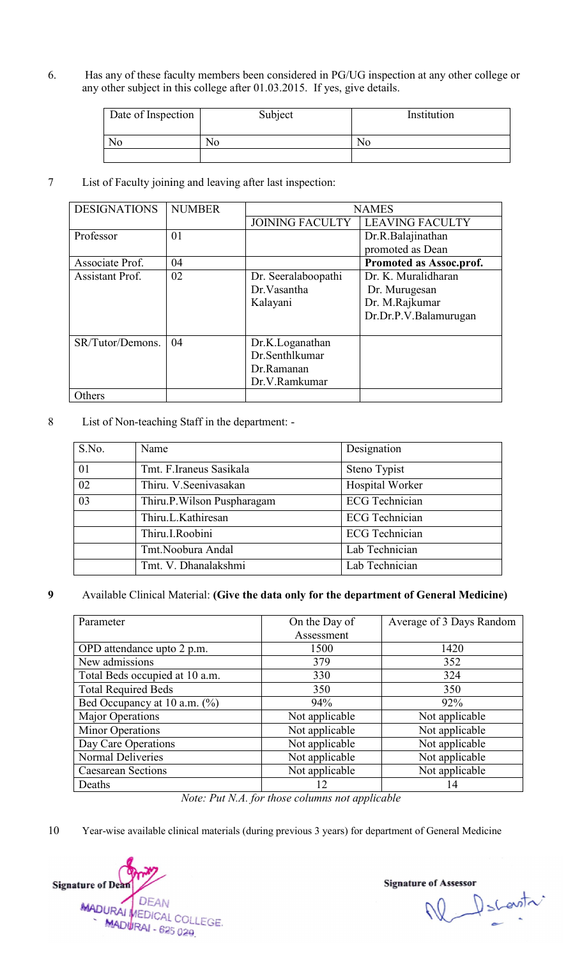6. Has any of these faculty members been considered in PG/UG inspection at any other college or any other subject in this college after 01.03.2015. If yes, give details.<br>
Date of Inspection Subject Institution any other subject in this college after 01.03.2015. If yes, give details.

| Date of Inspection | Subject | Institution |
|--------------------|---------|-------------|
| No                 | No      | NΟ          |
|                    |         |             |

|           | N <sub>o</sub>                                  |                    | N <sub>o</sub>              |                                                            | N <sub>o</sub>                                                                          |
|-----------|-------------------------------------------------|--------------------|-----------------------------|------------------------------------------------------------|-----------------------------------------------------------------------------------------|
|           |                                                 |                    |                             |                                                            |                                                                                         |
|           |                                                 |                    |                             | List of Faculty joining and leaving after last inspection: |                                                                                         |
|           | <b>DESIGNATIONS</b>                             | <b>NUMBER</b>      |                             |                                                            | <b>NAMES</b>                                                                            |
|           |                                                 |                    |                             | <b>JOINING FACULTY</b>                                     | <b>LEAVING FACULTY</b>                                                                  |
| Professor |                                                 | 01                 |                             |                                                            | Dr.R.Balajinathan                                                                       |
|           |                                                 |                    |                             |                                                            | promoted as Dean                                                                        |
|           | Associate Prof.<br>Assistant Prof.              | 04<br>02           |                             |                                                            | Promoted as Assoc.prof.<br>Dr. K. Muralidharan                                          |
|           |                                                 |                    |                             | Dr. Seeralaboopathi<br>Dr. Vasantha                        | Dr. Murugesan                                                                           |
|           |                                                 |                    |                             | Kalayani                                                   | Dr. M.Rajkumar                                                                          |
|           |                                                 |                    |                             |                                                            | Dr.Dr.P.V.Balamurugan                                                                   |
|           |                                                 |                    |                             |                                                            |                                                                                         |
|           | SR/Tutor/Demons.                                | 04                 |                             | Dr.K.Loganathan                                            |                                                                                         |
|           |                                                 |                    |                             | Dr.Senthlkumar                                             |                                                                                         |
|           |                                                 |                    |                             | Dr.Ramanan                                                 |                                                                                         |
|           |                                                 |                    |                             | Dr.V.Ramkumar                                              |                                                                                         |
| Others    |                                                 |                    |                             |                                                            |                                                                                         |
|           | List of Non-teaching Staff in the department: - |                    |                             |                                                            |                                                                                         |
|           |                                                 |                    |                             |                                                            |                                                                                         |
| S.No.     | Name                                            |                    |                             |                                                            | Designation                                                                             |
| 01        |                                                 |                    | Tmt. F.Iraneus Sasikala     |                                                            | Steno Typist                                                                            |
| 02        |                                                 |                    | Thiru. V. Seenivasakan      |                                                            | Hospital Worker                                                                         |
| 03        |                                                 |                    | Thiru.P. Wilson Puspharagam |                                                            | <b>ECG</b> Technician                                                                   |
|           |                                                 | Thiru.L.Kathiresan |                             |                                                            | <b>ECG</b> Technician                                                                   |
|           |                                                 | Thiru.I.Roobini    |                             |                                                            | <b>ECG</b> Technician                                                                   |
|           |                                                 | Tmt.Noobura Andal  |                             |                                                            | Lab Technician                                                                          |
|           |                                                 |                    | Tmt. V. Dhanalakshmi        |                                                            | Lab Technician                                                                          |
|           |                                                 |                    |                             |                                                            | Available Clinical Material: (Give the data only for the department of General Medicine |
| Parameter |                                                 |                    |                             |                                                            | Average of 3 Days Rand                                                                  |
|           |                                                 |                    |                             | On the Day of<br>Assessment                                |                                                                                         |
|           | OPD attendance upto 2 p.m.                      |                    |                             | 1500                                                       | 1420                                                                                    |
|           | New admissions                                  |                    |                             | 379                                                        | 352                                                                                     |
|           | Total Beds occupied at 10 a.m.                  |                    |                             | 330                                                        | 324                                                                                     |
|           | <b>Total Required Beds</b>                      |                    |                             | 350                                                        | 350                                                                                     |
|           | Bed Occupancy at 10 a.m. (%)                    |                    |                             | 94%                                                        | 92%                                                                                     |
|           | <b>Major Operations</b>                         |                    |                             | Not applicable                                             | Not applicable                                                                          |
|           | <b>Minor Operations</b>                         |                    |                             | Not applicable                                             | Not applicable                                                                          |
|           | Day Care Operations                             |                    |                             | Not applicable                                             | Not applicable                                                                          |
|           | Normal Deliveries                               |                    |                             | Not applicable                                             | Not applicable                                                                          |
| Deaths    | <b>Caesarean Sections</b>                       |                    |                             | Not applicable<br>12                                       | Not applicable<br>14                                                                    |

| 01 | Tmt. F.Iraneus Sasikala     | Steno Typist          |
|----|-----------------------------|-----------------------|
| 02 | Thiru. V. Seenivasakan      | Hospital Worker       |
| 03 | Thiru.P. Wilson Puspharagam | <b>ECG</b> Technician |
|    | Thiru.L.Kathiresan          | <b>ECG</b> Technician |
|    | Thiru.I.Roobini             | <b>ECG</b> Technician |
|    | Tmt.Noobura Andal           | Lab Technician        |
|    | Tmt. V. Dhanalakshmi        | Lab Technician        |

| Parameter                      | On the Day of<br>Assessment | Average of 3 Days Random |
|--------------------------------|-----------------------------|--------------------------|
| OPD attendance upto 2 p.m.     | 1500                        | 1420                     |
| New admissions                 | 379                         | 352                      |
| Total Beds occupied at 10 a.m. | 330                         | 324                      |
| <b>Total Required Beds</b>     | 350                         | 350                      |
| Bed Occupancy at 10 a.m. (%)   | 94%                         | 92%                      |
| <b>Major Operations</b>        | Not applicable              | Not applicable           |
| <b>Minor Operations</b>        | Not applicable              | Not applicable           |
| Day Care Operations            | Not applicable              | Not applicable           |
| Normal Deliveries              | Not applicable              | Not applicable           |
| <b>Caesarean Sections</b>      | Not applicable              | Not applicable           |
| Deaths                         | 12                          | 14                       |

*Note: Put N.A. for those columns not applicable* 

**Signature of Dean DEAN** MADURAL DEAN<br>MADURAL COLLEGE MADURAI - 625 029

e or Assessor<br>
Number of Schewart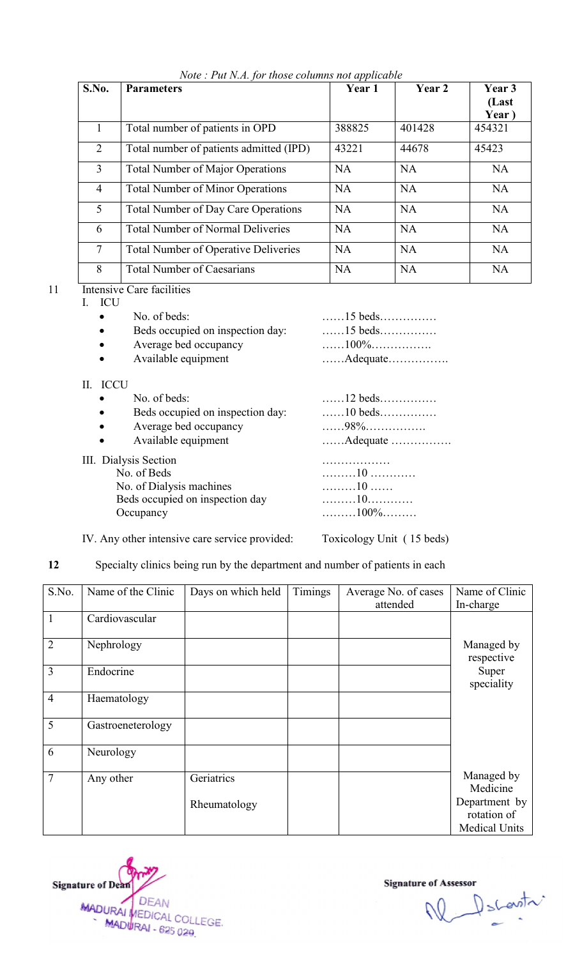| S.No.          | <b>Parameters</b>                           | Year 1    | Year 2    | Year 3<br>(Last<br>Year) |
|----------------|---------------------------------------------|-----------|-----------|--------------------------|
|                | Total number of patients in OPD             | 388825    | 401428    | 454321                   |
| $\overline{2}$ | Total number of patients admitted (IPD)     | 43221     | 44678     | 45423                    |
| $\overline{3}$ | <b>Total Number of Major Operations</b>     | <b>NA</b> | NA        | <b>NA</b>                |
| $\overline{4}$ | <b>Total Number of Minor Operations</b>     | NA        | <b>NA</b> | <b>NA</b>                |
| 5 <sup>5</sup> | <b>Total Number of Day Care Operations</b>  | NA        | NA        | <b>NA</b>                |
| 6              | <b>Total Number of Normal Deliveries</b>    | <b>NA</b> | NA        | NA                       |
| $\tau$         | <b>Total Number of Operative Deliveries</b> | <b>NA</b> | <b>NA</b> | <b>NA</b>                |
| 8              | <b>Total Number of Caesarians</b>           | <b>NA</b> | NA        | <b>NA</b>                |

# 11 Intensive Care facilities<br>
I. ICU<br>
• No. of beds: .......

- I. ICU
	- No. of beds:
	- Beds occupied on inspection day:  $\ldots$
	- Average bed occupancy **Example 2.1.** Average bed occupancy
	- Available equipment manufactured with the Available equipment
- II. ICCU
	- $\bullet$  No. of beds:  $\dots$
	- Beds occupied on inspection day:  $\ldots$
	- Average bed occupancy **Example 2.1.** Average bed occupancy
	- Available equipment manufactured with the Available equipment
- III. Dialysis Section No. of Beds No. ……… No. of Dialysis machines **now**  $\ldots$ Beds occupied on inspection day Beds ……… **Occupancy**

| $\ldots$ 10 beds $\ldots$ |
|---------------------------|
| . 98%                     |
| Adequate                  |
| .                         |
|                           |
| . 10                      |
|                           |
| 100%                      |

……15 beds…………… ……15 beds…………… ……100%……………. ……Adequate…………….

IV. Any other intensive care service provided: Toxicology Unit (15 beds)

| 12             | Specialty clinics being run by the department and number of patients in each |                    |         |                      |                              |  |
|----------------|------------------------------------------------------------------------------|--------------------|---------|----------------------|------------------------------|--|
| S.No.          | Name of the Clinic                                                           | Days on which held | Timings | Average No. of cases | Name of Clinic               |  |
|                |                                                                              |                    |         | attended             | In-charge                    |  |
| $\mathbf{1}$   | Cardiovascular                                                               |                    |         |                      |                              |  |
| $\overline{2}$ | Nephrology                                                                   |                    |         |                      | Managed by<br>respective     |  |
| 3              | Endocrine                                                                    |                    |         |                      | Super<br>speciality          |  |
| $\overline{4}$ | Haematology                                                                  |                    |         |                      |                              |  |
| 5              | Gastroeneterology                                                            |                    |         |                      |                              |  |
| 6              | Neurology                                                                    |                    |         |                      |                              |  |
| $\overline{7}$ | Any other                                                                    | Geriatrics         |         |                      | Managed by<br>Medicine       |  |
|                |                                                                              | Rheumatology       |         |                      | Department by<br>rotation of |  |
|                |                                                                              |                    |         |                      | <b>Medical Units</b>         |  |



W Dscovitr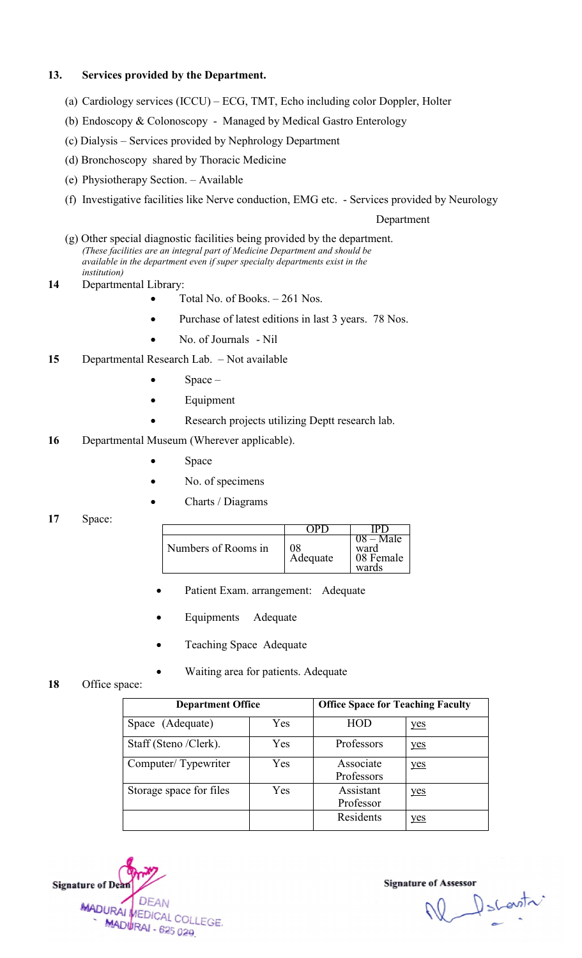#### 13. Services provided by the Department. Services

- (a) Cardiology services (ICCU) ECG, TMT, Echo including color Doppler, Holter
- (b) Endoscopy & Colonoscopy Managed by Medical Gastro Enterology
- (c) Dialysis Services provided by Nephrology Department
- (d) Bronchoscopy shared by Thoracic Medicine
- (e) Physiotherapy Section. Available

 $\bullet$ 

(f) Investigative facilities like Nerve conduction, EMG etc. - Services provided by Neurology

#### Department

- (f) Investigative facilities like Nerve conduction, EMG etc. Services p<br>Dep<br>(g) Other special diagnostic facilities being provided by the department. (These facilities are an integral part of Medicine Department and should be available in the department even if super specialty departments exist in the *institution)*
- 14 Departmental Library:
	- Total No. of Books.  $-261$  Nos.
	- $\bullet$ Purchase of latest editions in last 3 years. 78 Nos.
	- $\bullet$ No. of Journals - Nil
- 15 Departmental Research Lab. Departmental Lab. Not available
	- $\bullet$ Space –
	- $\bullet$ Equipment
	- $\bullet$ Research projects utilizing Deptt research lab.
- 16 Departmental Museum (Wherever applicable).<br>
 Space
	- $\bullet$
	- $\bullet$ No. of specimens
	- $\bullet$ Charts / Diagrams
- 17 Space:

| Numbers of Rooms in | 98<br>Adequate | $08 - Male$<br>ward<br>08 Female<br>wards |
|---------------------|----------------|-------------------------------------------|

- $\bullet$ Patient Exam. arrangement: Adequate
- $\bullet$ Equipments Adequate
- $\bullet$ Teaching Space Adequate
- $\bullet$ Waiting area for patients. Adequate
- 18 Office space:

| <b>Department Office</b> |     | <b>Office Space for Teaching Faculty</b> |     |  |
|--------------------------|-----|------------------------------------------|-----|--|
| Space (Adequate)         | Yes | HOD                                      | yes |  |
| Staff (Steno /Clerk).    | Yes | Professors                               | yes |  |
| Computer/Typewriter      | Yes | Associate<br>Professors                  | yes |  |
| Storage space for files  | Yes | Assistant<br>Professor                   | yes |  |
|                          |     | Residents                                | yes |  |

Signature of Dean **DEAN** MADURAL MEDICAL COLLEGE. MADURAI - 625 029

Ne Decentr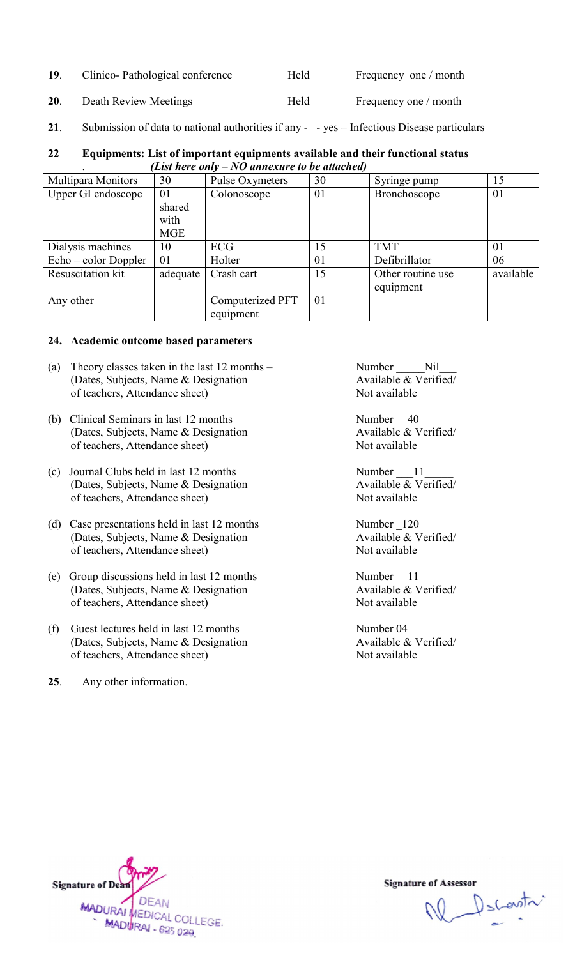| 19.<br>Frequency one / month<br>Clinico-Pathological conference<br>Held |  |
|-------------------------------------------------------------------------|--|
|-------------------------------------------------------------------------|--|

- 20. Death Review Meetings Theld Frequency one / month
- 21. Submission of data to national authorities if any yes Infectious Disease particulars

#### 22 Equipments: List of important equipments available and their functional status *(List here only – NO annexure to be attached)*

| 19.                                                                                                                           | Clinico-Pathological conference                                                                                     |                              | Held                                           |                                                      | Frequency one / month                                                                      |           |
|-------------------------------------------------------------------------------------------------------------------------------|---------------------------------------------------------------------------------------------------------------------|------------------------------|------------------------------------------------|------------------------------------------------------|--------------------------------------------------------------------------------------------|-----------|
| 20.                                                                                                                           | Death Review Meetings                                                                                               |                              | Held                                           |                                                      | Frequency one / month                                                                      |           |
| 21.                                                                                                                           |                                                                                                                     |                              |                                                |                                                      | Submission of data to national authorities if any - - yes - Infectious Disease particulars |           |
| 22                                                                                                                            |                                                                                                                     |                              | (List here only $-NO$ annexure to be attached) |                                                      | Equipments: List of important equipments available and their functional status             |           |
|                                                                                                                               | Multipara Monitors                                                                                                  | 30                           | Pulse Oxymeters                                | 30                                                   | Syringe pump                                                                               | 15        |
|                                                                                                                               | Upper GI endoscope                                                                                                  | 01                           | Colonoscope                                    | 01                                                   | Bronchoscope                                                                               | 01        |
|                                                                                                                               |                                                                                                                     | shared<br>with<br><b>MGE</b> |                                                |                                                      |                                                                                            |           |
|                                                                                                                               | Dialysis machines                                                                                                   | 10                           | <b>ECG</b>                                     | 15                                                   | <b>TMT</b>                                                                                 | 01        |
|                                                                                                                               | Echo - color Doppler                                                                                                | 01                           | Holter                                         | 01                                                   | Defibrillator                                                                              | 06        |
|                                                                                                                               | Resuscitation kit                                                                                                   | adequate                     | Crash cart                                     | 15                                                   | Other routine use<br>equipment                                                             | available |
|                                                                                                                               | Any other                                                                                                           |                              | Computerized PFT<br>equipment                  | 01                                                   |                                                                                            |           |
|                                                                                                                               | 24. Academic outcome based parameters                                                                               |                              |                                                |                                                      |                                                                                            |           |
| Theory classes taken in the last 12 months –<br>(a)<br>(Dates, Subjects, Name & Designation<br>of teachers, Attendance sheet) |                                                                                                                     |                              |                                                | Number Nil<br>Available & Verified/<br>Not available |                                                                                            |           |
| (b)                                                                                                                           | Clinical Seminars in last 12 months<br>(Dates, Subjects, Name & Designation<br>of teachers, Attendance sheet)       |                              |                                                |                                                      | Number 40<br>Available & Verified/<br>Not available                                        |           |
| (c)                                                                                                                           | Journal Clubs held in last 12 months<br>(Dates, Subjects, Name & Designation<br>of teachers, Attendance sheet)      |                              |                                                |                                                      | Number 11<br>Available & Verified/<br>Not available                                        |           |
| (d)                                                                                                                           | Case presentations held in last 12 months<br>(Dates, Subjects, Name & Designation<br>of teachers, Attendance sheet) |                              |                                                |                                                      | Number 120<br>Available & Verified/<br>Not available                                       |           |
| (e)                                                                                                                           | Group discussions held in last 12 months<br>(Dates, Subjects, Name & Designation)<br>of teachers, Attendance sheet) |                              |                                                |                                                      | Number 11<br>Available & Verified/<br>Not available                                        |           |
| (f)                                                                                                                           | Guest lectures held in last 12 months<br>(Dates, Subjects, Name & Designation<br>of teachers, Attendance sheet)     |                              |                                                |                                                      | Number 04<br>Available & Verified/<br>Not available                                        |           |
| 25.                                                                                                                           | Any other information.                                                                                              |                              |                                                |                                                      |                                                                                            |           |

#### 24. Academic outcome based parameters Academic

- (a) Theory classes taken in the last  $12$  months  $-$ (Dates, Subjects, Name & Designation of teachers, Attendance sheet)
- (b) Clinical Seminars in last 12 months (Dates, Subjects, Name & Designation of teachers, Attendance sheet) (Dates, Subjects, Name & Designation<br>
of teachers, Attendance sheet)<br>
(b) Clinical Seminars in last 12 months<br>
(Dates, Subjects, Name & Designation<br>
of teachers, Attendance sheet)<br>
(d) Case presentations held in last 12 m
- (c) Journal Clubs held in last 12 months (Dates, Subjects, Name & Designation of teachers, Attendance sheet)
- (d) Case presentations held in last 12 months (Dates, Subjects, Name & Designation of teachers, Attendance sheet)
- (e) Group discussions held in last 12 months (Dates, Subjects, Name & Designation of teachers, Attendance sheet)
- (f) Guest lectures held in (Dates, Subjects, Name & Designation of teachers, Attendance sheet)
- 25. Any other information.



W Dscovitr